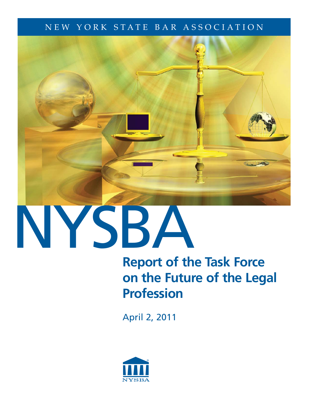# NEW YORK STATE BAR ASSOCIATION



# NYSBA

# **Report of the Task Force on the Future of the Legal Profession**

April 2, 2011

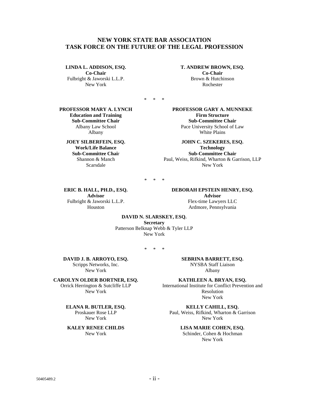#### **NEW YORK STATE BAR ASSOCIATION TASK FORCE ON THE FUTURE OF THE LEGAL PROFESSION**

#### **LINDA L. ADDISON, ESQ.**

**Co-Chair**  Fulbright & Jaworski L.L.P. New York

**T. ANDREW BROWN, ESQ. Co-Chair**  Brown & Hutchinson Rochester

\* \* \*

**PROFESSOR MARY A. LYNCH Education and Training Sub-Committee Chair**  Albany Law School Albany

#### **JOEY SILBERFEIN, ESQ. Work/Life Balance Sub-Committee Chai**r Shannon & Manch Scarsdale

**PROFESSOR GARY A. MUNNEKE Firm Structure Sub-Committee Chair**  Pace University School of Law White Plains

**JOHN C. SZEKERES, ESQ. Technology Sub-Committee Chair**  Paul, Weiss, Rifkind, Wharton & Garrison, LLP New York

 $*$  \*

**ERIC B. HALL, PH.D., ESQ. Advisor** Fulbright & Jaworski L.L.P. Houston

**DEBORAH EPSTEIN HENRY, ESQ. Advisor**  Flex-time Lawyers LLC Ardmore, Pennsylvania

#### **DAVID N. SLARSKEY, ESQ.**

**Secretary**  Patterson Belknap Webb & Tyler LLP New York

\* \* \*

**DAVID J. B. ARROYO, ESQ.**  Scripps Networks, Inc. New York

**CAROLYN OLDER BORTNER, ESQ.**  Orrick Herrington & Sutcliffe LLP

New York

**ELANA R. BUTLER, ESQ.**  Proskauer Rose LLP New York

**KALEY RENEE CHILDS**  New York

**SEBRINA BARRETT, ESQ.**  NYSBA Staff Liaison Albany

**KATHLEEN A. BRYAN, ESQ.**  International Institute for Conflict Prevention and Resolution New York

**KELLY CAHILL, ESQ.**  Paul, Weiss, Rifkind, Wharton & Garrison New York

> **LISA MARIE COHEN, ESQ.**  Schinder, Cohen & Hochman New York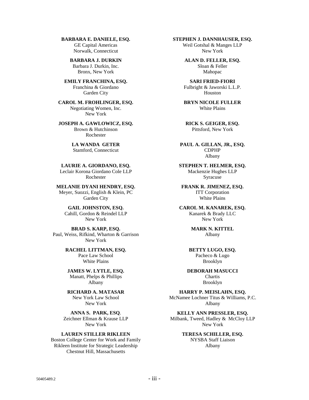**BARBARA E. DANIELE, ESQ.**  GE Capital Americas Norwalk, Connecticut

> **BARBARA J. DURKIN**  Barbara J. Durkin, Inc. Bronx, New York

**EMILY FRANCHINA, ESQ.**  Franchina & Giordano Garden City

**CAROL M. FROHLINGER, ESQ.**  Negotiating Women, Inc. New York

**JOSEPH A. GAWLOWICZ, ESQ.**  Brown & Hutchinson Rochester

> **LA WANDA GETER**  Stamford, Connecticut

**LAURIE A. GIORDANO, ESQ.**  Leclair Korona Giordano Cole LLP Rochester

**MELANIE DYANI HENDRY, ESQ.**  Meyer, Suozzi, English & Klein, PC Garden City

**GAIL JOHNSTON, ESQ.**  Cahill, Gordon & Reindel LLP New York

**BRAD S. KARP, ESQ.**  Paul, Weiss, Rifkind, Wharton & Garrison New York

> **RACHEL LITTMAN, ESQ.**  Pace Law School White Plains

**JAMES W. LYTLE, ESQ.**  Manatt, Phelps & Phillips Albany

**RICHARD A. MATASAR**  New York Law School New York

**ANNA S. PARK, ESQ**. Zeichner Ellman & Krause LLP New York

**LAUREN STILLER RIKLEEN**  Boston College Center for Work and Family Rikleen Institute for Strategic Leadership Chestnut Hill, Massachusetts

**STEPHEN J. DANNHAUSER, ESQ.** 

Weil Gotshal & Manges LLP New York

**ALAN D. FELLER, ESQ.**  Sloan & Feller Mahopac

**SARI FRIED-FIORI**  Fulbright & Jaworski L.L.P. Houston

**BRYN NICOLE FULLER**  White Plains

**RICK S. GEIGER, ESQ.**  Pittsford, New York

**PAUL A. GILLAN, JR., ESQ.**  CDPHP Albany

**STEPHEN T. HELMER, ESQ.**  Mackenzie Hughes LLP Syracuse

**FRANK R. JIMENEZ, ESQ.**  ITT Corporation White Plains

**CAROL M. KANAREK, ESQ.**  Kanarek & Brady LLC New York

> **MARK N. KITTEL**  Albany

**BETTY LUGO, ESQ.**  Pacheco & Lugo Brooklyn

**DEBORAH MASUCCI**  Chartis Brooklyn

**HARRY P. MEISLAHN, ESQ.**  McNamee Lochner Titus & Williams, P.C. Albany

**KELLY ANN PRESSLER, ESQ.**  Milbank, Tweed, Hadley & McCloy LLP New York

> **TERESA SCHILLER, ESQ.**  NYSBA Staff Liaison Albany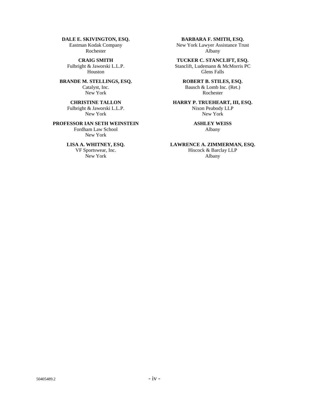#### **DALE E. SKIVINGTON, ESQ.**

Eastman Kodak Company Rochester

**CRAIG SMITH** Fulbright & Jaworski L.L.P. Houston

#### **BRANDE M. STELLINGS, ESQ.**  Catalyst, Inc. New York

#### **CHRISTINE TALLON**  Fulbright & Jaworski L.L.P. New York

#### **PROFESSOR IAN SETH WEINSTEIN**

Fordham Law School New York

#### **LISA A. WHITNEY, ESQ.**

VF Sportswear, Inc. New York

#### **BARBARA F. SMITH, ESQ.**

New York Lawyer Assistance Trust Albany

**TUCKER C. STANCLIFT, ESQ.** 

Stanclift, Ludemann & McMorris PC Glens Falls

#### **ROBERT B. STILES, ESQ.**

Bausch & Lomb Inc. (Ret.) Rochester

#### **HARRY P. TRUEHEART, III, ESQ.**  Nixon Peabody LLP

New York

#### **ASHLEY WEISS**  Albany

**LAWRENCE A. ZIMMERMAN, ESQ.**

Hiscock & Barclay LLP Albany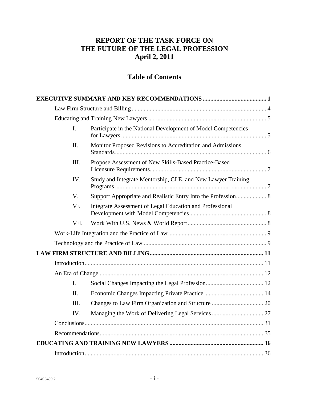## **REPORT OF THE TASK FORCE ON THE FUTURE OF THE LEGAL PROFESSION April 2, 2011**

# **Table of Contents**

| I.           | Participate in the National Development of Model Competencies |  |
|--------------|---------------------------------------------------------------|--|
| Π.           | Monitor Proposed Revisions to Accreditation and Admissions    |  |
| III.         | Propose Assessment of New Skills-Based Practice-Based         |  |
| IV.          | Study and Integrate Mentorship, CLE, and New Lawyer Training  |  |
| V.           | Support Appropriate and Realistic Entry Into the Profession 8 |  |
| VI.          | Integrate Assessment of Legal Education and Professional      |  |
| VII.         |                                                               |  |
|              |                                                               |  |
|              |                                                               |  |
|              |                                                               |  |
|              |                                                               |  |
|              |                                                               |  |
| $\mathbf{I}$ |                                                               |  |
| II.          |                                                               |  |
| HI.          |                                                               |  |
| IV.          |                                                               |  |
|              |                                                               |  |
|              |                                                               |  |
|              |                                                               |  |
|              |                                                               |  |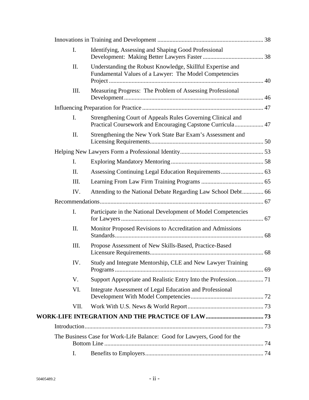| I.   | Identifying, Assessing and Shaping Good Professional                                                                      |  |
|------|---------------------------------------------------------------------------------------------------------------------------|--|
| Π.   | Understanding the Robust Knowledge, Skillful Expertise and<br>Fundamental Values of a Lawyer: The Model Competencies      |  |
| Ш.   | Measuring Progress: The Problem of Assessing Professional                                                                 |  |
|      |                                                                                                                           |  |
| Ι.   | Strengthening Court of Appeals Rules Governing Clinical and<br>Practical Coursework and Encouraging Capstone Curricula 47 |  |
| Π.   | Strengthening the New York State Bar Exam's Assessment and                                                                |  |
|      |                                                                                                                           |  |
| I.   |                                                                                                                           |  |
| Π.   |                                                                                                                           |  |
| Ш.   |                                                                                                                           |  |
| IV.  | Attending to the National Debate Regarding Law School Debt 66                                                             |  |
|      |                                                                                                                           |  |
| I.   | Participate in the National Development of Model Competencies                                                             |  |
| Π.   | Monitor Proposed Revisions to Accreditation and Admissions                                                                |  |
| Ш.   | Propose Assessment of New Skills-Based, Practice-Based                                                                    |  |
| IV.  | Study and Integrate Mentorship, CLE and New Lawyer Training                                                               |  |
| V.   |                                                                                                                           |  |
| VI.  | Integrate Assessment of Legal Education and Professional                                                                  |  |
| VII. |                                                                                                                           |  |
|      |                                                                                                                           |  |
|      |                                                                                                                           |  |
|      | The Business Case for Work-Life Balance: Good for Lawyers, Good for the                                                   |  |
| I.   |                                                                                                                           |  |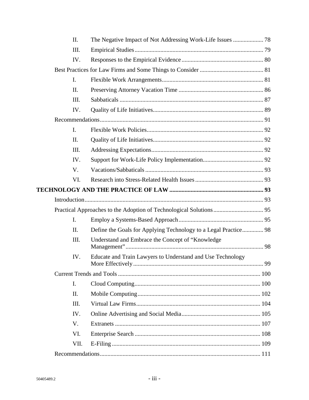| II.            |                                                                 |  |
|----------------|-----------------------------------------------------------------|--|
| Ш.             |                                                                 |  |
| IV.            |                                                                 |  |
|                |                                                                 |  |
| I.             |                                                                 |  |
| II.            |                                                                 |  |
| Ш.             |                                                                 |  |
| IV.            |                                                                 |  |
|                |                                                                 |  |
| $\mathbf{I}$ . |                                                                 |  |
| II.            |                                                                 |  |
| III.           |                                                                 |  |
| IV.            |                                                                 |  |
| V.             |                                                                 |  |
| VI.            |                                                                 |  |
|                |                                                                 |  |
|                |                                                                 |  |
|                |                                                                 |  |
| L.             |                                                                 |  |
| II.            | Define the Goals for Applying Technology to a Legal Practice 98 |  |
| III.           | Understand and Embrace the Concept of "Knowledge                |  |
| IV.            | Educate and Train Lawyers to Understand and Use Technology      |  |
|                |                                                                 |  |
| I.             |                                                                 |  |
| II.            |                                                                 |  |
| III.           |                                                                 |  |
| IV.            |                                                                 |  |
| V.             |                                                                 |  |
| VI.            |                                                                 |  |
| VII.           |                                                                 |  |
|                |                                                                 |  |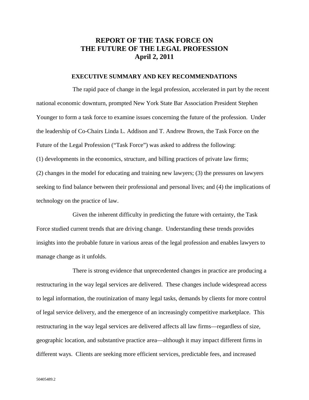### **REPORT OF THE TASK FORCE ON THE FUTURE OF THE LEGAL PROFESSION April 2, 2011**

#### **EXECUTIVE SUMMARY AND KEY RECOMMENDATIONS**

The rapid pace of change in the legal profession, accelerated in part by the recent national economic downturn, prompted New York State Bar Association President Stephen Younger to form a task force to examine issues concerning the future of the profession. Under the leadership of Co-Chairs Linda L. Addison and T. Andrew Brown, the Task Force on the Future of the Legal Profession ("Task Force") was asked to address the following: (1) developments in the economics, structure, and billing practices of private law firms; (2) changes in the model for educating and training new lawyers; (3) the pressures on lawyers seeking to find balance between their professional and personal lives; and (4) the implications of technology on the practice of law.

Given the inherent difficulty in predicting the future with certainty, the Task Force studied current trends that are driving change. Understanding these trends provides insights into the probable future in various areas of the legal profession and enables lawyers to manage change as it unfolds.

There is strong evidence that unprecedented changes in practice are producing a restructuring in the way legal services are delivered. These changes include widespread access to legal information, the routinization of many legal tasks, demands by clients for more control of legal service delivery, and the emergence of an increasingly competitive marketplace. This restructuring in the way legal services are delivered affects all law firms—regardless of size, geographic location, and substantive practice area—although it may impact different firms in different ways. Clients are seeking more efficient services, predictable fees, and increased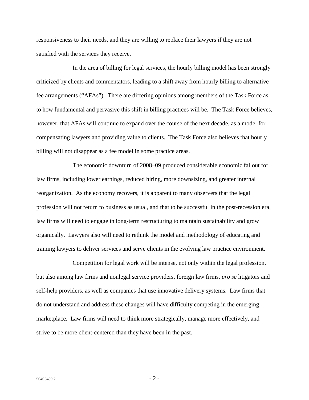responsiveness to their needs, and they are willing to replace their lawyers if they are not satisfied with the services they receive.

In the area of billing for legal services, the hourly billing model has been strongly criticized by clients and commentators, leading to a shift away from hourly billing to alternative fee arrangements ("AFAs"). There are differing opinions among members of the Task Force as to how fundamental and pervasive this shift in billing practices will be. The Task Force believes, however, that AFAs will continue to expand over the course of the next decade, as a model for compensating lawyers and providing value to clients. The Task Force also believes that hourly billing will not disappear as a fee model in some practice areas.

The economic downturn of 2008–09 produced considerable economic fallout for law firms, including lower earnings, reduced hiring, more downsizing, and greater internal reorganization. As the economy recovers, it is apparent to many observers that the legal profession will not return to business as usual, and that to be successful in the post-recession era, law firms will need to engage in long-term restructuring to maintain sustainability and grow organically. Lawyers also will need to rethink the model and methodology of educating and training lawyers to deliver services and serve clients in the evolving law practice environment.

Competition for legal work will be intense, not only within the legal profession, but also among law firms and nonlegal service providers, foreign law firms, *pro se* litigators and self-help providers, as well as companies that use innovative delivery systems. Law firms that do not understand and address these changes will have difficulty competing in the emerging marketplace. Law firms will need to think more strategically, manage more effectively, and strive to be more client-centered than they have been in the past.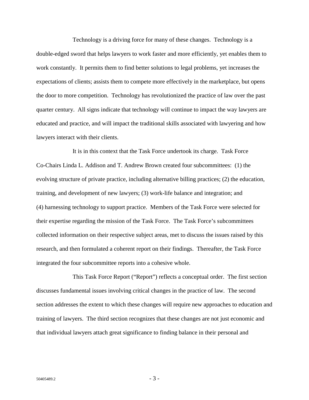Technology is a driving force for many of these changes. Technology is a double-edged sword that helps lawyers to work faster and more efficiently, yet enables them to work constantly. It permits them to find better solutions to legal problems, yet increases the expectations of clients; assists them to compete more effectively in the marketplace, but opens the door to more competition. Technology has revolutionized the practice of law over the past quarter century. All signs indicate that technology will continue to impact the way lawyers are educated and practice, and will impact the traditional skills associated with lawyering and how lawyers interact with their clients.

It is in this context that the Task Force undertook its charge. Task Force Co-Chairs Linda L. Addison and T. Andrew Brown created four subcommittees: (1) the evolving structure of private practice, including alternative billing practices; (2) the education, training, and development of new lawyers; (3) work-life balance and integration; and (4) harnessing technology to support practice. Members of the Task Force were selected for their expertise regarding the mission of the Task Force. The Task Force's subcommittees collected information on their respective subject areas, met to discuss the issues raised by this research, and then formulated a coherent report on their findings. Thereafter, the Task Force integrated the four subcommittee reports into a cohesive whole.

This Task Force Report ("Report") reflects a conceptual order. The first section discusses fundamental issues involving critical changes in the practice of law. The second section addresses the extent to which these changes will require new approaches to education and training of lawyers. The third section recognizes that these changes are not just economic and that individual lawyers attach great significance to finding balance in their personal and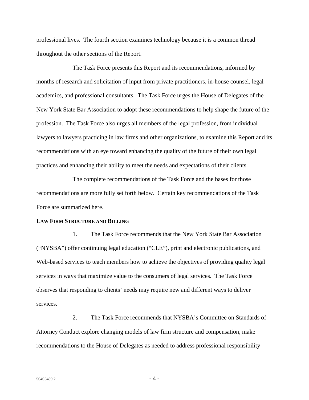professional lives. The fourth section examines technology because it is a common thread throughout the other sections of the Report.

The Task Force presents this Report and its recommendations, informed by months of research and solicitation of input from private practitioners, in-house counsel, legal academics, and professional consultants. The Task Force urges the House of Delegates of the New York State Bar Association to adopt these recommendations to help shape the future of the profession. The Task Force also urges all members of the legal profession, from individual lawyers to lawyers practicing in law firms and other organizations, to examine this Report and its recommendations with an eye toward enhancing the quality of the future of their own legal practices and enhancing their ability to meet the needs and expectations of their clients.

The complete recommendations of the Task Force and the bases for those recommendations are more fully set forth below. Certain key recommendations of the Task Force are summarized here.

#### **LAW FIRM STRUCTURE AND BILLING**

1. The Task Force recommends that the New York State Bar Association ("NYSBA") offer continuing legal education ("CLE"), print and electronic publications, and Web-based services to teach members how to achieve the objectives of providing quality legal services in ways that maximize value to the consumers of legal services. The Task Force observes that responding to clients' needs may require new and different ways to deliver services.

2. The Task Force recommends that NYSBA's Committee on Standards of Attorney Conduct explore changing models of law firm structure and compensation, make recommendations to the House of Delegates as needed to address professional responsibility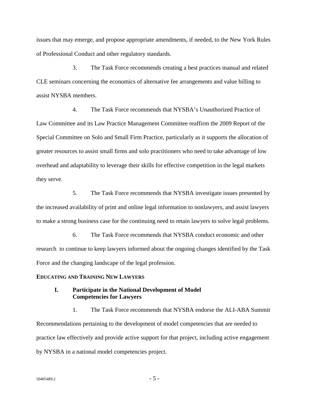issues that may emerge, and propose appropriate amendments, if needed, to the New York Rules of Professional Conduct and other regulatory standards.

3. The Task Force recommends creating a best practices manual and related CLE seminars concerning the economics of alternative fee arrangements and value billing to assist NYSBA members.

4. The Task Force recommends that NYSBA's Unauthorized Practice of Law Committee and its Law Practice Management Committee reaffirm the 2009 Report of the Special Committee on Solo and Small Firm Practice, particularly as it supports the allocation of greater resources to assist small firms and solo practitioners who need to take advantage of low overhead and adaptability to leverage their skills for effective competition in the legal markets they serve.

5. The Task Force recommends that NYSBA investigate issues presented by the increased availability of print and online legal information to nonlawyers, and assist lawyers to make a strong business case for the continuing need to retain lawyers to solve legal problems.

6. The Task Force recommends that NYSBA conduct economic and other research to continue to keep lawyers informed about the ongoing changes identified by the Task Force and the changing landscape of the legal profession.

#### **EDUCATING AND TRAINING NEW LAWYERS**

#### **I. Participate in the National Development of Model Competencies for Lawyers**

1. The Task Force recommends that NYSBA endorse the ALI-ABA Summit Recommendations pertaining to the development of model competencies that are needed to practice law effectively and provide active support for that project, including active engagement by NYSBA in a national model competencies project.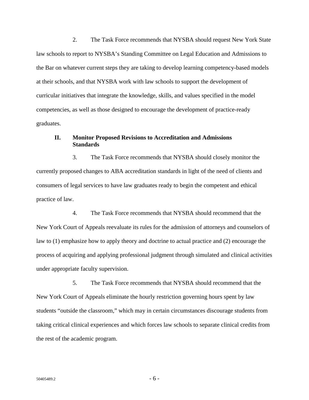2. The Task Force recommends that NYSBA should request New York State law schools to report to NYSBA's Standing Committee on Legal Education and Admissions to the Bar on whatever current steps they are taking to develop learning competency-based models at their schools, and that NYSBA work with law schools to support the development of curricular initiatives that integrate the knowledge, skills, and values specified in the model competencies, as well as those designed to encourage the development of practice-ready graduates.

#### **II. Monitor Proposed Revisions to Accreditation and Admissions Standards**

3. The Task Force recommends that NYSBA should closely monitor the currently proposed changes to ABA accreditation standards in light of the need of clients and consumers of legal services to have law graduates ready to begin the competent and ethical practice of law.

4. The Task Force recommends that NYSBA should recommend that the New York Court of Appeals reevaluate its rules for the admission of attorneys and counselors of law to (1) emphasize how to apply theory and doctrine to actual practice and (2) encourage the process of acquiring and applying professional judgment through simulated and clinical activities under appropriate faculty supervision.

5. The Task Force recommends that NYSBA should recommend that the New York Court of Appeals eliminate the hourly restriction governing hours spent by law students "outside the classroom," which may in certain circumstances discourage students from taking critical clinical experiences and which forces law schools to separate clinical credits from the rest of the academic program.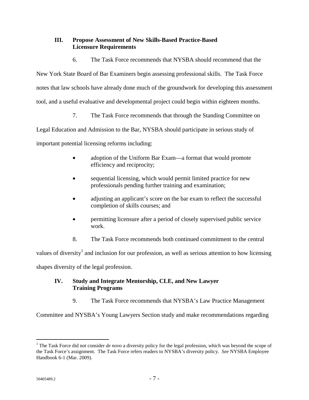#### **III. Propose Assessment of New Skills-Based Practice-Based Licensure Requirements**

6. The Task Force recommends that NYSBA should recommend that the

New York State Board of Bar Examiners begin assessing professional skills. The Task Force notes that law schools have already done much of the groundwork for developing this assessment tool, and a useful evaluative and developmental project could begin within eighteen months.

7. The Task Force recommends that through the Standing Committee on

Legal Education and Admission to the Bar, NYSBA should participate in serious study of

important potential licensing reforms including:

- adoption of the Uniform Bar Exam—a format that would promote efficiency and reciprocity;
- sequential licensing, which would permit limited practice for new professionals pending further training and examination;
- adjusting an applicant's score on the bar exam to reflect the successful completion of skills courses; and
- permitting licensure after a period of closely supervised public service work.
- 8. The Task Force recommends both continued commitment to the central

values of diversity<sup>1</sup> and inclusion for our profession, as well as serious attention to how licensing shapes diversity of the legal profession.

#### **IV. Study and Integrate Mentorship, CLE, and New Lawyer Training Programs**

9. The Task Force recommends that NYSBA's Law Practice Management

Committee and NYSBA's Young Lawyers Section study and make recommendations regarding

<sup>&</sup>lt;sup>1</sup> The Task Force did not consider *de novo* a diversity policy for the legal profession, which was beyond the scope of the Task Force's assignment. The Task Force refers readers to NYSBA's diversity policy. *See* NYSBA Employee Handbook 6-1 (Mar. 2009).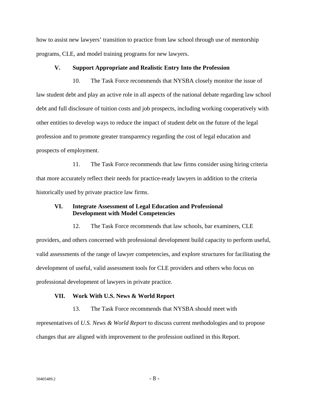how to assist new lawyers' transition to practice from law school through use of mentorship programs, CLE, and model training programs for new lawyers.

#### **V. Support Appropriate and Realistic Entry Into the Profession**

10. The Task Force recommends that NYSBA closely monitor the issue of law student debt and play an active role in all aspects of the national debate regarding law school debt and full disclosure of tuition costs and job prospects, including working cooperatively with other entities to develop ways to reduce the impact of student debt on the future of the legal profession and to promote greater transparency regarding the cost of legal education and prospects of employment.

11. The Task Force recommends that law firms consider using hiring criteria that more accurately reflect their needs for practice-ready lawyers in addition to the criteria historically used by private practice law firms.

#### **VI. Integrate Assessment of Legal Education and Professional Development with Model Competencies**

12. The Task Force recommends that law schools, bar examiners, CLE providers, and others concerned with professional development build capacity to perform useful, valid assessments of the range of lawyer competencies, and explore structures for facilitating the development of useful, valid assessment tools for CLE providers and others who focus on professional development of lawyers in private practice.

#### **VII. Work With U.S. News & World Report**

13. The Task Force recommends that NYSBA should meet with

representatives of *U.S. News & World Report* to discuss current methodologies and to propose changes that are aligned with improvement to the profession outlined in this Report.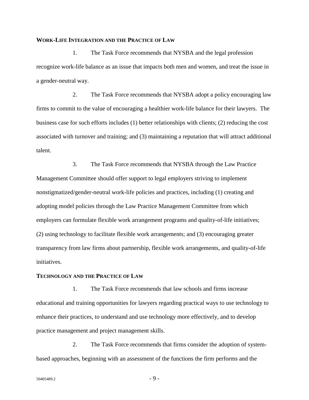#### **WORK-LIFE INTEGRATION AND THE PRACTICE OF LAW**

1. The Task Force recommends that NYSBA and the legal profession recognize work-life balance as an issue that impacts both men and women, and treat the issue in a gender-neutral way.

2. The Task Force recommends that NYSBA adopt a policy encouraging law firms to commit to the value of encouraging a healthier work-life balance for their lawyers. The business case for such efforts includes (1) better relationships with clients; (2) reducing the cost associated with turnover and training; and (3) maintaining a reputation that will attract additional talent.

3. The Task Force recommends that NYSBA through the Law Practice Management Committee should offer support to legal employers striving to implement nonstigmatized/gender-neutral work-life policies and practices, including (1) creating and adopting model policies through the Law Practice Management Committee from which employers can formulate flexible work arrangement programs and quality-of-life initiatives; (2) using technology to facilitate flexible work arrangements; and (3) encouraging greater transparency from law firms about partnership, flexible work arrangements, and quality-of-life initiatives.

#### **TECHNOLOGY AND THE PRACTICE OF LAW**

1. The Task Force recommends that law schools and firms increase educational and training opportunities for lawyers regarding practical ways to use technology to enhance their practices, to understand and use technology more effectively, and to develop practice management and project management skills.

2. The Task Force recommends that firms consider the adoption of systembased approaches, beginning with an assessment of the functions the firm performs and the

 $50405489.2$  - 9 -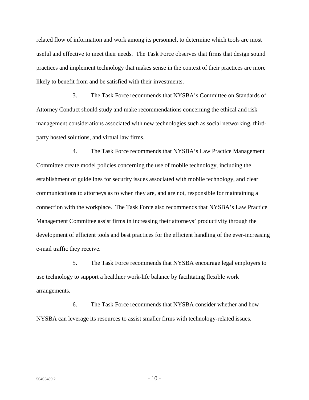related flow of information and work among its personnel, to determine which tools are most useful and effective to meet their needs. The Task Force observes that firms that design sound practices and implement technology that makes sense in the context of their practices are more likely to benefit from and be satisfied with their investments.

3. The Task Force recommends that NYSBA's Committee on Standards of Attorney Conduct should study and make recommendations concerning the ethical and risk management considerations associated with new technologies such as social networking, thirdparty hosted solutions, and virtual law firms.

4. The Task Force recommends that NYSBA's Law Practice Management Committee create model policies concerning the use of mobile technology, including the establishment of guidelines for security issues associated with mobile technology, and clear communications to attorneys as to when they are, and are not, responsible for maintaining a connection with the workplace. The Task Force also recommends that NYSBA's Law Practice Management Committee assist firms in increasing their attorneys' productivity through the development of efficient tools and best practices for the efficient handling of the ever-increasing e-mail traffic they receive.

5. The Task Force recommends that NYSBA encourage legal employers to use technology to support a healthier work-life balance by facilitating flexible work arrangements.

6. The Task Force recommends that NYSBA consider whether and how NYSBA can leverage its resources to assist smaller firms with technology-related issues.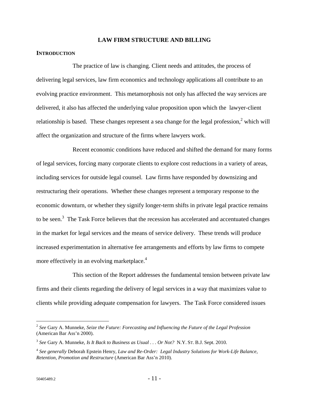#### **LAW FIRM STRUCTURE AND BILLING**

#### **INTRODUCTION**

The practice of law is changing. Client needs and attitudes, the process of delivering legal services, law firm economics and technology applications all contribute to an evolving practice environment. This metamorphosis not only has affected the way services are delivered, it also has affected the underlying value proposition upon which the lawyer-client relationship is based. These changes represent a sea change for the legal profession,<sup>2</sup> which will affect the organization and structure of the firms where lawyers work.

Recent economic conditions have reduced and shifted the demand for many forms of legal services, forcing many corporate clients to explore cost reductions in a variety of areas, including services for outside legal counsel. Law firms have responded by downsizing and restructuring their operations. Whether these changes represent a temporary response to the economic downturn, or whether they signify longer-term shifts in private legal practice remains to be seen.<sup>3</sup> The Task Force believes that the recession has accelerated and accentuated changes in the market for legal services and the means of service delivery. These trends will produce increased experimentation in alternative fee arrangements and efforts by law firms to compete more effectively in an evolving marketplace.<sup>4</sup>

This section of the Report addresses the fundamental tension between private law firms and their clients regarding the delivery of legal services in a way that maximizes value to clients while providing adequate compensation for lawyers. The Task Force considered issues

<sup>2</sup> *See* Gary A. Munneke, *Seize the Future: Forecasting and Influencing the Future of the Legal Profession* (American Bar Ass'n 2000).

<sup>3</sup> *See* Gary A. Munneke, *Is It Back to Business as Usual . . . Or Not?* N.Y. ST. B.J. Sept. 2010.

<sup>4</sup> *See generally* Deborah Epstein Henry, *Law and Re-Order: Legal Industry Solutions for Work-Life Balance, Retention, Promotion and Restructure* (American Bar Ass'n 2010).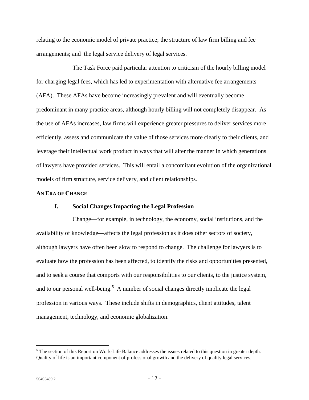relating to the economic model of private practice; the structure of law firm billing and fee arrangements; and the legal service delivery of legal services.

The Task Force paid particular attention to criticism of the hourly billing model for charging legal fees, which has led to experimentation with alternative fee arrangements (AFA). These AFAs have become increasingly prevalent and will eventually become predominant in many practice areas, although hourly billing will not completely disappear. As the use of AFAs increases, law firms will experience greater pressures to deliver services more efficiently, assess and communicate the value of those services more clearly to their clients, and leverage their intellectual work product in ways that will alter the manner in which generations of lawyers have provided services. This will entail a concomitant evolution of the organizational models of firm structure, service delivery, and client relationships.

#### **AN ERA OF CHANGE**

#### **I. Social Changes Impacting the Legal Profession**

Change—for example, in technology, the economy, social institutions, and the availability of knowledge—affects the legal profession as it does other sectors of society, although lawyers have often been slow to respond to change. The challenge for lawyers is to evaluate how the profession has been affected, to identify the risks and opportunities presented, and to seek a course that comports with our responsibilities to our clients, to the justice system, and to our personal well-being.<sup>5</sup> A number of social changes directly implicate the legal profession in various ways. These include shifts in demographics, client attitudes, talent management, technology, and economic globalization.

 $<sup>5</sup>$  The section of this Report on Work-Life Balance addresses the issues related to this question in greater depth.</sup> Quality of life is an important component of professional growth and the delivery of quality legal services.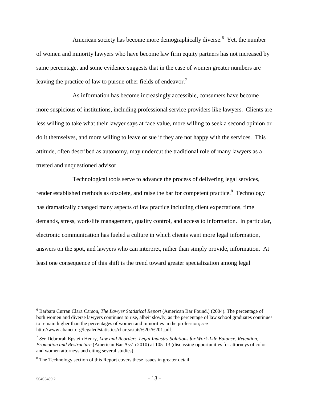American society has become more demographically diverse.<sup>6</sup> Yet, the number of women and minority lawyers who have become law firm equity partners has not increased by same percentage, and some evidence suggests that in the case of women greater numbers are leaving the practice of law to pursue other fields of endeavor.<sup>7</sup>

As information has become increasingly accessible, consumers have become more suspicious of institutions, including professional service providers like lawyers. Clients are less willing to take what their lawyer says at face value, more willing to seek a second opinion or do it themselves, and more willing to leave or sue if they are not happy with the services. This attitude, often described as autonomy, may undercut the traditional role of many lawyers as a trusted and unquestioned advisor.

Technological tools serve to advance the process of delivering legal services, render established methods as obsolete, and raise the bar for competent practice.<sup>8</sup> Technology has dramatically changed many aspects of law practice including client expectations, time demands, stress, work/life management, quality control, and access to information. In particular, electronic communication has fueled a culture in which clients want more legal information, answers on the spot, and lawyers who can interpret, rather than simply provide, information. At least one consequence of this shift is the trend toward greater specialization among legal

<sup>6</sup> Barbara Curran Clara Carson, *The Lawyer Statistical Report* (American Bar Found.) (2004). The percentage of both women and diverse lawyers continues to rise, albeit slowly, as the percentage of law school graduates continues to remain higher than the percentages of women and minorities in the profession; *see* http://www.abanet.org/legaled/statistics/charts/stats%20-%201.pdf.

<sup>7</sup> *See* Debrorah Epstein Henry, *Law and Reorder: Legal Industry Solutions for Work-Life Balance, Retention, Promotion and Restructure* (American Bar Ass'n 2010) at 105–13 (discussing opportunities for attorneys of color and women attorneys and citing several studies).

 $8$  The Technology section of this Report covers these issues in greater detail.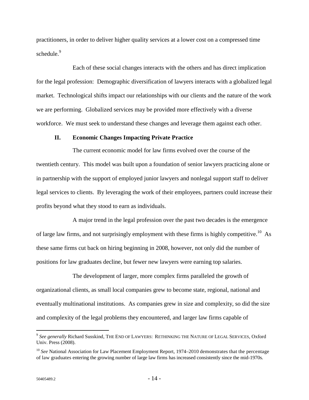practitioners, in order to deliver higher quality services at a lower cost on a compressed time schedule. $9$ 

Each of these social changes interacts with the others and has direct implication for the legal profession: Demographic diversification of lawyers interacts with a globalized legal market. Technological shifts impact our relationships with our clients and the nature of the work we are performing. Globalized services may be provided more effectively with a diverse workforce. We must seek to understand these changes and leverage them against each other.

#### **II. Economic Changes Impacting Private Practice**

The current economic model for law firms evolved over the course of the twentieth century. This model was built upon a foundation of senior lawyers practicing alone or in partnership with the support of employed junior lawyers and nonlegal support staff to deliver legal services to clients. By leveraging the work of their employees, partners could increase their profits beyond what they stood to earn as individuals.

A major trend in the legal profession over the past two decades is the emergence of large law firms, and not surprisingly employment with these firms is highly competitive.<sup>10</sup> As these same firms cut back on hiring beginning in 2008, however, not only did the number of positions for law graduates decline, but fewer new lawyers were earning top salaries.

The development of larger, more complex firms paralleled the growth of organizational clients, as small local companies grew to become state, regional, national and eventually multinational institutions. As companies grew in size and complexity, so did the size and complexity of the legal problems they encountered, and larger law firms capable of

<sup>9</sup> *See generally* Richard Susskind, THE END OF LAWYERS: RETHINKING THE NATURE OF LEGAL SERVICES, Oxford Univ. Press (2008).

<sup>&</sup>lt;sup>10</sup> See National Association for Law Placement Employment Report, 1974–2010 demonstrates that the percentage of law graduates entering the growing number of large law firms has increased consistently since the mid-1970s.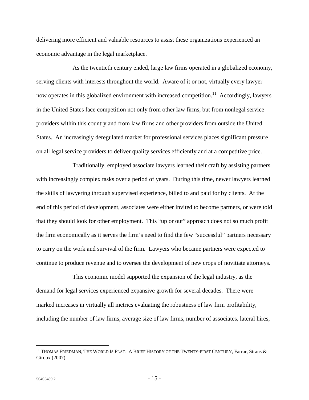delivering more efficient and valuable resources to assist these organizations experienced an economic advantage in the legal marketplace.

As the twentieth century ended, large law firms operated in a globalized economy, serving clients with interests throughout the world. Aware of it or not, virtually every lawyer now operates in this globalized environment with increased competition.<sup>11</sup> Accordingly, lawyers in the United States face competition not only from other law firms, but from nonlegal service providers within this country and from law firms and other providers from outside the United States. An increasingly deregulated market for professional services places significant pressure on all legal service providers to deliver quality services efficiently and at a competitive price.

Traditionally, employed associate lawyers learned their craft by assisting partners with increasingly complex tasks over a period of years. During this time, newer lawyers learned the skills of lawyering through supervised experience, billed to and paid for by clients. At the end of this period of development, associates were either invited to become partners, or were told that they should look for other employment. This "up or out" approach does not so much profit the firm economically as it serves the firm's need to find the few "successful" partners necessary to carry on the work and survival of the firm. Lawyers who became partners were expected to continue to produce revenue and to oversee the development of new crops of novitiate attorneys.

This economic model supported the expansion of the legal industry, as the demand for legal services experienced expansive growth for several decades. There were marked increases in virtually all metrics evaluating the robustness of law firm profitability, including the number of law firms, average size of law firms, number of associates, lateral hires,

 $^{11}$  Thomas Friedman, The World Is Flat: A Brief History of the Twenty-first Century, Farrar, Straus  $\&$ Giroux (2007).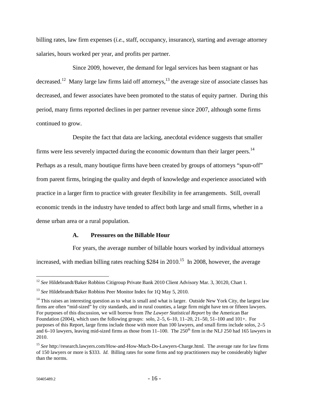billing rates, law firm expenses (*i.e.*, staff, occupancy, insurance), starting and average attorney salaries, hours worked per year, and profits per partner.

Since 2009, however, the demand for legal services has been stagnant or has decreased.<sup>12</sup> Many large law firms laid off attorneys,<sup>13</sup> the average size of associate classes has decreased, and fewer associates have been promoted to the status of equity partner. During this period, many firms reported declines in per partner revenue since 2007, although some firms continued to grow.

Despite the fact that data are lacking, anecdotal evidence suggests that smaller firms were less severely impacted during the economic downturn than their larger peers.<sup>14</sup> Perhaps as a result, many boutique firms have been created by groups of attorneys "spun-off" from parent firms, bringing the quality and depth of knowledge and experience associated with practice in a larger firm to practice with greater flexibility in fee arrangements. Still, overall economic trends in the industry have tended to affect both large and small firms, whether in a dense urban area or a rural population.

#### **A. Pressures on the Billable Hour**

For years, the average number of billable hours worked by individual attorneys increased, with median billing rates reaching  $$284$  in  $2010$ <sup>15</sup> In 2008, however, the average

<sup>&</sup>lt;sup>12</sup> See Hildebrandt/Baker Robbins Citigroup Private Bank 2010 Client Advisory Mar. 3, 30120, Chart 1.

<sup>&</sup>lt;sup>13</sup> *See* Hildebrandt/Baker Robbins Peer Monitor Index for 1Q May 5, 2010.

<sup>&</sup>lt;sup>14</sup> This raises an interesting question as to what is small and what is larger. Outside New York City, the largest law firms are often "mid-sized" by city standards, and in rural counties, a large firm might have ten or fifteen lawyers. For purposes of this discussion, we will borrow from *The Lawyer Statistical Report* by the American Bar Foundation (2004), which uses the following groups: solo,  $2-5$ ,  $6-10$ ,  $11-20$ ,  $21-50$ ,  $51-100$  and  $101+$ . For purposes of this Report, large firms include those with more than 100 lawyers, and small firms include solos, 2–5 and 6–10 lawyers, leaving mid-sized firms as those from  $11-100$ . The  $250<sup>th</sup>$  firm in the NLJ 250 had 165 lawyers in 2010.

<sup>15</sup> *See* http://research.lawyers.com/How-and-How-Much-Do-Lawyers-Charge.html. The average rate for law firms of 150 lawyers or more is \$333. *Id*. Billing rates for some firms and top practitioners may be considerably higher than the norms.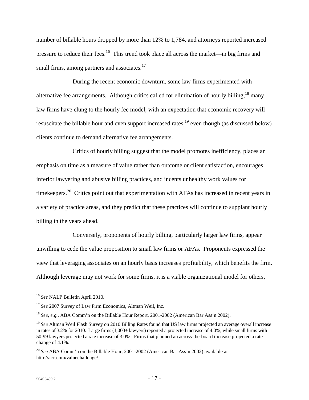number of billable hours dropped by more than 12% to 1,784, and attorneys reported increased pressure to reduce their fees.16 This trend took place all across the market—in big firms and small firms, among partners and associates. $17$ 

During the recent economic downturn, some law firms experimented with alternative fee arrangements. Although critics called for elimination of hourly billing,  $18$  many law firms have clung to the hourly fee model, with an expectation that economic recovery will resuscitate the billable hour and even support increased rates,<sup>19</sup> even though (as discussed below) clients continue to demand alternative fee arrangements.

Critics of hourly billing suggest that the model promotes inefficiency, places an emphasis on time as a measure of value rather than outcome or client satisfaction, encourages inferior lawyering and abusive billing practices, and incents unhealthy work values for timekeepers.<sup>20</sup> Critics point out that experimentation with AFAs has increased in recent years in a variety of practice areas, and they predict that these practices will continue to supplant hourly billing in the years ahead.

Conversely, proponents of hourly billing, particularly larger law firms, appear unwilling to cede the value proposition to small law firms or AFAs. Proponents expressed the view that leveraging associates on an hourly basis increases profitability, which benefits the firm. Although leverage may not work for some firms, it is a viable organizational model for others,

<sup>16</sup> *See* NALP Bulletin April 2010.

<sup>&</sup>lt;sup>17</sup> See 2007 Survey of Law Firm Economics, Altman Weil, Inc.

<sup>18</sup> *See, e.g.,* ABA Comm'n on the Billable Hour Report*,* 2001-2002 (American Bar Ass'n 2002).

<sup>&</sup>lt;sup>19</sup> See Altman Weil Flash Survey on 2010 Billing Rates found that US law firms projected an average overall increase in rates of 3.2% for 2010. Large firms  $(1,000+$  lawyers) reported a projected increase of 4.0%, while small firms with 50-99 lawyers projected a rate increase of 3.0%. Firms that planned an across-the-board increase projected a rate change of 4.1%.

<sup>20</sup> *See* ABA Comm'n on the Billable Hour, 2001-2002 (American Bar Ass'n 2002) available at http://acc.com/valuechallenge/.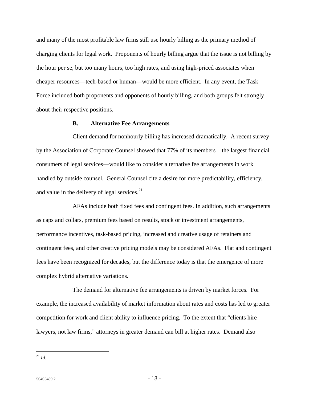and many of the most profitable law firms still use hourly billing as the primary method of charging clients for legal work. Proponents of hourly billing argue that the issue is not billing by the hour per se, but too many hours, too high rates, and using high-priced associates when cheaper resources—tech-based or human—would be more efficient. In any event, the Task Force included both proponents and opponents of hourly billing, and both groups felt strongly about their respective positions.

#### **B. Alternative Fee Arrangements**

Client demand for nonhourly billing has increased dramatically. A recent survey by the Association of Corporate Counsel showed that 77% of its members—the largest financial consumers of legal services—would like to consider alternative fee arrangements in work handled by outside counsel. General Counsel cite a desire for more predictability, efficiency, and value in the delivery of legal services.<sup>21</sup>

AFAs include both fixed fees and contingent fees. In addition, such arrangements as caps and collars, premium fees based on results, stock or investment arrangements, performance incentives, task-based pricing, increased and creative usage of retainers and contingent fees, and other creative pricing models may be considered AFAs. Flat and contingent fees have been recognized for decades, but the difference today is that the emergence of more complex hybrid alternative variations.

The demand for alternative fee arrangements is driven by market forces. For example, the increased availability of market information about rates and costs has led to greater competition for work and client ability to influence pricing. To the extent that "clients hire lawyers, not law firms," attorneys in greater demand can bill at higher rates. Demand also

<sup>21</sup> *Id.*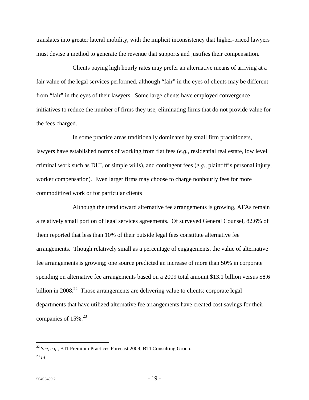translates into greater lateral mobility, with the implicit inconsistency that higher-priced lawyers must devise a method to generate the revenue that supports and justifies their compensation.

Clients paying high hourly rates may prefer an alternative means of arriving at a fair value of the legal services performed, although "fair" in the eyes of clients may be different from "fair" in the eyes of their lawyers. Some large clients have employed convergence initiatives to reduce the number of firms they use, eliminating firms that do not provide value for the fees charged.

In some practice areas traditionally dominated by small firm practitioners, lawyers have established norms of working from flat fees (*e.g.*, residential real estate, low level criminal work such as DUI, or simple wills), and contingent fees (*e.g.*, plaintiff's personal injury, worker compensation). Even larger firms may choose to charge nonhourly fees for more commoditized work or for particular clients

Although the trend toward alternative fee arrangements is growing, AFAs remain a relatively small portion of legal services agreements. Of surveyed General Counsel, 82.6% of them reported that less than 10% of their outside legal fees constitute alternative fee arrangements. Though relatively small as a percentage of engagements, the value of alternative fee arrangements is growing; one source predicted an increase of more than 50% in corporate spending on alternative fee arrangements based on a 2009 total amount \$13.1 billion versus \$8.6 billion in  $2008<sup>22</sup>$  Those arrangements are delivering value to clients; corporate legal departments that have utilized alternative fee arrangements have created cost savings for their companies of  $15\%$ <sup>23</sup>

<u>.</u>

<sup>22</sup> *See, e.g.,* BTI Premium Practices Forecast 2009, BTI Consulting Group.  $^{23}$  *Id.*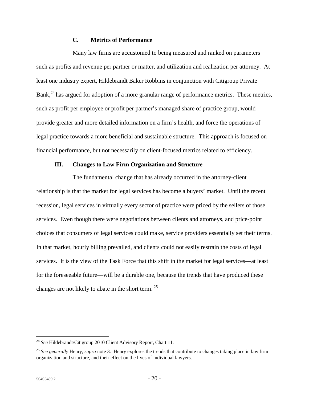#### **C. Metrics of Performance**

Many law firms are accustomed to being measured and ranked on parameters such as profits and revenue per partner or matter, and utilization and realization per attorney. At least one industry expert, Hildebrandt Baker Robbins in conjunction with Citigroup Private Bank,<sup>24</sup> has argued for adoption of a more granular range of performance metrics. These metrics, such as profit per employee or profit per partner's managed share of practice group, would provide greater and more detailed information on a firm's health, and force the operations of legal practice towards a more beneficial and sustainable structure. This approach is focused on financial performance, but not necessarily on client-focused metrics related to efficiency.

#### **III. Changes to Law Firm Organization and Structure**

The fundamental change that has already occurred in the attorney-client relationship is that the market for legal services has become a buyers' market. Until the recent recession, legal services in virtually every sector of practice were priced by the sellers of those services. Even though there were negotiations between clients and attorneys, and price-point choices that consumers of legal services could make, service providers essentially set their terms. In that market, hourly billing prevailed, and clients could not easily restrain the costs of legal services. It is the view of the Task Force that this shift in the market for legal services—at least for the foreseeable future—will be a durable one, because the trends that have produced these changes are not likely to abate in the short term.  $25$ 

<sup>24</sup> *See* Hildebrandt/Citigroup 2010 Client Advisory Report, Chart 11.

<sup>25</sup> *See generally* Henry, *supra* note 3. Henry explores the trends that contribute to changes taking place in law firm organization and structure, and their effect on the lives of individual lawyers.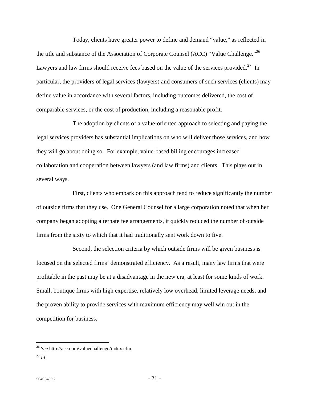Today, clients have greater power to define and demand "value," as reflected in the title and substance of the Association of Corporate Counsel (ACC) "Value Challenge."<sup>26</sup> Lawyers and law firms should receive fees based on the value of the services provided.<sup>27</sup> In particular, the providers of legal services (lawyers) and consumers of such services (clients) may define value in accordance with several factors, including outcomes delivered, the cost of comparable services, or the cost of production, including a reasonable profit.

The adoption by clients of a value-oriented approach to selecting and paying the legal services providers has substantial implications on who will deliver those services, and how they will go about doing so. For example, value-based billing encourages increased collaboration and cooperation between lawyers (and law firms) and clients. This plays out in several ways.

First, clients who embark on this approach tend to reduce significantly the number of outside firms that they use. One General Counsel for a large corporation noted that when her company began adopting alternate fee arrangements, it quickly reduced the number of outside firms from the sixty to which that it had traditionally sent work down to five.

Second, the selection criteria by which outside firms will be given business is focused on the selected firms' demonstrated efficiency. As a result, many law firms that were profitable in the past may be at a disadvantage in the new era, at least for some kinds of work. Small, boutique firms with high expertise, relatively low overhead, limited leverage needs, and the proven ability to provide services with maximum efficiency may well win out in the competition for business.

<sup>26</sup> *See* http://acc.com/valuechallenge/index.cfm.

<sup>27</sup> *Id.*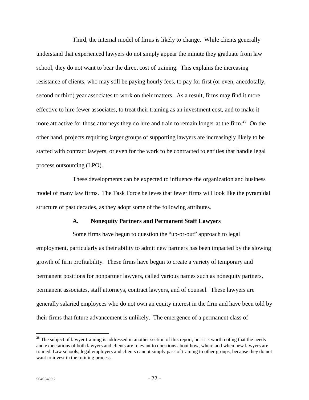Third, the internal model of firms is likely to change. While clients generally understand that experienced lawyers do not simply appear the minute they graduate from law school, they do not want to bear the direct cost of training. This explains the increasing resistance of clients, who may still be paying hourly fees, to pay for first (or even, anecdotally, second or third) year associates to work on their matters. As a result, firms may find it more effective to hire fewer associates, to treat their training as an investment cost, and to make it more attractive for those attorneys they do hire and train to remain longer at the firm.<sup>28</sup> On the other hand, projects requiring larger groups of supporting lawyers are increasingly likely to be staffed with contract lawyers, or even for the work to be contracted to entities that handle legal process outsourcing (LPO).

These developments can be expected to influence the organization and business model of many law firms. The Task Force believes that fewer firms will look like the pyramidal structure of past decades, as they adopt some of the following attributes.

#### **A. Nonequity Partners and Permanent Staff Lawyers**

Some firms have begun to question the "up-or-out" approach to legal employment, particularly as their ability to admit new partners has been impacted by the slowing growth of firm profitability. These firms have begun to create a variety of temporary and permanent positions for nonpartner lawyers, called various names such as nonequity partners, permanent associates, staff attorneys, contract lawyers, and of counsel. These lawyers are generally salaried employees who do not own an equity interest in the firm and have been told by their firms that future advancement is unlikely. The emergence of a permanent class of

 $28$  The subject of lawyer training is addressed in another section of this report, but it is worth noting that the needs and expectations of both lawyers and clients are relevant to questions about how, where and when new lawyers are trained. Law schools, legal employers and clients cannot simply pass of training to other groups, because they do not want to invest in the training process.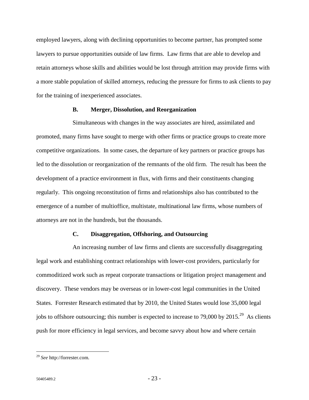employed lawyers, along with declining opportunities to become partner, has prompted some lawyers to pursue opportunities outside of law firms. Law firms that are able to develop and retain attorneys whose skills and abilities would be lost through attrition may provide firms with a more stable population of skilled attorneys, reducing the pressure for firms to ask clients to pay for the training of inexperienced associates.

#### **B. Merger, Dissolution, and Reorganization**

Simultaneous with changes in the way associates are hired, assimilated and promoted, many firms have sought to merge with other firms or practice groups to create more competitive organizations. In some cases, the departure of key partners or practice groups has led to the dissolution or reorganization of the remnants of the old firm. The result has been the development of a practice environment in flux, with firms and their constituents changing regularly. This ongoing reconstitution of firms and relationships also has contributed to the emergence of a number of multioffice, multistate, multinational law firms, whose numbers of attorneys are not in the hundreds, but the thousands.

#### **C. Disaggregation, Offshoring, and Outsourcing**

An increasing number of law firms and clients are successfully disaggregating legal work and establishing contract relationships with lower-cost providers, particularly for commoditized work such as repeat corporate transactions or litigation project management and discovery. These vendors may be overseas or in lower-cost legal communities in the United States. Forrester Research estimated that by 2010, the United States would lose 35,000 legal jobs to offshore outsourcing; this number is expected to increase to 79,000 by  $2015.<sup>29</sup>$  As clients push for more efficiency in legal services, and become savvy about how and where certain

<sup>29</sup> *See* http://forrester.com.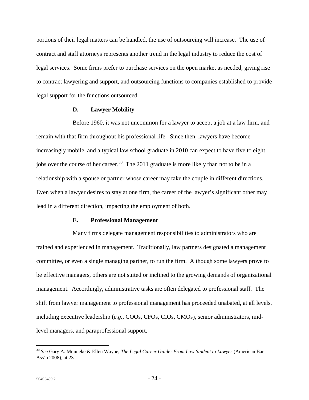portions of their legal matters can be handled, the use of outsourcing will increase. The use of contract and staff attorneys represents another trend in the legal industry to reduce the cost of legal services. Some firms prefer to purchase services on the open market as needed, giving rise to contract lawyering and support, and outsourcing functions to companies established to provide legal support for the functions outsourced.

#### **D. Lawyer Mobility**

Before 1960, it was not uncommon for a lawyer to accept a job at a law firm, and remain with that firm throughout his professional life. Since then, lawyers have become increasingly mobile, and a typical law school graduate in 2010 can expect to have five to eight jobs over the course of her career.<sup>30</sup> The 2011 graduate is more likely than not to be in a relationship with a spouse or partner whose career may take the couple in different directions. Even when a lawyer desires to stay at one firm, the career of the lawyer's significant other may lead in a different direction, impacting the employment of both.

#### **E. Professional Management**

Many firms delegate management responsibilities to administrators who are trained and experienced in management. Traditionally, law partners designated a management committee, or even a single managing partner, to run the firm. Although some lawyers prove to be effective managers, others are not suited or inclined to the growing demands of organizational management. Accordingly, administrative tasks are often delegated to professional staff. The shift from lawyer management to professional management has proceeded unabated, at all levels, including executive leadership (*e.g.*, COOs, CFOs, CIOs, CMOs), senior administrators, midlevel managers, and paraprofessional support.

<sup>30</sup> *See* Gary A. Munneke & Ellen Wayne, *The Legal Career Guide: From Law Student to Lawyer* (American Bar Ass'n 2008), at 23.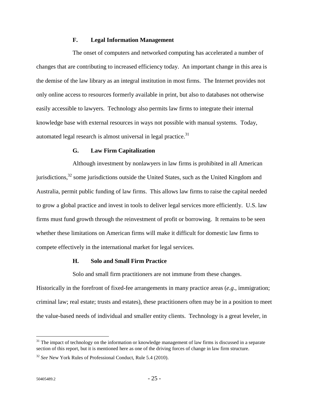#### **F. Legal Information Management**

The onset of computers and networked computing has accelerated a number of changes that are contributing to increased efficiency today. An important change in this area is the demise of the law library as an integral institution in most firms. The Internet provides not only online access to resources formerly available in print, but also to databases not otherwise easily accessible to lawyers. Technology also permits law firms to integrate their internal knowledge base with external resources in ways not possible with manual systems. Today, automated legal research is almost universal in legal practice. $31$ 

#### **G. Law Firm Capitalization**

Although investment by nonlawyers in law firms is prohibited in all American jurisdictions,<sup>32</sup> some jurisdictions outside the United States, such as the United Kingdom and Australia, permit public funding of law firms. This allows law firms to raise the capital needed to grow a global practice and invest in tools to deliver legal services more efficiently. U.S. law firms must fund growth through the reinvestment of profit or borrowing. It remains to be seen whether these limitations on American firms will make it difficult for domestic law firms to compete effectively in the international market for legal services.

#### **H. Solo and Small Firm Practice**

Solo and small firm practitioners are not immune from these changes.

Historically in the forefront of fixed-fee arrangements in many practice areas (*e.g.*, immigration; criminal law; real estate; trusts and estates), these practitioners often may be in a position to meet the value-based needs of individual and smaller entity clients. Technology is a great leveler, in

 $31$  The impact of technology on the information or knowledge management of law firms is discussed in a separate section of this report, but it is mentioned here as one of the driving forces of change in law firm structure.

<sup>32</sup> *See* New York Rules of Professional Conduct, Rule 5.4 (2010).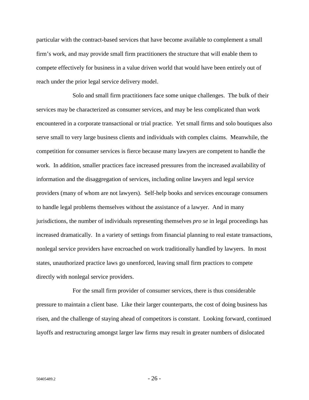particular with the contract-based services that have become available to complement a small firm's work, and may provide small firm practitioners the structure that will enable them to compete effectively for business in a value driven world that would have been entirely out of reach under the prior legal service delivery model.

Solo and small firm practitioners face some unique challenges. The bulk of their services may be characterized as consumer services, and may be less complicated than work encountered in a corporate transactional or trial practice. Yet small firms and solo boutiques also serve small to very large business clients and individuals with complex claims. Meanwhile, the competition for consumer services is fierce because many lawyers are competent to handle the work. In addition, smaller practices face increased pressures from the increased availability of information and the disaggregation of services, including online lawyers and legal service providers (many of whom are not lawyers). Self-help books and services encourage consumers to handle legal problems themselves without the assistance of a lawyer. And in many jurisdictions, the number of individuals representing themselves *pro se* in legal proceedings has increased dramatically. In a variety of settings from financial planning to real estate transactions, nonlegal service providers have encroached on work traditionally handled by lawyers. In most states, unauthorized practice laws go unenforced, leaving small firm practices to compete directly with nonlegal service providers.

For the small firm provider of consumer services, there is thus considerable pressure to maintain a client base. Like their larger counterparts, the cost of doing business has risen, and the challenge of staying ahead of competitors is constant. Looking forward, continued layoffs and restructuring amongst larger law firms may result in greater numbers of dislocated

 $50405489.2$  - 26 -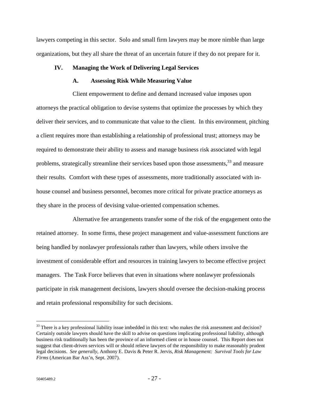lawyers competing in this sector. Solo and small firm lawyers may be more nimble than large organizations, but they all share the threat of an uncertain future if they do not prepare for it.

#### **IV. Managing the Work of Delivering Legal Services**

#### **A. Assessing Risk While Measuring Value**

Client empowerment to define and demand increased value imposes upon attorneys the practical obligation to devise systems that optimize the processes by which they deliver their services, and to communicate that value to the client. In this environment, pitching a client requires more than establishing a relationship of professional trust; attorneys may be required to demonstrate their ability to assess and manage business risk associated with legal problems, strategically streamline their services based upon those assessments,<sup>33</sup> and measure their results. Comfort with these types of assessments, more traditionally associated with inhouse counsel and business personnel, becomes more critical for private practice attorneys as they share in the process of devising value-oriented compensation schemes.

Alternative fee arrangements transfer some of the risk of the engagement onto the retained attorney. In some firms, these project management and value-assessment functions are being handled by nonlawyer professionals rather than lawyers, while others involve the investment of considerable effort and resources in training lawyers to become effective project managers. The Task Force believes that even in situations where nonlawyer professionals participate in risk management decisions, lawyers should oversee the decision-making process and retain professional responsibility for such decisions.

<u>.</u>

 $33$  There is a key professional liability issue imbedded in this text: who makes the risk assessment and decision? Certainly outside lawyers should have the skill to advise on questions implicating professional liability, although business risk traditionally has been the province of an informed client or in house counsel. This Report does not suggest that client-driven services will or should relieve lawyers of the responsibility to make reasonably prudent legal decisions. *See generally*, Anthony E. Davis & Peter R. Jervis, *Risk Management: Survival Tools for Law Firms* (American Bar Ass'n, Sept. 2007).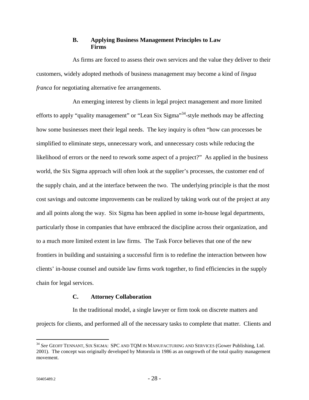#### **B. Applying Business Management Principles to Law Firms**

As firms are forced to assess their own services and the value they deliver to their customers, widely adopted methods of business management may become a kind of *lingua franca* for negotiating alternative fee arrangements.

An emerging interest by clients in legal project management and more limited efforts to apply "quality management" or "Lean Six Sigma"<sup>34</sup>-style methods may be affecting how some businesses meet their legal needs. The key inquiry is often "how can processes be simplified to eliminate steps, unnecessary work, and unnecessary costs while reducing the likelihood of errors or the need to rework some aspect of a project?" As applied in the business world, the Six Sigma approach will often look at the supplier's processes, the customer end of the supply chain, and at the interface between the two. The underlying principle is that the most cost savings and outcome improvements can be realized by taking work out of the project at any and all points along the way. Six Sigma has been applied in some in-house legal departments, particularly those in companies that have embraced the discipline across their organization, and to a much more limited extent in law firms. The Task Force believes that one of the new frontiers in building and sustaining a successful firm is to redefine the interaction between how clients' in-house counsel and outside law firms work together, to find efficiencies in the supply chain for legal services.

#### **C. Attorney Collaboration**

In the traditional model, a single lawyer or firm took on discrete matters and projects for clients, and performed all of the necessary tasks to complete that matter. Clients and

<sup>34</sup> *See* GEOFF TENNANT, SIX SIGMA: SPC AND TQM IN MANUFACTURING AND SERVICES (Gower Publishing, Ltd. 2001). The concept was originally developed by Motorola in 1986 as an outgrowth of the total quality management movement.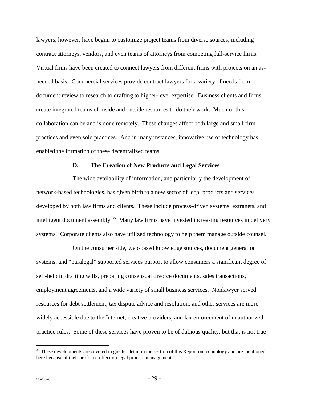lawyers, however, have begun to customize project teams from diverse sources, including contract attorneys, vendors, and even teams of attorneys from competing full-service firms. Virtual firms have been created to connect lawyers from different firms with projects on an asneeded basis. Commercial services provide contract lawyers for a variety of needs from document review to research to drafting to higher-level expertise. Business clients and firms create integrated teams of inside and outside resources to do their work. Much of this collaboration can be and is done remotely. These changes affect both large and small firm practices and even solo practices. And in many instances, innovative use of technology has enabled the formation of these decentralized teams.

#### **D. The Creation of New Products and Legal Services**

The wide availability of information, and particularly the development of network-based technologies, has given birth to a new sector of legal products and services developed by both law firms and clients. These include process-driven systems, extranets, and intelligent document assembly.<sup>35</sup> Many law firms have invested increasing resources in delivery systems. Corporate clients also have utilized technology to help them manage outside counsel.

On the consumer side, web-based knowledge sources, document generation systems, and "paralegal" supported services purport to allow consumers a significant degree of self-help in drafting wills, preparing consensual divorce documents, sales transactions, employment agreements, and a wide variety of small business services. Nonlawyer served resources for debt settlement, tax dispute advice and resolution, and other services are more widely accessible due to the Internet, creative providers, and lax enforcement of unauthorized practice rules. Some of these services have proven to be of dubious quality, but that is not true

<u>.</u>

<sup>&</sup>lt;sup>35</sup> These developments are covered in greater detail in the section of this Report on technology and are mentioned here because of their profound effect on legal process management.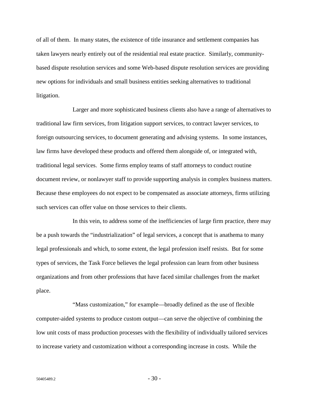of all of them. In many states, the existence of title insurance and settlement companies has taken lawyers nearly entirely out of the residential real estate practice. Similarly, communitybased dispute resolution services and some Web-based dispute resolution services are providing new options for individuals and small business entities seeking alternatives to traditional litigation.

Larger and more sophisticated business clients also have a range of alternatives to traditional law firm services, from litigation support services, to contract lawyer services, to foreign outsourcing services, to document generating and advising systems. In some instances, law firms have developed these products and offered them alongside of, or integrated with, traditional legal services. Some firms employ teams of staff attorneys to conduct routine document review, or nonlawyer staff to provide supporting analysis in complex business matters. Because these employees do not expect to be compensated as associate attorneys, firms utilizing such services can offer value on those services to their clients.

In this vein, to address some of the inefficiencies of large firm practice, there may be a push towards the "industrialization" of legal services, a concept that is anathema to many legal professionals and which, to some extent, the legal profession itself resists. But for some types of services, the Task Force believes the legal profession can learn from other business organizations and from other professions that have faced similar challenges from the market place.

"Mass customization," for example—broadly defined as the use of flexible computer-aided systems to produce custom output—can serve the objective of combining the low unit costs of mass production processes with the flexibility of individually tailored services to increase variety and customization without a corresponding increase in costs. While the

 $50405489.2$  - 30 -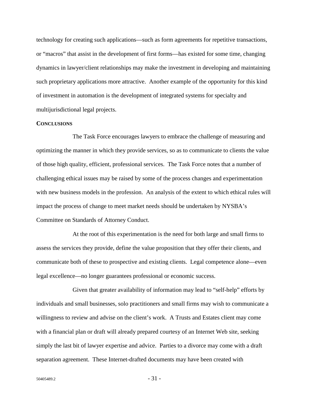technology for creating such applications—such as form agreements for repetitive transactions, or "macros" that assist in the development of first forms—has existed for some time, changing dynamics in lawyer/client relationships may make the investment in developing and maintaining such proprietary applications more attractive. Another example of the opportunity for this kind of investment in automation is the development of integrated systems for specialty and multijurisdictional legal projects.

#### **CONCLUSIONS**

The Task Force encourages lawyers to embrace the challenge of measuring and optimizing the manner in which they provide services, so as to communicate to clients the value of those high quality, efficient, professional services. The Task Force notes that a number of challenging ethical issues may be raised by some of the process changes and experimentation with new business models in the profession. An analysis of the extent to which ethical rules will impact the process of change to meet market needs should be undertaken by NYSBA's Committee on Standards of Attorney Conduct.

At the root of this experimentation is the need for both large and small firms to assess the services they provide, define the value proposition that they offer their clients, and communicate both of these to prospective and existing clients. Legal competence alone—even legal excellence—no longer guarantees professional or economic success.

Given that greater availability of information may lead to "self-help" efforts by individuals and small businesses, solo practitioners and small firms may wish to communicate a willingness to review and advise on the client's work. A Trusts and Estates client may come with a financial plan or draft will already prepared courtesy of an Internet Web site, seeking simply the last bit of lawyer expertise and advice. Parties to a divorce may come with a draft separation agreement. These Internet-drafted documents may have been created with

 $50405489.2$  - 31 -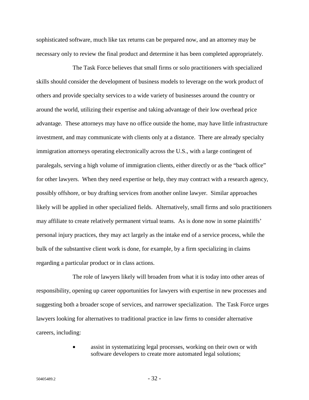sophisticated software, much like tax returns can be prepared now, and an attorney may be necessary only to review the final product and determine it has been completed appropriately.

The Task Force believes that small firms or solo practitioners with specialized skills should consider the development of business models to leverage on the work product of others and provide specialty services to a wide variety of businesses around the country or around the world, utilizing their expertise and taking advantage of their low overhead price advantage. These attorneys may have no office outside the home, may have little infrastructure investment, and may communicate with clients only at a distance. There are already specialty immigration attorneys operating electronically across the U.S., with a large contingent of paralegals, serving a high volume of immigration clients, either directly or as the "back office" for other lawyers. When they need expertise or help, they may contract with a research agency, possibly offshore, or buy drafting services from another online lawyer. Similar approaches likely will be applied in other specialized fields. Alternatively, small firms and solo practitioners may affiliate to create relatively permanent virtual teams. As is done now in some plaintiffs' personal injury practices, they may act largely as the intake end of a service process, while the bulk of the substantive client work is done, for example, by a firm specializing in claims regarding a particular product or in class actions.

The role of lawyers likely will broaden from what it is today into other areas of responsibility, opening up career opportunities for lawyers with expertise in new processes and suggesting both a broader scope of services, and narrower specialization. The Task Force urges lawyers looking for alternatives to traditional practice in law firms to consider alternative careers, including:

> assist in systematizing legal processes, working on their own or with software developers to create more automated legal solutions;

 $50405489.2$  - 32 -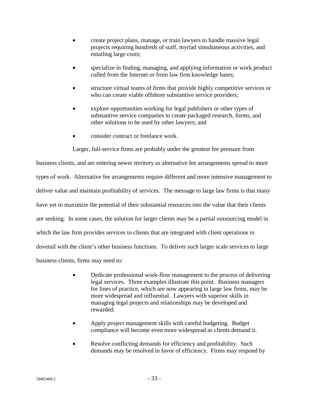- create project plans, manage, or train lawyers to handle massive legal projects requiring hundreds of staff, myriad simultaneous activities, and entailing large costs;
- specialize in finding, managing, and applying information or work product culled from the Internet or from law firm knowledge bases;
- structure virtual teams of firms that provide highly competitive services or who can create viable offshore substantive service providers;
- explore opportunities working for legal publishers or other types of substantive service companies to create packaged research, forms, and other solutions to be used by other lawyers; and
- consider contract or freelance work.

Larger, full-service firms are probably under the greatest fee pressure from

business clients, and are entering newer territory as alternative fee arrangements spread to more types of work. Alternative fee arrangements require different and more intensive management to deliver value and maintain profitability of services. The message to large law firms is that many have yet to maximize the potential of their substantial resources into the value that their clients are seeking. In some cases, the solution for larger clients may be a partial outsourcing model in which the law firm provides services to clients that are integrated with client operations to dovetail with the client's other business functions. To deliver such larger scale services to large business clients, firms may need to:

- Dedicate professional work-flow management to the process of delivering legal services. Three examples illustrate this point. Business managers for lines of practice, which are now appearing in large law firms, may be more widespread and influential. Lawyers with superior skills in managing legal projects and relationships may be developed and rewarded.
- Apply project management skills with careful budgeting. Budget compliance will become even more widespread as clients demand it.
- Resolve conflicting demands for efficiency and profitability. Such demands may be resolved in favor of efficiency. Firms may respond by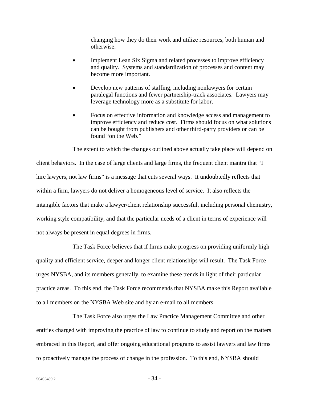changing how they do their work and utilize resources, both human and otherwise.

- Implement Lean Six Sigma and related processes to improve efficiency and quality. Systems and standardization of processes and content may become more important.
- Develop new patterns of staffing, including nonlawyers for certain paralegal functions and fewer partnership-track associates. Lawyers may leverage technology more as a substitute for labor.
- Focus on effective information and knowledge access and management to improve efficiency and reduce cost. Firms should focus on what solutions can be bought from publishers and other third-party providers or can be found "on the Web."

The extent to which the changes outlined above actually take place will depend on client behaviors. In the case of large clients and large firms, the frequent client mantra that "I hire lawyers, not law firms" is a message that cuts several ways. It undoubtedly reflects that within a firm, lawyers do not deliver a homogeneous level of service. It also reflects the intangible factors that make a lawyer/client relationship successful, including personal chemistry, working style compatibility, and that the particular needs of a client in terms of experience will not always be present in equal degrees in firms.

The Task Force believes that if firms make progress on providing uniformly high quality and efficient service, deeper and longer client relationships will result. The Task Force urges NYSBA, and its members generally, to examine these trends in light of their particular practice areas. To this end, the Task Force recommends that NYSBA make this Report available to all members on the NYSBA Web site and by an e-mail to all members.

The Task Force also urges the Law Practice Management Committee and other entities charged with improving the practice of law to continue to study and report on the matters embraced in this Report, and offer ongoing educational programs to assist lawyers and law firms to proactively manage the process of change in the profession. To this end, NYSBA should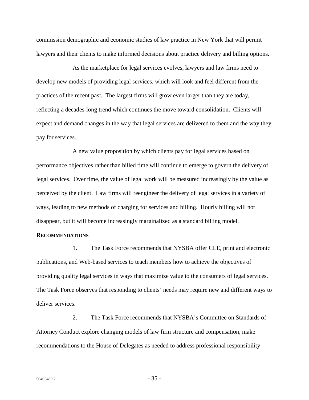commission demographic and economic studies of law practice in New York that will permit lawyers and their clients to make informed decisions about practice delivery and billing options.

As the marketplace for legal services evolves, lawyers and law firms need to develop new models of providing legal services, which will look and feel different from the practices of the recent past. The largest firms will grow even larger than they are today, reflecting a decades-long trend which continues the move toward consolidation. Clients will expect and demand changes in the way that legal services are delivered to them and the way they pay for services.

A new value proposition by which clients pay for legal services based on performance objectives rather than billed time will continue to emerge to govern the delivery of legal services. Over time, the value of legal work will be measured increasingly by the value as perceived by the client. Law firms will reengineer the delivery of legal services in a variety of ways, leading to new methods of charging for services and billing. Hourly billing will not disappear, but it will become increasingly marginalized as a standard billing model.

#### **RECOMMENDATIONS**

1. The Task Force recommends that NYSBA offer CLE, print and electronic publications, and Web-based services to teach members how to achieve the objectives of providing quality legal services in ways that maximize value to the consumers of legal services. The Task Force observes that responding to clients' needs may require new and different ways to deliver services.

2. The Task Force recommends that NYSBA's Committee on Standards of Attorney Conduct explore changing models of law firm structure and compensation, make recommendations to the House of Delegates as needed to address professional responsibility

 $50405489.2$  - 35 -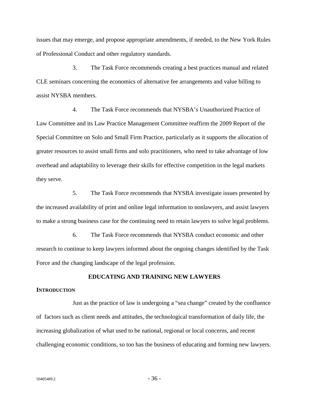issues that may emerge, and propose appropriate amendments, if needed, to the New York Rules of Professional Conduct and other regulatory standards.

3. The Task Force recommends creating a best practices manual and related CLE seminars concerning the economics of alternative fee arrangements and value billing to assist NYSBA members.

4. The Task Force recommends that NYSBA's Unauthorized Practice of Law Committee and its Law Practice Management Committee reaffirm the 2009 Report of the Special Committee on Solo and Small Firm Practice, particularly as it supports the allocation of greater resources to assist small firms and solo practitioners, who need to take advantage of low overhead and adaptability to leverage their skills for effective competition in the legal markets they serve.

5. The Task Force recommends that NYSBA investigate issues presented by the increased availability of print and online legal information to nonlawyers, and assist lawyers to make a strong business case for the continuing need to retain lawyers to solve legal problems.

6. The Task Force recommends that NYSBA conduct economic and other research to continue to keep lawyers informed about the ongoing changes identified by the Task Force and the changing landscape of the legal profession.

# **EDUCATING AND TRAINING NEW LAWYERS**

#### **INTRODUCTION**

Just as the practice of law is undergoing a "sea change" created by the confluence of factors such as client needs and attitudes, the technological transformation of daily life, the increasing globalization of what used to be national, regional or local concerns, and recent challenging economic conditions, so too has the business of educating and forming new lawyers.

 $50405489.2$  - 36 -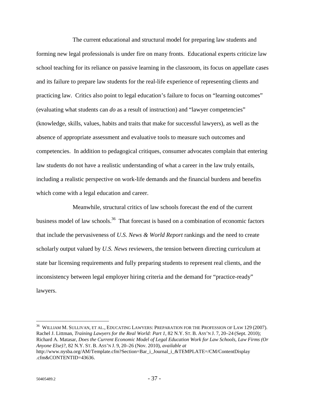The current educational and structural model for preparing law students and forming new legal professionals is under fire on many fronts. Educational experts criticize law school teaching for its reliance on passive learning in the classroom, its focus on appellate cases and its failure to prepare law students for the real-life experience of representing clients and practicing law. Critics also point to legal education's failure to focus on "learning outcomes" (evaluating what students can *do* as a result of instruction) and "lawyer competencies" (knowledge, skills, values, habits and traits that make for successful lawyers), as well as the absence of appropriate assessment and evaluative tools to measure such outcomes and competencies. In addition to pedagogical critiques, consumer advocates complain that entering law students do not have a realistic understanding of what a career in the law truly entails, including a realistic perspective on work-life demands and the financial burdens and benefits which come with a legal education and career.

Meanwhile, structural critics of law schools forecast the end of the current business model of law schools.<sup>36</sup> That forecast is based on a combination of economic factors that include the pervasiveness of *U.S. News & World Report* rankings and the need to create scholarly output valued by *U.S. News* reviewers, the tension between directing curriculum at state bar licensing requirements and fully preparing students to represent real clients, and the inconsistency between legal employer hiring criteria and the demand for "practice-ready" lawyers.

<u>.</u>

 $^{36}$  WILLIAM M. SULLIVAN, ET AL., EDUCATING LAWYERS: PREPARATION FOR THE PROFESSION OF LAW 129 (2007). Rachel J. Littman, *Training Lawyers for the Real World: Part 1*, 82 N.Y. ST. B. ASS'N J. 7, 20–24 (Sept. 2010); Richard A. Matasar, *Does the Current Economic Model of Legal Education Work for Law Schools, Law Firms (Or Anyone Else)?*, 82 N.Y. ST. B. ASS'N J. 9, 20–26 (Nov. 2010), *available at* http://www.nysba.org/AM/Template.cfm?Section=Bar\_i\_Journal\_i\_&TEMPLATE=/CM/ContentDisplay

<sup>.</sup>cfm&CONTENTID=43636.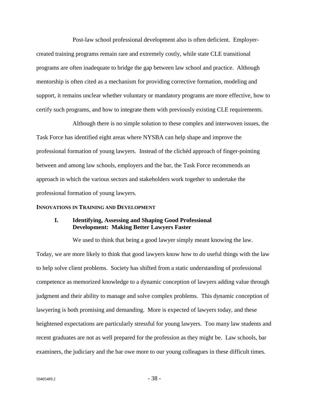Post-law school professional development also is often deficient. Employercreated training programs remain rare and extremely costly, while state CLE transitional programs are often inadequate to bridge the gap between law school and practice. Although mentorship is often cited as a mechanism for providing corrective formation, modeling and support, it remains unclear whether voluntary or mandatory programs are more effective, how to certify such programs, and how to integrate them with previously existing CLE requirements.

Although there is no simple solution to these complex and interwoven issues, the Task Force has identified eight areas where NYSBA can help shape and improve the professional formation of young lawyers. Instead of the clichéd approach of finger-pointing between and among law schools, employers and the bar, the Task Force recommends an approach in which the various sectors and stakeholders work together to undertake the professional formation of young lawyers.

#### **INNOVATIONS IN TRAINING AND DEVELOPMENT**

### **I. Identifying, Assessing and Shaping Good Professional Development: Making Better Lawyers Faster**

We used to think that being a good lawyer simply meant knowing the law. Today, we are more likely to think that good lawyers know how to *do* useful things with the law to help solve client problems. Society has shifted from a static understanding of professional competence as memorized knowledge to a dynamic conception of lawyers adding value through judgment and their ability to manage and solve complex problems. This dynamic conception of lawyering is both promising and demanding. More is expected of lawyers today, and these heightened expectations are particularly stressful for young lawyers. Too many law students and recent graduates are not as well prepared for the profession as they might be. Law schools, bar examiners, the judiciary and the bar owe more to our young colleagues in these difficult times.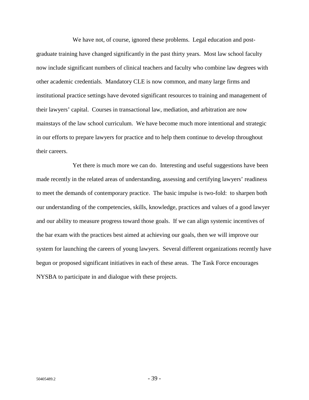We have not, of course, ignored these problems. Legal education and postgraduate training have changed significantly in the past thirty years. Most law school faculty now include significant numbers of clinical teachers and faculty who combine law degrees with other academic credentials. Mandatory CLE is now common, and many large firms and institutional practice settings have devoted significant resources to training and management of their lawyers' capital. Courses in transactional law, mediation, and arbitration are now mainstays of the law school curriculum. We have become much more intentional and strategic in our efforts to prepare lawyers for practice and to help them continue to develop throughout their careers.

Yet there is much more we can do. Interesting and useful suggestions have been made recently in the related areas of understanding, assessing and certifying lawyers' readiness to meet the demands of contemporary practice. The basic impulse is two-fold: to sharpen both our understanding of the competencies, skills, knowledge, practices and values of a good lawyer and our ability to measure progress toward those goals. If we can align systemic incentives of the bar exam with the practices best aimed at achieving our goals, then we will improve our system for launching the careers of young lawyers. Several different organizations recently have begun or proposed significant initiatives in each of these areas. The Task Force encourages NYSBA to participate in and dialogue with these projects.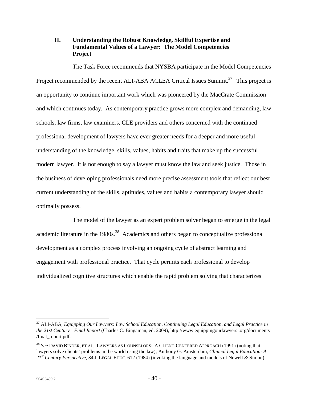## **II. Understanding the Robust Knowledge, Skillful Expertise and Fundamental Values of a Lawyer: The Model Competencies Project**

The Task Force recommends that NYSBA participate in the Model Competencies Project recommended by the recent ALI-ABA ACLEA Critical Issues Summit.<sup>37</sup> This project is an opportunity to continue important work which was pioneered by the MacCrate Commission and which continues today. As contemporary practice grows more complex and demanding, law schools, law firms, law examiners, CLE providers and others concerned with the continued professional development of lawyers have ever greater needs for a deeper and more useful understanding of the knowledge, skills, values, habits and traits that make up the successful modern lawyer. It is not enough to say a lawyer must know the law and seek justice. Those in the business of developing professionals need more precise assessment tools that reflect our best current understanding of the skills, aptitudes, values and habits a contemporary lawyer should optimally possess.

The model of the lawyer as an expert problem solver began to emerge in the legal academic literature in the 1980s.<sup>38</sup> Academics and others began to conceptualize professional development as a complex process involving an ongoing cycle of abstract learning and engagement with professional practice. That cycle permits each professional to develop individualized cognitive structures which enable the rapid problem solving that characterizes

<sup>37</sup> ALI-ABA, *Equipping Our Lawyers: Law School Education, Continuing Legal Education, and Legal Practice in the 21st Century—Final Report* (Charles C. Bingaman, ed. 2009), http://www.equippingourlawyers .org/documents /final\_report.pdf.

<sup>38</sup> *See* DAVID BINDER, ET AL., LAWYERS AS COUNSELORS: A CLIENT-CENTERED APPROACH (1991) (noting that lawyers solve clients' problems in the world using the law); Anthony G. Amsterdam, *Clinical Legal Education: A 21st Century Perspective*, 34 J. LEGAL EDUC. 612 (1984) (invoking the language and models of Newell & Simon).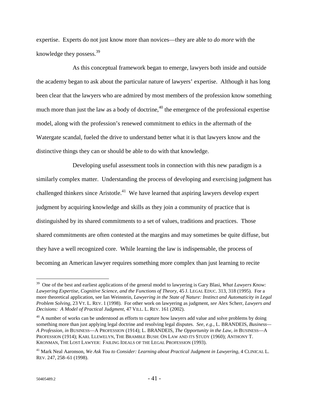expertise. Experts do not just know more than novices—they are able to *do more* with the knowledge they possess.<sup>39</sup>

As this conceptual framework began to emerge, lawyers both inside and outside the academy began to ask about the particular nature of lawyers' expertise. Although it has long been clear that the lawyers who are admired by most members of the profession know something much more than just the law as a body of doctrine,  $40$  the emergence of the professional expertise model, along with the profession's renewed commitment to ethics in the aftermath of the Watergate scandal, fueled the drive to understand better what it is that lawyers know and the distinctive things they can or should be able to do with that knowledge.

Developing useful assessment tools in connection with this new paradigm is a similarly complex matter. Understanding the process of developing and exercising judgment has challenged thinkers since Aristotle.<sup>41</sup> We have learned that aspiring lawyers develop expert judgment by acquiring knowledge and skills as they join a community of practice that is distinguished by its shared commitments to a set of values, traditions and practices. Those shared commitments are often contested at the margins and may sometimes be quite diffuse, but they have a well recognized core. While learning the law is indispensable, the process of becoming an American lawyer requires something more complex than just learning to recite

<sup>&</sup>lt;sup>39</sup> One of the best and earliest applications of the general model to lawyering is Gary Blasi, *What Lawyers Know*: *Lawyering Expertise, Cognitive Science, and the Functions of Theory*, 45 J. LEGAL EDUC. 313, 318 (1995). For a more theoretical application, see Ian Weinstein, *Lawyering in the State of Nature: Instinct and Automaticity in Legal Problem Solving*, 23 VT. L. REV. 1 (1998). For other work on lawyering as judgment, *see* Alex Scherr, *Lawyers and Decisions: A Model of Practical Judgment*, 47 VILL. L. REV. 161 (2002).

 $40$  A number of works can be understood as efforts to capture how lawyers add value and solve problems by doing something more than just applying legal doctrine and resolving legal disputes. *See, e.g.*, L. BRANDEIS, *Business— A Profession, in* BUSINESS—A PROFESSION (1914); L. BRANDEIS, *The Opportunity in the Law, in* BUSINESS—A PROFESSION (1914); KARL LLEWELYN, THE BRAMBLE BUSH: ON LAW AND ITS STUDY (1960); ANTHONY T. KRONMAN, THE LOST LAWYER: FAILING IDEALS OF THE LEGAL PROFESSION (1993).

<sup>&</sup>lt;sup>41</sup> Mark Neal Aaronson, *We Ask You to Consider: Learning about Practical Judgment in Lawyering*, 4 CLINICAL L. REV. 247, 258–61 (1998).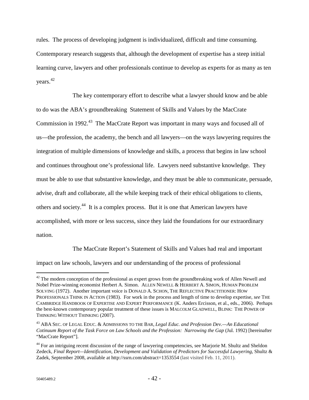rules. The process of developing judgment is individualized, difficult and time consuming. Contemporary research suggests that, although the development of expertise has a steep initial learning curve, lawyers and other professionals continue to develop as experts for as many as ten years. 42

The key contemporary effort to describe what a lawyer should know and be able to do was the ABA's groundbreaking Statement of Skills and Values by the MacCrate Commission in 1992.<sup>43</sup> The MacCrate Report was important in many ways and focused all of us—the profession, the academy, the bench and all lawyers—on the ways lawyering requires the integration of multiple dimensions of knowledge and skills, a process that begins in law school and continues throughout one's professional life. Lawyers need substantive knowledge. They must be able to use that substantive knowledge, and they must be able to communicate, persuade, advise, draft and collaborate, all the while keeping track of their ethical obligations to clients, others and society.44 It is a complex process. But it is one that American lawyers have accomplished, with more or less success, since they laid the foundations for our extraordinary nation.

The MacCrate Report's Statement of Skills and Values had real and important

impact on law schools, lawyers and our understanding of the process of professional

 $42$  The modern conception of the professional as expert grows from the groundbreaking work of Allen Newell and Nobel Prize-winning economist Herbert A. Simon. ALLEN NEWELL & HERBERT A. SIMON, HUMAN PROBLEM SOLVING (1972). Another important voice is DONALD A. SCHON, THE REFLECTIVE PRACTITIONER: HOW PROFESSIONALS THINK IN ACTION (1983). For work in the process and length of time to develop expertise, *see* THE CAMBRIDGE HANDBOOK OF EXPERTISE AND EXPERT PERFORMANCE (K. Anders Ercisson, et al., eds., 2006). Perhaps the best-known contemporary popular treatment of these issues is MALCOLM GLADWELL, BLINK: THE POWER OF THINKING WITHOUT THINKING (2007).

<sup>43</sup> ABA SEC. OF LEGAL EDUC. & ADMISSIONS TO THE BAR, *Legal Educ. and Profession Dev.—An Educational Cotinuum Report of the Task Force on Law Schools and the Profession: Narrowing the Gap* (Jul. 1992) [hereinafter "MacCrate Report"].

<sup>&</sup>lt;sup>44</sup> For an intriguing recent discussion of the range of lawyering competencies, see Marjorie M. Shultz and Sheldon Zedeck, *Final Report—Identification, Development and Validation of Predictors for Successful Lawyering*, Shultz & Zadek, September 2008, available at http://ssrn.com/abstract=1353554 (last visited Feb. 11, 2011).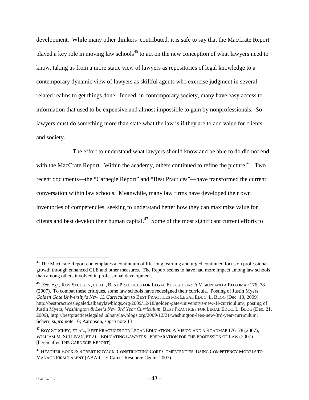development. While many other thinkers contributed, it is safe to say that the MacCrate Report played a key role in moving law schools<sup>45</sup> to act on the new conception of what lawyers need to know, taking us from a more static view of lawyers as repositories of legal knowledge to a contemporary dynamic view of lawyers as skillful agents who exercise judgment in several related realms to get things done. Indeed, in contemporary society, many have easy access to information that used to be expensive and almost impossible to gain by nonprofessionals. So lawyers must do something more than state what the law is if they are to add value for clients and society.

The effort to understand what lawyers should know and be able to do did not end with the MacCrate Report. Within the academy, others continued to refine the picture.<sup>46</sup> Two recent documents—the "Carnegie Report" and "Best Practices"—have transformed the current conversation within law schools. Meanwhile, many law firms have developed their own inventories of competencies, seeking to understand better how they can maximize value for clients and best develop their human capital.47 Some of the most significant current efforts to

<sup>&</sup>lt;sup>45</sup> The MacCrate Report contemplates a continuum of life-long learning and urged continued focus on professional growth through enhanced CLE and other measures. The Report seems to have had more impact among law schools than among others involved in professional development.

<sup>46</sup> *See, e.g.*, ROY STUCKEY, ET AL., BEST PRACTICES FOR LEGAL EDUCATION: A VISION AND A ROADMAP 176–78 (2007). To combat these critiques, some law schools have redesigned their curricula. Posting of Justin Myers, *Golden Gate University's New 1L Curriculum* to BEST PRACTICES FOR LEGAL EDUC. L. BLOG (Dec. 18, 2009), http://bestpracticeslegaled.albanylawblogs.org/2009/12/18/golden-gate-universitys-new-1l-curriculum/; posting of Justin Myers, *Washington & Lee's New 3rd Year Curriculum*, BEST PRACTICES FOR LEGAL EDUC. L. BLOG (Dec. 21, 2009), http://bestpracticeslegaled .albanylawblogs.org/2009/12/21/washington-lees-new-3rd-year-curriculum; Scherr, *supra* note 16; Aaronson, *supra* note 13.

<sup>&</sup>lt;sup>47</sup> ROY STUCKEY, ET AL., BEST PRACTICES FOR LEGAL EDUCATION: A VISION AND A ROADMAP 176–78 (2007); WILLIAM M. SULLIVAN, ET AL., EDUCATING LAWYERS: PREPARATION FOR THE PROFESSION OF LAW (2007) [hereinafter THE CARNEGIE REPORT].

<sup>&</sup>lt;sup>47</sup> HEATHER BOCK & ROBERT RUYACK, CONSTRUCTING CORE COMPETENCIES: USING COMPETENCY MODELS TO MANAGE FIRM TALENT (ABA-CLE Career Resource Center 2007).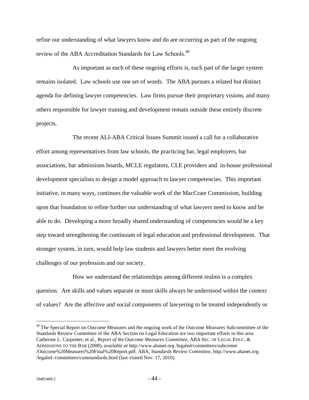refine our understanding of what lawyers know and do are occurring as part of the ongoing review of the ABA Accreditation Standards for Law Schools.<sup>48</sup>

As important as each of these ongoing efforts is, each part of the larger system remains isolated. Law schools use one set of words. The ABA pursues a related but distinct agenda for defining lawyer competencies. Law firms pursue their proprietary visions, and many others responsible for lawyer training and development remain outside these entirely discrete projects.

The recent ALI-ABA Critical Issues Summit issued a call for a collaborative effort among representatives from law schools, the practicing bar, legal employers, bar associations, bar admissions boards, MCLE regulators, CLE providers and in-house professional development specialists to design a model approach to lawyer competencies. This important initiative, in many ways, continues the valuable work of the MacCrate Commission, building upon that foundation to refine further our understanding of what lawyers need to know and be able to do. Developing a more broadly shared understanding of competencies would be a key step toward strengthening the continuum of legal education and professional development. That stronger system, in turn, would help law students and lawyers better meet the evolving challenges of our profession and our society.

How we understand the relationships among different realms is a complex question. Are skills and values separate or must skills always be understood within the context of values? Are the affective and social components of lawyering to be treated independently or

<sup>&</sup>lt;sup>48</sup> The Special Report on Outcome Measures and the ongoing work of the Outcome Measures Subcommittee of the Standards Review Committee of the ABA Section on Legal Education are two important efforts in this area. Catherine L. Carpenter, et al., *Report of the Outcome Measures Committee*, ABA SEC. OF LEGAL EDUC. & ADMISSIONS TO THE BAR (2008), *available at* http://www.abanet.org /legaled/committees/subcomm /Outcome%20Measures%20Final%20Report.pdf; ABA, *Standards Review Committee*, http://www.abanet.org /legaled /committees/comstandards.html (last visited Nov. 17, 2010).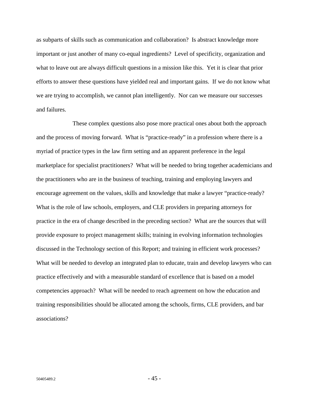as subparts of skills such as communication and collaboration? Is abstract knowledge more important or just another of many co-equal ingredients? Level of specificity, organization and what to leave out are always difficult questions in a mission like this. Yet it is clear that prior efforts to answer these questions have yielded real and important gains. If we do not know what we are trying to accomplish, we cannot plan intelligently. Nor can we measure our successes and failures.

These complex questions also pose more practical ones about both the approach and the process of moving forward. What is "practice-ready" in a profession where there is a myriad of practice types in the law firm setting and an apparent preference in the legal marketplace for specialist practitioners? What will be needed to bring together academicians and the practitioners who are in the business of teaching, training and employing lawyers and encourage agreement on the values, skills and knowledge that make a lawyer "practice-ready? What is the role of law schools, employers, and CLE providers in preparing attorneys for practice in the era of change described in the preceding section? What are the sources that will provide exposure to project management skills; training in evolving information technologies discussed in the Technology section of this Report; and training in efficient work processes? What will be needed to develop an integrated plan to educate, train and develop lawyers who can practice effectively and with a measurable standard of excellence that is based on a model competencies approach? What will be needed to reach agreement on how the education and training responsibilities should be allocated among the schools, firms, CLE providers, and bar associations?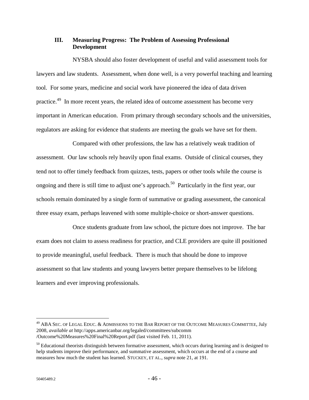## **III. Measuring Progress: The Problem of Assessing Professional Development**

NYSBA should also foster development of useful and valid assessment tools for lawyers and law students. Assessment, when done well, is a very powerful teaching and learning tool. For some years, medicine and social work have pioneered the idea of data driven practice.<sup>49</sup> In more recent years, the related idea of outcome assessment has become very important in American education. From primary through secondary schools and the universities, regulators are asking for evidence that students are meeting the goals we have set for them.

Compared with other professions, the law has a relatively weak tradition of assessment. Our law schools rely heavily upon final exams. Outside of clinical courses, they tend not to offer timely feedback from quizzes, tests, papers or other tools while the course is ongoing and there is still time to adjust one's approach.<sup>50</sup> Particularly in the first year, our schools remain dominated by a single form of summative or grading assessment, the canonical three essay exam, perhaps leavened with some multiple-choice or short-answer questions.

Once students graduate from law school, the picture does not improve. The bar exam does not claim to assess readiness for practice, and CLE providers are quite ill positioned to provide meaningful, useful feedback. There is much that should be done to improve assessment so that law students and young lawyers better prepare themselves to be lifelong learners and ever improving professionals.

 $^{49}$  ABA SEC. OF LEGAL EDUC.  $\&$  ADMISSIONS TO THE BAR REPORT OF THE OUTCOME MEASURES COMMITTEE, July 2008, *available at* http://apps.americanbar.org/legaled/committees/subcomm /Outcome%20Measures%20Final%20Report.pdf (last visited Feb. 11, 2011).

 $50$  Educational theorists distinguish between formative assessment, which occurs during learning and is designed to help students improve their performance, and summative assessment, which occurs at the end of a course and measures how much the student has learned. STUCKEY, ET AL.*, supra* note 21, at 191.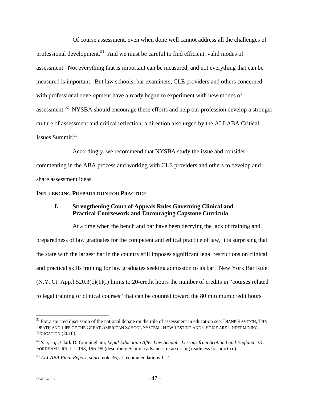Of course assessment, even when done well cannot address all the challenges of professional development.<sup>51</sup> And we must be careful to find efficient, valid modes of assessment. Not everything that is important can be measured, and not everything that can be measured is important. But law schools, bar examiners, CLE providers and others concerned with professional development have already begun to experiment with new modes of assessment.<sup>52</sup> NYSBA should encourage these efforts and help our profession develop a stronger culture of assessment and critical reflection, a direction also urged by the ALI-ABA Critical Issues Summit.53

Accordingly, we recommend that NYSBA study the issue and consider commenting in the ABA process and working with CLE providers and others to develop and share assessment ideas.

### **INFLUENCING PREPARATION FOR PRACTICE**

## **I. Strengthening Court of Appeals Rules Governing Clinical and Practical Coursework and Encouraging Capstone Curricula**

At a time when the bench and bar have been decrying the lack of training and preparedness of law graduates for the competent and ethical practice of law, it is surprising that the state with the largest bar in the country still imposes significant legal restrictions on clinical and practical skills training for law graduates seeking admission to its bar. New York Bar Rule (N.Y. Ct. App.) 520.3(c)(1)(i) limits to 20-credit hours the number of credits in "courses related to legal training or clinical courses" that can be counted toward the 80 minimum credit hours

 $51$  For a spirited discussion of the national debate on the role of assessment in education see, DIANE RAVITCH, THE DEATH AND LIFE OF THE GREAT AMERICAN SCHOOL SYSTEM: HOW TESTING AND CHOICE ARE UNDERMINING EDUCATION (2010).

<sup>52</sup> *See, e.g.*, Clark D. Cunningham, *Legal Education After Law School: Lessons from Scotland and England*, 33 FORDHAM URB. L.J. 193, 196–99 (describing Scottish advances in assessing readiness for practice).

<sup>53</sup> *ALI-ABA Final Report*, *supra* note 36, at recommendations 1–2.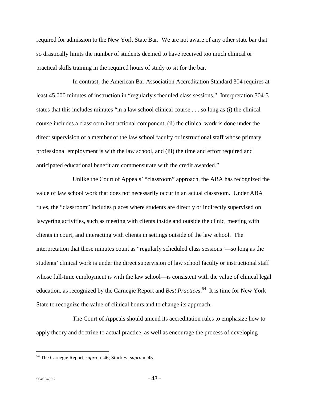required for admission to the New York State Bar. We are not aware of any other state bar that so drastically limits the number of students deemed to have received too much clinical or practical skills training in the required hours of study to sit for the bar.

In contrast, the American Bar Association Accreditation Standard 304 requires at least 45,000 minutes of instruction in "regularly scheduled class sessions." Interpretation 304-3 states that this includes minutes "in a law school clinical course . . . so long as (i) the clinical course includes a classroom instructional component, (ii) the clinical work is done under the direct supervision of a member of the law school faculty or instructional staff whose primary professional employment is with the law school, and (iii) the time and effort required and anticipated educational benefit are commensurate with the credit awarded."

Unlike the Court of Appeals' "classroom" approach, the ABA has recognized the value of law school work that does not necessarily occur in an actual classroom. Under ABA rules, the "classroom" includes places where students are directly or indirectly supervised on lawyering activities, such as meeting with clients inside and outside the clinic, meeting with clients in court, and interacting with clients in settings outside of the law school. The interpretation that these minutes count as "regularly scheduled class sessions"—so long as the students' clinical work is under the direct supervision of law school faculty or instructional staff whose full-time employment is with the law school—is consistent with the value of clinical legal education, as recognized by the Carnegie Report and *Best Practices*. 54 It is time for New York State to recognize the value of clinical hours and to change its approach.

The Court of Appeals should amend its accreditation rules to emphasize how to apply theory and doctrine to actual practice, as well as encourage the process of developing

<u>.</u>

<sup>54</sup> The Carnegie Report, *supra* n. 46; Stuckey, *supra* n. 45.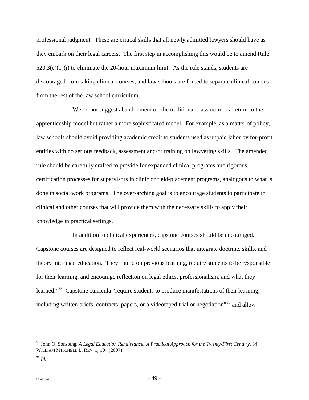professional judgment. These are critical skills that all newly admitted lawyers should have as they embark on their legal careers. The first step in accomplishing this would be to amend Rule  $520.3(c)(1)(i)$  to eliminate the 20-hour maximum limit. As the rule stands, students are discouraged from taking clinical courses, and law schools are forced to separate clinical courses from the rest of the law school curriculum.

We do not suggest abandonment of the traditional classroom or a return to the apprenticeship model but rather a more sophisticated model. For example, as a matter of policy, law schools should avoid providing academic credit to students used as unpaid labor by for-profit entities with no serious feedback, assessment and/or training on lawyering skills. The amended rule should be carefully crafted to provide for expanded clinical programs and rigorous certification processes for supervisors in clinic or field-placement programs, analogous to what is done in social work programs. The over-arching goal is to encourage students to participate in clinical and other courses that will provide them with the necessary skills to apply their knowledge in practical settings.

In addition to clinical experiences, capstone courses should be encouraged. Capstone courses are designed to reflect real-world scenarios that integrate doctrine, skills, and theory into legal education. They "build on previous learning, require students to be responsible for their learning, and encourage reflection on legal ethics, professionalism, and what they learned."<sup>55</sup> Capstone curricula "require students to produce manifestations of their learning, including written briefs, contracts, papers, or a videotaped trial or negotiation<sup> $56$ </sup> and allow

<u>.</u>

<sup>55</sup> John O. Sonsteng, *A Legal Education Renaissance: A Practical Approach for the Twenty-First Century*, 34 WILLIAM MITCHELL L. REV. 1, 104 (2007).

<sup>56</sup> *Id.*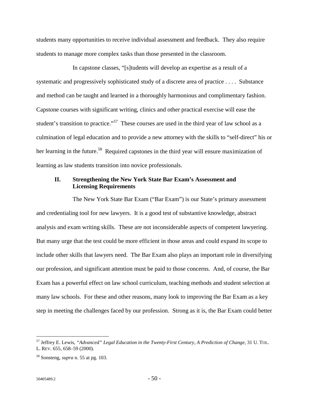students many opportunities to receive individual assessment and feedback. They also require students to manage more complex tasks than those presented in the classroom.

In capstone classes, "[s]tudents will develop an expertise as a result of a systematic and progressively sophisticated study of a discrete area of practice . . . . Substance and method can be taught and learned in a thoroughly harmonious and complimentary fashion. Capstone courses with significant writing, clinics and other practical exercise will ease the student's transition to practice."<sup>57</sup> These courses are used in the third year of law school as a culmination of legal education and to provide a new attorney with the skills to "self-direct" his or her learning in the future.<sup>58</sup> Required capstones in the third year will ensure maximization of learning as law students transition into novice professionals.

## **II. Strengthening the New York State Bar Exam's Assessment and Licensing Requirements**

The New York State Bar Exam ("Bar Exam") is our State's primary assessment and credentialing tool for new lawyers. It is a good test of substantive knowledge, abstract analysis and exam writing skills. These are not inconsiderable aspects of competent lawyering. But many urge that the test could be more efficient in those areas and could expand its scope to include other skills that lawyers need. The Bar Exam also plays an important role in diversifying our profession, and significant attention must be paid to those concerns. And, of course, the Bar Exam has a powerful effect on law school curriculum, teaching methods and student selection at many law schools. For these and other reasons, many look to improving the Bar Exam as a key step in meeting the challenges faced by our profession. Strong as it is, the Bar Exam could better

<sup>57</sup> Jeffrey E. Lewis, *"Advanced" Legal Education in the Twenty-First Century*, *A Prediction of Change*, 31 U. TOL. L. REV. 655, 658–59 (2000).

<sup>58</sup> Sonsteng, *supra* n. 55 at pg. 103.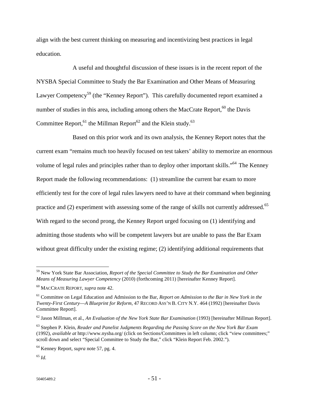align with the best current thinking on measuring and incentivizing best practices in legal education.

A useful and thoughtful discussion of these issues is in the recent report of the NYSBA Special Committee to Study the Bar Examination and Other Means of Measuring Lawyer Competency<sup>59</sup> (the "Kenney Report"). This carefully documented report examined a number of studies in this area, including among others the MacCrate Report,  $60$  the Davis Committee Report, <sup>61</sup> the Millman Report<sup>62</sup> and the Klein study.<sup>63</sup>

Based on this prior work and its own analysis, the Kenney Report notes that the current exam "remains much too heavily focused on test takers' ability to memorize an enormous volume of legal rules and principles rather than to deploy other important skills."<sup>64</sup> The Kenney Report made the following recommendations: (1) streamline the current bar exam to more efficiently test for the core of legal rules lawyers need to have at their command when beginning practice and (2) experiment with assessing some of the range of skills not currently addressed.<sup>65</sup> With regard to the second prong, the Kenney Report urged focusing on (1) identifying and admitting those students who will be competent lawyers but are unable to pass the Bar Exam without great difficulty under the existing regime; (2) identifying additional requirements that

<sup>59</sup> New York State Bar Association, *Report of the Special Committee to Study the Bar Examination and Other Means of Measuring Lawyer Competency* (2010) (forthcoming 2011) [hereinafter Kenney Report].

<sup>60</sup> MACCRATE REPORT, *supra* note 42.

<sup>61</sup> Committee on Legal Education and Admission to the Bar, *Report on Admission to the Bar in New York in the Twenty-First Century*—*A Blueprint for Reform*, 47 RECORD ASS'N B. CITY N.Y. 464 (1992) [hereinafter Davis Committee Report].

<sup>62</sup> Jason Millman, et al., *An Evaluation of the New York State Bar Examination* (1993) [hereinafter Millman Report].

<sup>63</sup> Stephen P. Klein, *Reader and Panelist Judgments Regarding the Passing Score on the New York Bar Exam* (1992), *available at* http://www.nysba.org/ (click on Sections/Committees in left column; click "view committees;" scroll down and select "Special Committee to Study the Bar," click "Klein Report Feb. 2002.").

<sup>64</sup> Kenney Report, *supra* note 57, pg. 4.

<sup>65</sup> *Id.*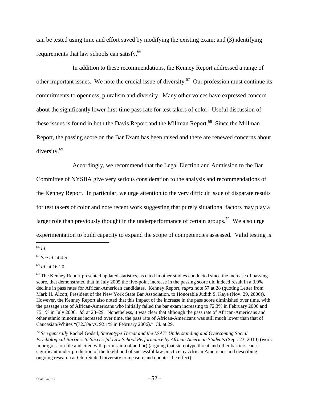can be tested using time and effort saved by modifying the existing exam; and (3) identifying requirements that law schools can satisfy.<sup>66</sup>

In addition to these recommendations, the Kenney Report addressed a range of other important issues. We note the crucial issue of diversity.<sup>67</sup> Our profession must continue its commitments to openness, pluralism and diversity. Many other voices have expressed concern about the significantly lower first-time pass rate for test takers of color. Useful discussion of these issues is found in both the Davis Report and the Millman Report.<sup>68</sup> Since the Millman Report, the passing score on the Bar Exam has been raised and there are renewed concerns about diversity.69

Accordingly, we recommend that the Legal Election and Admission to the Bar

Committee of NYSBA give very serious consideration to the analysis and recommendations of the Kenney Report. In particular, we urge attention to the very difficult issue of disparate results for test takers of color and note recent work suggesting that purely situational factors may play a larger role than previously thought in the underperformance of certain groups.<sup>70</sup> We also urge experimentation to build capacity to expand the scope of competencies assessed. Valid testing is

 $\overline{a}$ <sup>66</sup> *Id.*

<sup>67</sup> *See id.* at 4-5.

<sup>68</sup> *Id.* at 16-20.

 $69$  The Kenney Report presented updated statistics, as cited in other studies conducted since the increase of passing score, that demonstrated that in July 2005 the five-point increase in the passing score did indeed result in a 3.9% decline in pass rates for African-American candidates. Kenney Report, *supra* note 57 at 28 (quoting Letter from Mark H. Alcott, President of the New York State Bar Association, to Honorable Judith S. Kaye (Nov. 29, 2006)). However, the Kenney Report also noted that this impact of the increase in the pass score diminished over time, with the passage rate of African-Americans who initially failed the bar exam increasing to 72.3% in February 2006 and 75.1% in July 2006. *Id.* at 28–29. Nonetheless, it was clear that although the pass rate of African-Americans and other ethnic minorities increased over time, the pass rate of African-Americans was still much lower than that of Caucasian/Whites "(72.3% vs. 92.1% in February 2006)." *Id.* at 29.

<sup>70</sup> *See generally* Rachel Godsil, *Stereotype Threat and the LSAT: Understanding and Overcoming Social Psychological Barriers to Successful Law School Performance by African American Students* (Sept. 23, 2010) (work in progress on file and cited with permission of author) (arguing that stereotype threat and other barriers cause significant under-prediction of the likelihood of successful law practice by African Americans and describing ongoing research at Ohio State University to measure and counter the effect).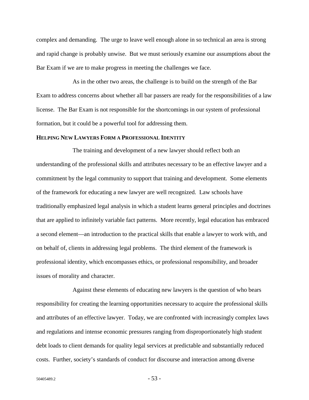complex and demanding. The urge to leave well enough alone in so technical an area is strong and rapid change is probably unwise. But we must seriously examine our assumptions about the Bar Exam if we are to make progress in meeting the challenges we face.

As in the other two areas, the challenge is to build on the strength of the Bar Exam to address concerns about whether all bar passers are ready for the responsibilities of a law license. The Bar Exam is not responsible for the shortcomings in our system of professional formation, but it could be a powerful tool for addressing them.

#### **HELPING NEW LAWYERS FORM A PROFESSIONAL IDENTITY**

The training and development of a new lawyer should reflect both an understanding of the professional skills and attributes necessary to be an effective lawyer and a commitment by the legal community to support that training and development. Some elements of the framework for educating a new lawyer are well recognized. Law schools have traditionally emphasized legal analysis in which a student learns general principles and doctrines that are applied to infinitely variable fact patterns. More recently, legal education has embraced a second element—an introduction to the practical skills that enable a lawyer to work with, and on behalf of, clients in addressing legal problems. The third element of the framework is professional identity, which encompasses ethics, or professional responsibility, and broader issues of morality and character.

Against these elements of educating new lawyers is the question of who bears responsibility for creating the learning opportunities necessary to acquire the professional skills and attributes of an effective lawyer. Today, we are confronted with increasingly complex laws and regulations and intense economic pressures ranging from disproportionately high student debt loads to client demands for quality legal services at predictable and substantially reduced costs. Further, society's standards of conduct for discourse and interaction among diverse

 $50405489.2$  - 53 -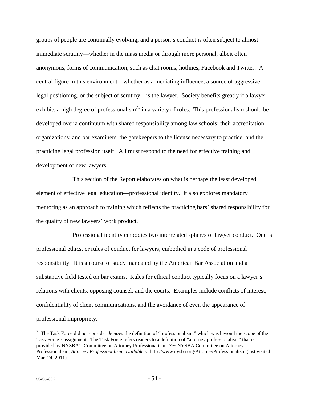groups of people are continually evolving, and a person's conduct is often subject to almost immediate scrutiny—whether in the mass media or through more personal, albeit often anonymous, forms of communication, such as chat rooms, hotlines, Facebook and Twitter. A central figure in this environment—whether as a mediating influence, a source of aggressive legal positioning, or the subject of scrutiny—is the lawyer. Society benefits greatly if a lawyer exhibits a high degree of professionalism<sup>71</sup> in a variety of roles. This professionalism should be developed over a continuum with shared responsibility among law schools; their accreditation organizations; and bar examiners, the gatekeepers to the license necessary to practice; and the practicing legal profession itself. All must respond to the need for effective training and development of new lawyers.

This section of the Report elaborates on what is perhaps the least developed element of effective legal education—professional identity. It also explores mandatory mentoring as an approach to training which reflects the practicing bars' shared responsibility for the quality of new lawyers' work product.

Professional identity embodies two interrelated spheres of lawyer conduct. One is professional ethics, or rules of conduct for lawyers, embodied in a code of professional responsibility. It is a course of study mandated by the American Bar Association and a substantive field tested on bar exams. Rules for ethical conduct typically focus on a lawyer's relations with clients, opposing counsel, and the courts. Examples include conflicts of interest, confidentiality of client communications, and the avoidance of even the appearance of professional impropriety.

<u>.</u>

<sup>71</sup> The Task Force did not consider *de novo* the definition of "professionalism," which was beyond the scope of the Task Force's assignment. The Task Force refers readers to a definition of "attorney professionalism" that is provided by NYSBA's Committee on Attorney Professionalism. *See* NYSBA Committee on Attorney Professionalism, *Attorney Professionalism*, *available at* http://www.nysba.org/AttorneyProfessionalism (last visited Mar. 24, 2011).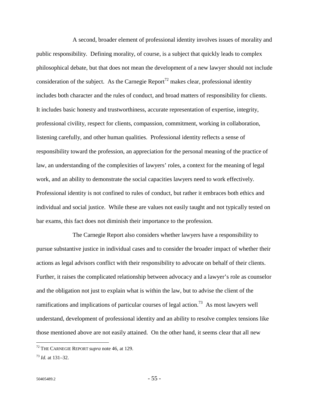A second, broader element of professional identity involves issues of morality and public responsibility. Defining morality, of course, is a subject that quickly leads to complex philosophical debate, but that does not mean the development of a new lawyer should not include consideration of the subject. As the Carnegie Report<sup>72</sup> makes clear, professional identity includes both character and the rules of conduct, and broad matters of responsibility for clients. It includes basic honesty and trustworthiness, accurate representation of expertise, integrity, professional civility, respect for clients, compassion, commitment, working in collaboration, listening carefully, and other human qualities. Professional identity reflects a sense of responsibility toward the profession, an appreciation for the personal meaning of the practice of law, an understanding of the complexities of lawyers' roles, a context for the meaning of legal work, and an ability to demonstrate the social capacities lawyers need to work effectively. Professional identity is not confined to rules of conduct, but rather it embraces both ethics and individual and social justice. While these are values not easily taught and not typically tested on bar exams, this fact does not diminish their importance to the profession.

The Carnegie Report also considers whether lawyers have a responsibility to pursue substantive justice in individual cases and to consider the broader impact of whether their actions as legal advisors conflict with their responsibility to advocate on behalf of their clients. Further, it raises the complicated relationship between advocacy and a lawyer's role as counselor and the obligation not just to explain what is within the law, but to advise the client of the ramifications and implications of particular courses of legal action.<sup>73</sup> As most lawyers well understand, development of professional identity and an ability to resolve complex tensions like those mentioned above are not easily attained. On the other hand, it seems clear that all new

<sup>72</sup> THE CARNEGIE REPORT *supra* note 46, at 129.

<sup>73</sup> *Id.* at 131–32.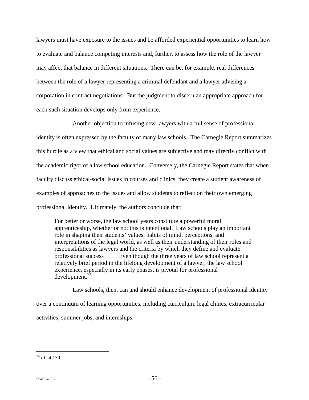lawyers must have exposure to the issues and be afforded experiential opportunities to learn how to evaluate and balance competing interests and, further, to assess how the role of the lawyer may affect that balance in different situations. There can be, for example, real differences between the role of a lawyer representing a criminal defendant and a lawyer advising a corporation in contract negotiations. But the judgment to discern an appropriate approach for each such situation develops only from experience.

Another objection to infusing new lawyers with a full sense of professional identity is often expressed by the faculty of many law schools. The Carnegie Report summarizes this hurdle as a view that ethical and social values are subjective and may directly conflict with the academic rigor of a law school education. Conversely, the Carnegie Report states that when faculty discuss ethical-social issues in courses and clinics, they create a student awareness of examples of approaches to the issues and allow students to reflect on their own emerging professional identity. Ultimately, the authors conclude that:

For better or worse, the law school years constitute a powerful moral apprenticeship, whether or not this is intentional. Law schools play an important role in shaping their students' values, habits of mind, perceptions, and interpretations of the legal world, as well as their understanding of their roles and responsibilities as lawyers and the criteria by which they define and evaluate professional success . . . . Even though the three years of law school represent a relatively brief period in the lifelong development of a lawyer, the law school experience, especially in its early phases, is pivotal for professional development.74

Law schools, then, can and should enhance development of professional identity over a continuum of learning opportunities, including curriculum, legal clinics, extracurricular activities, summer jobs, and internships.

<u>.</u>

<sup>74</sup> *Id.* at 139.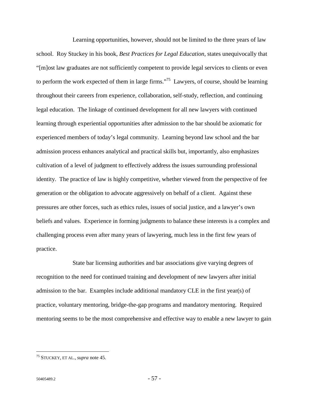Learning opportunities, however, should not be limited to the three years of law school. Roy Stuckey in his book, *Best Practices for Legal Education*, states unequivocally that "[m]ost law graduates are not sufficiently competent to provide legal services to clients or even to perform the work expected of them in large firms."<sup>75</sup> Lawyers, of course, should be learning throughout their careers from experience, collaboration, self-study, reflection, and continuing legal education. The linkage of continued development for all new lawyers with continued learning through experiential opportunities after admission to the bar should be axiomatic for experienced members of today's legal community. Learning beyond law school and the bar admission process enhances analytical and practical skills but, importantly, also emphasizes cultivation of a level of judgment to effectively address the issues surrounding professional identity. The practice of law is highly competitive, whether viewed from the perspective of fee generation or the obligation to advocate aggressively on behalf of a client. Against these pressures are other forces, such as ethics rules, issues of social justice, and a lawyer's own beliefs and values. Experience in forming judgments to balance these interests is a complex and challenging process even after many years of lawyering, much less in the first few years of practice.

State bar licensing authorities and bar associations give varying degrees of recognition to the need for continued training and development of new lawyers after initial admission to the bar. Examples include additional mandatory CLE in the first year(s) of practice, voluntary mentoring, bridge-the-gap programs and mandatory mentoring. Required mentoring seems to be the most comprehensive and effective way to enable a new lawyer to gain

<sup>75</sup> STUCKEY, ET AL., *supra* note 45.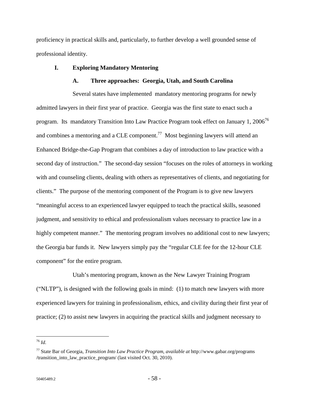proficiency in practical skills and, particularly, to further develop a well grounded sense of professional identity.

## **I. Exploring Mandatory Mentoring**

## **A. Three approaches: Georgia, Utah, and South Carolina**

Several states have implemented mandatory mentoring programs for newly admitted lawyers in their first year of practice. Georgia was the first state to enact such a program. Its mandatory Transition Into Law Practice Program took effect on January 1, 2006<sup>76</sup> and combines a mentoring and a CLE component.<sup>77</sup> Most beginning lawyers will attend an Enhanced Bridge-the-Gap Program that combines a day of introduction to law practice with a second day of instruction." The second-day session "focuses on the roles of attorneys in working with and counseling clients, dealing with others as representatives of clients, and negotiating for clients." The purpose of the mentoring component of the Program is to give new lawyers "meaningful access to an experienced lawyer equipped to teach the practical skills, seasoned judgment, and sensitivity to ethical and professionalism values necessary to practice law in a highly competent manner." The mentoring program involves no additional cost to new lawyers; the Georgia bar funds it. New lawyers simply pay the "regular CLE fee for the 12-hour CLE component" for the entire program.

Utah's mentoring program, known as the New Lawyer Training Program ("NLTP"), is designed with the following goals in mind: (1) to match new lawyers with more experienced lawyers for training in professionalism, ethics, and civility during their first year of practice; (2) to assist new lawyers in acquiring the practical skills and judgment necessary to

<u>.</u>

<sup>76</sup> *Id.*

<sup>77</sup> State Bar of Georgia, *Transition Into Law Practice Program*, *available at* http://www.gabar.org/programs /transition into law practice program/ (last visited Oct. 30, 2010).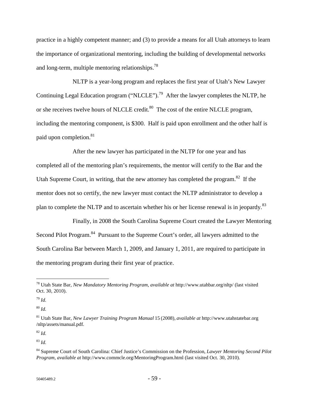practice in a highly competent manner; and (3) to provide a means for all Utah attorneys to learn the importance of organizational mentoring, including the building of developmental networks and long-term, multiple mentoring relationships.<sup>78</sup>

NLTP is a year-long program and replaces the first year of Utah's New Lawyer Continuing Legal Education program ("NLCLE").<sup>79</sup> After the lawyer completes the NLTP, he or she receives twelve hours of NLCLE credit.<sup>80</sup> The cost of the entire NLCLE program, including the mentoring component, is \$300. Half is paid upon enrollment and the other half is paid upon completion.<sup>81</sup>

After the new lawyer has participated in the NLTP for one year and has completed all of the mentoring plan's requirements, the mentor will certify to the Bar and the Utah Supreme Court, in writing, that the new attorney has completed the program.<sup>82</sup> If the mentor does not so certify, the new lawyer must contact the NLTP administrator to develop a plan to complete the NLTP and to ascertain whether his or her license renewal is in jeopardy.<sup>83</sup>

Finally, in 2008 the South Carolina Supreme Court created the Lawyer Mentoring Second Pilot Program.<sup>84</sup> Pursuant to the Supreme Court's order, all lawyers admitted to the South Carolina Bar between March 1, 2009, and January 1, 2011, are required to participate in the mentoring program during their first year of practice.

 $\overline{a}$ 

<sup>80</sup> *Id.*

<sup>82</sup> *Id.*

<sup>78</sup> Utah State Bar, *New Mandatory Mentoring Program*, *available at* http://www.utahbar.org/nltp/ (last visited Oct. 30, 2010).

<sup>79</sup> *Id.*

<sup>81</sup> Utah State Bar, *New Lawyer Training Program Manual* 15 (2008)*, available at* http://www.utahstatebar.org /nltp/assets/manual.pdf.

<sup>83</sup> *Id.*

<sup>84</sup> Supreme Court of South Carolina: Chief Justice's Commission on the Profession, *Lawyer Mentoring Second Pilot Program*, *available at* http://www.commcle.org/MentoringProgram.html (last visited Oct. 30, 2010).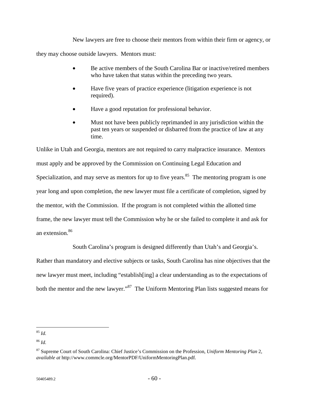New lawyers are free to choose their mentors from within their firm or agency, or they may choose outside lawyers. Mentors must:

- Be active members of the South Carolina Bar or inactive/retired members who have taken that status within the preceding two years.
- Have five years of practice experience (litigation experience is not required).
- Have a good reputation for professional behavior.
- Must not have been publicly reprimanded in any jurisdiction within the past ten years or suspended or disbarred from the practice of law at any time.

Unlike in Utah and Georgia, mentors are not required to carry malpractice insurance. Mentors must apply and be approved by the Commission on Continuing Legal Education and Specialization, and may serve as mentors for up to five years.<sup>85</sup> The mentoring program is one year long and upon completion, the new lawyer must file a certificate of completion, signed by the mentor, with the Commission. If the program is not completed within the allotted time frame, the new lawyer must tell the Commission why he or she failed to complete it and ask for an extension.<sup>86</sup>

South Carolina's program is designed differently than Utah's and Georgia's.

Rather than mandatory and elective subjects or tasks, South Carolina has nine objectives that the new lawyer must meet, including "establish[ing] a clear understanding as to the expectations of both the mentor and the new lawyer."<sup>87</sup> The Uniform Mentoring Plan lists suggested means for

 $\overline{a}$ <sup>85</sup> *Id.*

<sup>86</sup> *Id.*

<sup>87</sup> Supreme Court of South Carolina: Chief Justice's Commission on the Profession, *Uniform Mentoring Plan* 2, *available at* http://www.commcle.org/MentorPDF/UniformMentoringPlan.pdf.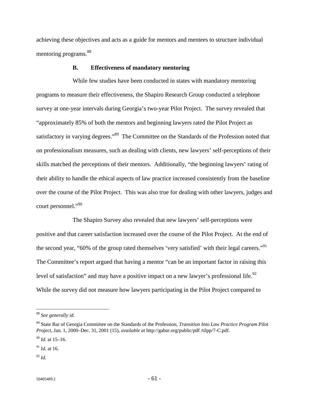achieving these objectives and acts as a guide for mentors and mentees to structure individual mentoring programs.<sup>88</sup>

### **B. Effectiveness of mandatory mentoring**

While few studies have been conducted in states with mandatory mentoring programs to measure their effectiveness, the Shapiro Research Group conducted a telephone survey at one-year intervals during Georgia's two-year Pilot Project. The survey revealed that "approximately 85% of both the mentors and beginning lawyers rated the Pilot Project as satisfactory in varying degrees."<sup>89</sup> The Committee on the Standards of the Profession noted that on professionalism measures, such as dealing with clients, new lawyers' self-perceptions of their skills matched the perceptions of their mentors. Additionally, "the beginning lawyers' rating of their ability to handle the ethical aspects of law practice increased consistently from the baseline over the course of the Pilot Project. This was also true for dealing with other lawyers, judges and court personnel."<sup>90</sup>

The Shapiro Survey also revealed that new lawyers' self-perceptions were positive and that career satisfaction increased over the course of the Pilot Project. At the end of the second year, "60% of the group rated themselves 'very satisfied' with their legal careers."<sup>91</sup> The Committee's report argued that having a mentor "can be an important factor in raising this level of satisfaction" and may have a positive impact on a new lawyer's professional life.<sup>92</sup> While the survey did not measure how lawyers participating in the Pilot Project compared to

<sup>88</sup> *See generally id.*

<sup>89</sup> State Bar of Georgia Committee on the Standards of the Profession, *Transition Into Law Practice Program Pilot Project*, Jan. 1, 2000–Dec. 31, 2001 (15), *available at* http://gabar.org/public/pdf /tilpp/7-C.pdf.

<sup>90</sup> *Id.* at 15–16.

 $^{91}$  *Id.* at 16.

<sup>92</sup> *Id.*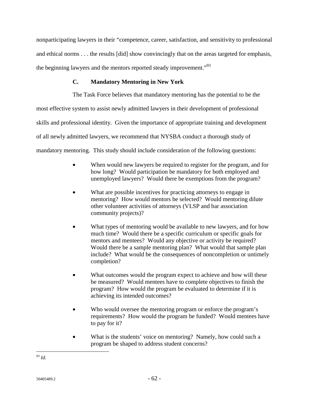nonparticipating lawyers in their "competence, career, satisfaction, and sensitivity to professional and ethical norms . . . the results [did] show convincingly that on the areas targeted for emphasis, the beginning lawyers and the mentors reported steady improvement."<sup>93</sup>

# **C. Mandatory Mentoring in New York**

The Task Force believes that mandatory mentoring has the potential to be the most effective system to assist newly admitted lawyers in their development of professional skills and professional identity. Given the importance of appropriate training and development of all newly admitted lawyers, we recommend that NYSBA conduct a thorough study of mandatory mentoring. This study should include consideration of the following questions:

- When would new lawyers be required to register for the program, and for how long? Would participation be mandatory for both employed and unemployed lawyers? Would there be exemptions from the program?
- What are possible incentives for practicing attorneys to engage in mentoring? How would mentors be selected? Would mentoring dilute other volunteer activities of attorneys (VLSP and bar association community projects)?
- What types of mentoring would be available to new lawyers, and for how much time? Would there be a specific curriculum or specific goals for mentors and mentees? Would any objective or activity be required? Would there be a sample mentoring plan? What would that sample plan include? What would be the consequences of noncompletion or untimely completion?
- What outcomes would the program expect to achieve and how will these be measured? Would mentees have to complete objectives to finish the program? How would the program be evaluated to determine if it is achieving its intended outcomes?
- Who would oversee the mentoring program or enforce the program's requirements? How would the program be funded? Would mentees have to pay for it?
- What is the students' voice on mentoring? Namely, how could such a program be shaped to address student concerns?

<sup>&</sup>lt;u>.</u> <sup>93</sup> *Id.*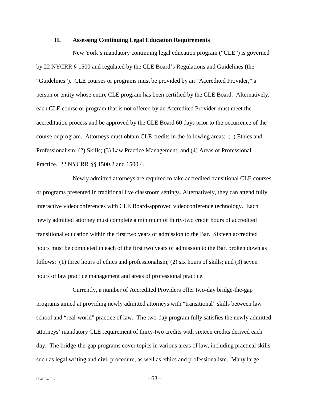### **II. Assessing Continuing Legal Education Requirements**

New York's mandatory continuing legal education program ("CLE") is governed by 22 NYCRR § 1500 and regulated by the CLE Board's Regulations and Guidelines (the "Guidelines"). CLE courses or programs must be provided by an "Accredited Provider," a person or entity whose entire CLE program has been certified by the CLE Board. Alternatively, each CLE course or program that is not offered by an Accredited Provider must meet the accreditation process and be approved by the CLE Board 60 days prior to the occurrence of the course or program. Attorneys must obtain CLE credits in the following areas: (1) Ethics and Professionalism; (2) Skills; (3) Law Practice Management; and (4) Areas of Professional Practice. 22 NYCRR §§ 1500.2 and 1500.4.

Newly admitted attorneys are required to take accredited transitional CLE courses or programs presented in traditional live classroom settings. Alternatively, they can attend fully interactive videoconferences with CLE Board-approved videoconference technology. Each newly admitted attorney must complete a minimum of thirty-two credit hours of accredited transitional education within the first two years of admission to the Bar. Sixteen accredited hours must be completed in each of the first two years of admission to the Bar, broken down as follows: (1) three hours of ethics and professionalism; (2) six hours of skills; and (3) seven hours of law practice management and areas of professional practice.

Currently, a number of Accredited Providers offer two-day bridge-the-gap programs aimed at providing newly admitted attorneys with "transitional" skills between law school and "real-world" practice of law. The two-day program fully satisfies the newly admitted attorneys' mandatory CLE requirement of thirty-two credits with sixteen credits derived each day. The bridge-the-gap programs cover topics in various areas of law, including practical skills such as legal writing and civil procedure, as well as ethics and professionalism. Many large

 $50405489.2$  - 63 -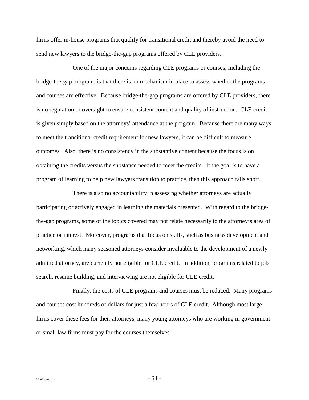firms offer in-house programs that qualify for transitional credit and thereby avoid the need to send new lawyers to the bridge-the-gap programs offered by CLE providers.

One of the major concerns regarding CLE programs or courses, including the bridge-the-gap program, is that there is no mechanism in place to assess whether the programs and courses are effective. Because bridge-the-gap programs are offered by CLE providers, there is no regulation or oversight to ensure consistent content and quality of instruction. CLE credit is given simply based on the attorneys' attendance at the program. Because there are many ways to meet the transitional credit requirement for new lawyers, it can be difficult to measure outcomes. Also, there is no consistency in the substantive content because the focus is on obtaining the credits versus the substance needed to meet the credits. If the goal is to have a program of learning to help new lawyers transition to practice, then this approach falls short.

There is also no accountability in assessing whether attorneys are actually participating or actively engaged in learning the materials presented. With regard to the bridgethe-gap programs, some of the topics covered may not relate necessarily to the attorney's area of practice or interest. Moreover, programs that focus on skills, such as business development and networking, which many seasoned attorneys consider invaluable to the development of a newly admitted attorney, are currently not eligible for CLE credit. In addition, programs related to job search, resume building, and interviewing are not eligible for CLE credit.

Finally, the costs of CLE programs and courses must be reduced. Many programs and courses cost hundreds of dollars for just a few hours of CLE credit. Although most large firms cover these fees for their attorneys, many young attorneys who are working in government or small law firms must pay for the courses themselves.

 $50405489.2$  - 64 -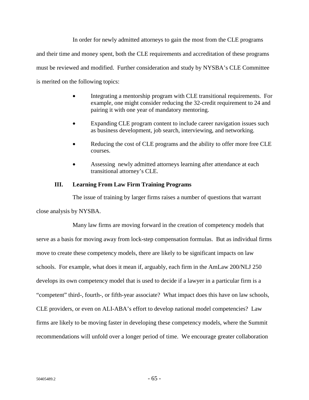In order for newly admitted attorneys to gain the most from the CLE programs and their time and money spent, both the CLE requirements and accreditation of these programs must be reviewed and modified. Further consideration and study by NYSBA's CLE Committee is merited on the following topics:

- Integrating a mentorship program with CLE transitional requirements. For example, one might consider reducing the 32-credit requirement to 24 and pairing it with one year of mandatory mentoring.
- Expanding CLE program content to include career navigation issues such as business development, job search, interviewing, and networking.
- Reducing the cost of CLE programs and the ability to offer more free CLE courses.
- Assessing newly admitted attorneys learning after attendance at each transitional attorney's CLE.

### **III. Learning From Law Firm Training Programs**

The issue of training by larger firms raises a number of questions that warrant

close analysis by NYSBA.

Many law firms are moving forward in the creation of competency models that serve as a basis for moving away from lock-step compensation formulas. But as individual firms move to create these competency models, there are likely to be significant impacts on law schools. For example, what does it mean if, arguably, each firm in the AmLaw 200/NLJ 250 develops its own competency model that is used to decide if a lawyer in a particular firm is a "competent" third-, fourth-, or fifth-year associate? What impact does this have on law schools, CLE providers, or even on ALI-ABA's effort to develop national model competencies? Law firms are likely to be moving faster in developing these competency models, where the Summit recommendations will unfold over a longer period of time. We encourage greater collaboration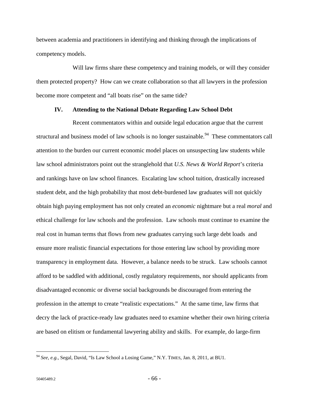between academia and practitioners in identifying and thinking through the implications of competency models.

Will law firms share these competency and training models, or will they consider them protected property? How can we create collaboration so that all lawyers in the profession become more competent and "all boats rise" on the same tide?

#### **IV. Attending to the National Debate Regarding Law School Debt**

Recent commentators within and outside legal education argue that the current structural and business model of law schools is no longer sustainable.<sup>94</sup> These commentators call attention to the burden our current economic model places on unsuspecting law students while law school administrators point out the stranglehold that *U.S. News & World Report*'s criteria and rankings have on law school finances. Escalating law school tuition, drastically increased student debt, and the high probability that most debt-burdened law graduates will not quickly obtain high paying employment has not only created an *economic* nightmare but a real *moral* and ethical challenge for law schools and the profession. Law schools must continue to examine the real cost in human terms that flows from new graduates carrying such large debt loads and ensure more realistic financial expectations for those entering law school by providing more transparency in employment data. However, a balance needs to be struck. Law schools cannot afford to be saddled with additional, costly regulatory requirements, nor should applicants from disadvantaged economic or diverse social backgrounds be discouraged from entering the profession in the attempt to create "realistic expectations." At the same time, law firms that decry the lack of practice-ready law graduates need to examine whether their own hiring criteria are based on elitism or fundamental lawyering ability and skills. For example, do large-firm

<u>.</u>

<sup>94</sup> *See*, *e.g.*, Segal, David, "Is Law School a Losing Game," N.Y. TIMES, Jan. 8, 2011, at BU1.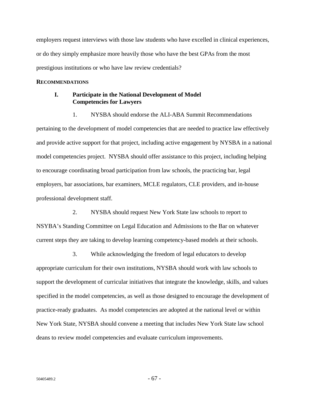employers request interviews with those law students who have excelled in clinical experiences, or do they simply emphasize more heavily those who have the best GPAs from the most prestigious institutions or who have law review credentials?

#### **RECOMMENDATIONS**

### **I. Participate in the National Development of Model Competencies for Lawyers**

1. NYSBA should endorse the ALI-ABA Summit Recommendations pertaining to the development of model competencies that are needed to practice law effectively and provide active support for that project, including active engagement by NYSBA in a national model competencies project. NYSBA should offer assistance to this project, including helping to encourage coordinating broad participation from law schools, the practicing bar, legal employers, bar associations, bar examiners, MCLE regulators, CLE providers, and in-house professional development staff.

2. NYSBA should request New York State law schools to report to NSYBA's Standing Committee on Legal Education and Admissions to the Bar on whatever current steps they are taking to develop learning competency-based models at their schools.

3. While acknowledging the freedom of legal educators to develop appropriate curriculum for their own institutions, NYSBA should work with law schools to support the development of curricular initiatives that integrate the knowledge, skills, and values specified in the model competencies, as well as those designed to encourage the development of practice-ready graduates. As model competencies are adopted at the national level or within New York State, NYSBA should convene a meeting that includes New York State law school deans to review model competencies and evaluate curriculum improvements.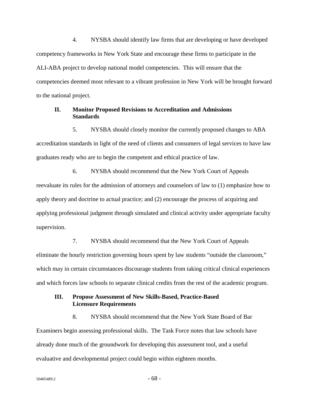4. NYSBA should identify law firms that are developing or have developed competency frameworks in New York State and encourage these firms to participate in the ALI-ABA project to develop national model competencies. This will ensure that the competencies deemed most relevant to a vibrant profession in New York will be brought forward to the national project.

# **II. Monitor Proposed Revisions to Accreditation and Admissions Standards**

5. NYSBA should closely monitor the currently proposed changes to ABA accreditation standards in light of the need of clients and consumers of legal services to have law graduates ready who are to begin the competent and ethical practice of law.

6. NYSBA should recommend that the New York Court of Appeals reevaluate its rules for the admission of attorneys and counselors of law to (1) emphasize how to apply theory and doctrine to actual practice; and (2) encourage the process of acquiring and applying professional judgment through simulated and clinical activity under appropriate faculty supervision.

7. NYSBA should recommend that the New York Court of Appeals eliminate the hourly restriction governing hours spent by law students "outside the classroom," which may in certain circumstances discourage students from taking critical clinical experiences and which forces law schools to separate clinical credits from the rest of the academic program.

# **III. Propose Assessment of New Skills-Based, Practice-Based Licensure Requirements**

8. NYSBA should recommend that the New York State Board of Bar Examiners begin assessing professional skills. The Task Force notes that law schools have already done much of the groundwork for developing this assessment tool, and a useful evaluative and developmental project could begin within eighteen months.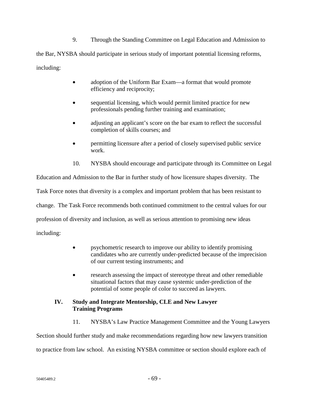9. Through the Standing Committee on Legal Education and Admission to

the Bar, NYSBA should participate in serious study of important potential licensing reforms, including:

- adoption of the Uniform Bar Exam—a format that would promote efficiency and reciprocity;
- sequential licensing, which would permit limited practice for new professionals pending further training and examination;
- adjusting an applicant's score on the bar exam to reflect the successful completion of skills courses; and
- permitting licensure after a period of closely supervised public service work.
- 10. NYSBA should encourage and participate through its Committee on Legal

Education and Admission to the Bar in further study of how licensure shapes diversity. The Task Force notes that diversity is a complex and important problem that has been resistant to change. The Task Force recommends both continued commitment to the central values for our profession of diversity and inclusion, as well as serious attention to promising new ideas including:

- psychometric research to improve our ability to identify promising candidates who are currently under-predicted because of the imprecision of our current testing instruments; and
- research assessing the impact of stereotype threat and other remediable situational factors that may cause systemic under-prediction of the potential of some people of color to succeed as lawyers.

# **IV. Study and Integrate Mentorship, CLE and New Lawyer Training Programs**

11. NYSBA's Law Practice Management Committee and the Young Lawyers

Section should further study and make recommendations regarding how new lawyers transition to practice from law school. An existing NYSBA committee or section should explore each of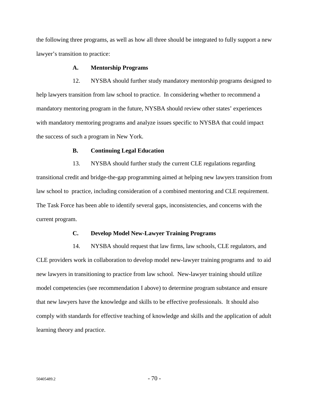the following three programs, as well as how all three should be integrated to fully support a new lawyer's transition to practice:

### **A. Mentorship Programs**

12. NYSBA should further study mandatory mentorship programs designed to help lawyers transition from law school to practice. In considering whether to recommend a mandatory mentoring program in the future, NYSBA should review other states' experiences with mandatory mentoring programs and analyze issues specific to NYSBA that could impact the success of such a program in New York.

#### **B. Continuing Legal Education**

13. NYSBA should further study the current CLE regulations regarding transitional credit and bridge-the-gap programming aimed at helping new lawyers transition from law school to practice, including consideration of a combined mentoring and CLE requirement. The Task Force has been able to identify several gaps, inconsistencies, and concerns with the current program.

### **C. Develop Model New-Lawyer Training Programs**

14. NYSBA should request that law firms, law schools, CLE regulators, and CLE providers work in collaboration to develop model new-lawyer training programs and to aid new lawyers in transitioning to practice from law school. New-lawyer training should utilize model competencies (see recommendation I above) to determine program substance and ensure that new lawyers have the knowledge and skills to be effective professionals. It should also comply with standards for effective teaching of knowledge and skills and the application of adult learning theory and practice.

 $50405489.2$  -  $70$  -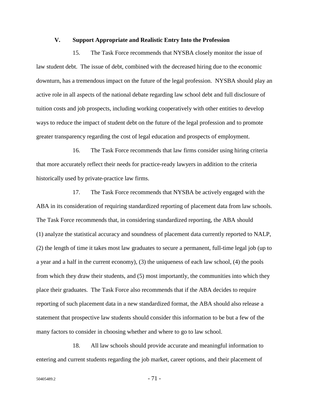#### **V. Support Appropriate and Realistic Entry Into the Profession**

15. The Task Force recommends that NYSBA closely monitor the issue of law student debt. The issue of debt, combined with the decreased hiring due to the economic downturn, has a tremendous impact on the future of the legal profession. NYSBA should play an active role in all aspects of the national debate regarding law school debt and full disclosure of tuition costs and job prospects, including working cooperatively with other entities to develop ways to reduce the impact of student debt on the future of the legal profession and to promote greater transparency regarding the cost of legal education and prospects of employment.

16. The Task Force recommends that law firms consider using hiring criteria that more accurately reflect their needs for practice-ready lawyers in addition to the criteria historically used by private-practice law firms.

17. The Task Force recommends that NYSBA be actively engaged with the ABA in its consideration of requiring standardized reporting of placement data from law schools. The Task Force recommends that, in considering standardized reporting, the ABA should (1) analyze the statistical accuracy and soundness of placement data currently reported to NALP, (2) the length of time it takes most law graduates to secure a permanent, full-time legal job (up to a year and a half in the current economy), (3) the uniqueness of each law school, (4) the pools from which they draw their students, and (5) most importantly, the communities into which they place their graduates. The Task Force also recommends that if the ABA decides to require reporting of such placement data in a new standardized format, the ABA should also release a statement that prospective law students should consider this information to be but a few of the many factors to consider in choosing whether and where to go to law school.

18. All law schools should provide accurate and meaningful information to entering and current students regarding the job market, career options, and their placement of

 $50405489.2$  -  $71$  -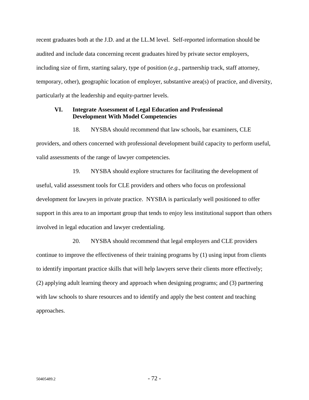recent graduates both at the J.D. and at the LL.M level. Self-reported information should be audited and include data concerning recent graduates hired by private sector employers, including size of firm, starting salary, type of position (*e.g.*, partnership track, staff attorney, temporary, other), geographic location of employer, substantive area(s) of practice, and diversity, particularly at the leadership and equity-partner levels.

## **VI. Integrate Assessment of Legal Education and Professional Development With Model Competencies**

18. NYSBA should recommend that law schools, bar examiners, CLE

providers, and others concerned with professional development build capacity to perform useful, valid assessments of the range of lawyer competencies.

19. NYSBA should explore structures for facilitating the development of useful, valid assessment tools for CLE providers and others who focus on professional development for lawyers in private practice. NYSBA is particularly well positioned to offer support in this area to an important group that tends to enjoy less institutional support than others involved in legal education and lawyer credentialing.

20. NYSBA should recommend that legal employers and CLE providers continue to improve the effectiveness of their training programs by (1) using input from clients to identify important practice skills that will help lawyers serve their clients more effectively; (2) applying adult learning theory and approach when designing programs; and (3) partnering with law schools to share resources and to identify and apply the best content and teaching approaches.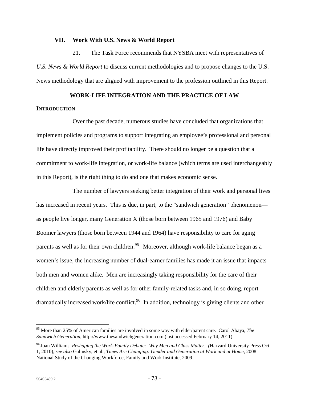#### **VII. Work With U.S. News & World Report**

21. The Task Force recommends that NYSBA meet with representatives of *U.S. News & World Report* to discuss current methodologies and to propose changes to the U.S. News methodology that are aligned with improvement to the profession outlined in this Report.

# **WORK-LIFE INTEGRATION AND THE PRACTICE OF LAW**

#### **INTRODUCTION**

Over the past decade, numerous studies have concluded that organizations that implement policies and programs to support integrating an employee's professional and personal life have directly improved their profitability. There should no longer be a question that a commitment to work-life integration, or work-life balance (which terms are used interchangeably in this Report), is the right thing to do and one that makes economic sense.

The number of lawyers seeking better integration of their work and personal lives has increased in recent years. This is due, in part, to the "sandwich generation" phenomenon as people live longer, many Generation X (those born between 1965 and 1976) and Baby Boomer lawyers (those born between 1944 and 1964) have responsibility to care for aging parents as well as for their own children.<sup>95</sup> Moreover, although work-life balance began as a women's issue, the increasing number of dual-earner families has made it an issue that impacts both men and women alike. Men are increasingly taking responsibility for the care of their children and elderly parents as well as for other family-related tasks and, in so doing, report dramatically increased work/life conflict.<sup>96</sup> In addition, technology is giving clients and other

<sup>95</sup> More than 25% of American families are involved in some way with elder/parent care. Carol Abaya, *The Sandwich Generation*, http://www.thesandwichgeneration.com (last accessed February 14, 2011).

<sup>96</sup> Joan Williams, *Reshaping the Work-Family Debate: Why Men and Class Matter. (*Harvard University Press Oct. 1, 2010), *see also* Galinsky, et al., *Times Are Changing: Gender and Generation at Work and at Home*, 2008 National Study of the Changing Workforce, Family and Work Institute, 2009.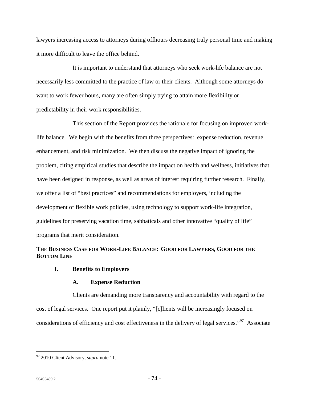lawyers increasing access to attorneys during offhours decreasing truly personal time and making it more difficult to leave the office behind.

It is important to understand that attorneys who seek work-life balance are not necessarily less committed to the practice of law or their clients. Although some attorneys do want to work fewer hours, many are often simply trying to attain more flexibility or predictability in their work responsibilities.

This section of the Report provides the rationale for focusing on improved worklife balance. We begin with the benefits from three perspectives: expense reduction, revenue enhancement, and risk minimization. We then discuss the negative impact of ignoring the problem, citing empirical studies that describe the impact on health and wellness, initiatives that have been designed in response, as well as areas of interest requiring further research. Finally, we offer a list of "best practices" and recommendations for employers, including the development of flexible work policies, using technology to support work-life integration, guidelines for preserving vacation time, sabbaticals and other innovative "quality of life" programs that merit consideration.

# **THE BUSINESS CASE FOR WORK-LIFE BALANCE: GOOD FOR LAWYERS, GOOD FOR THE BOTTOM LINE**

# **I. Benefits to Employers**

# **A. Expense Reduction**

Clients are demanding more transparency and accountability with regard to the cost of legal services. One report put it plainly, "[c]lients will be increasingly focused on considerations of efficiency and cost effectiveness in the delivery of legal services."97 Associate

<u>.</u>

<sup>97 2010</sup> Client Advisory, *supra* note 11.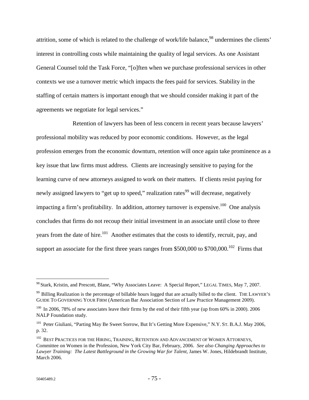attrition, some of which is related to the challenge of work/life balance,<sup>98</sup> undermines the clients' interest in controlling costs while maintaining the quality of legal services. As one Assistant General Counsel told the Task Force, "[o]ften when we purchase professional services in other contexts we use a turnover metric which impacts the fees paid for services. Stability in the staffing of certain matters is important enough that we should consider making it part of the agreements we negotiate for legal services."

Retention of lawyers has been of less concern in recent years because lawyers' professional mobility was reduced by poor economic conditions. However, as the legal profession emerges from the economic downturn, retention will once again take prominence as a key issue that law firms must address. Clients are increasingly sensitive to paying for the learning curve of new attorneys assigned to work on their matters. If clients resist paying for newly assigned lawyers to "get up to speed," realization rates<sup>99</sup> will decrease, negatively impacting a firm's profitability. In addition, attorney turnover is expensive.<sup>100</sup> One analysis concludes that firms do not recoup their initial investment in an associate until close to three years from the date of hire.<sup>101</sup> Another estimates that the costs to identify, recruit, pay, and support an associate for the first three years ranges from \$500,000 to \$700,000.<sup>102</sup> Firms that

<u>.</u>

<sup>&</sup>lt;sup>98</sup> Stark, Kristin, and Prescott, Blane, "Why Associates Leave: A Special Report," LEGAL TIMES, May 7, 2007.

<sup>&</sup>lt;sup>99</sup> Billing Realization is the percentage of billable hours logged that are actually billed to the client. THE LAWYER'S GUIDE TO GOVERNING YOUR FIRM (American Bar Association Section of Law Practice Management 2009).

<sup>&</sup>lt;sup>100</sup> In 2006, 78% of new associates leave their firms by the end of their fifth year (up from 60% in 2000). 2006 NALP Foundation study.

<sup>&</sup>lt;sup>101</sup> Peter Giuliani, "Parting May Be Sweet Sorrow, But It's Getting More Expensive," N.Y. ST. B.A.J. May 2006, p. 32.

<sup>&</sup>lt;sup>102</sup> BEST PRACTICES FOR THE HIRING, TRAINING, RETENTION AND ADVANCEMENT OF WOMEN ATTORNEYS, Committee on Women in the Profession, New York City Bar, February, 2006. *See also Changing Approaches to Lawyer Training: The Latest Battleground in the Growing War for Talent*, James W. Jones, Hildebrandt Institute, March 2006.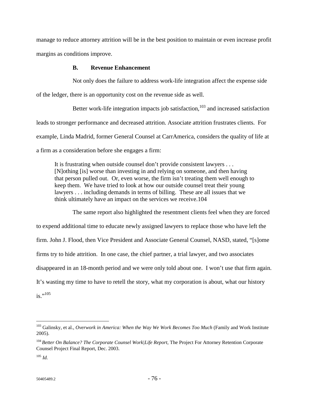manage to reduce attorney attrition will be in the best position to maintain or even increase profit margins as conditions improve.

# **B. Revenue Enhancement**

Not only does the failure to address work-life integration affect the expense side of the ledger, there is an opportunity cost on the revenue side as well.

Better work-life integration impacts job satisfaction, $103$  and increased satisfaction leads to stronger performance and decreased attrition. Associate attrition frustrates clients. For example, Linda Madrid, former General Counsel at CarrAmerica, considers the quality of life at a firm as a consideration before she engages a firm:

It is frustrating when outside counsel don't provide consistent lawyers . . . [N]othing [is] worse than investing in and relying on someone, and then having that person pulled out. Or, even worse, the firm isn't treating them well enough to keep them. We have tried to look at how our outside counsel treat their young lawyers . . . including demands in terms of billing. These are all issues that we think ultimately have an impact on the services we receive.104

The same report also highlighted the resentment clients feel when they are forced to expend additional time to educate newly assigned lawyers to replace those who have left the firm. John J. Flood, then Vice President and Associate General Counsel, NASD, stated, "[s]ome firms try to hide attrition. In one case, the chief partner, a trial lawyer, and two associates disappeared in an 18-month period and we were only told about one. I won't use that firm again. It's wasting my time to have to retell the story, what my corporation is about, what our history  $is.$ <sup>''105</sup>

<sup>103</sup> Galinsky, et al., *Overwork in America: When the Way We Work Becomes Too Much* (Family and Work Institute 2005).

<sup>104</sup>*Better On Balance? The Corporate Counsel Work|Life Report*, The Project For Attorney Retention Corporate Counsel Project Final Report, Dec. 2003.

<sup>105</sup> *Id.*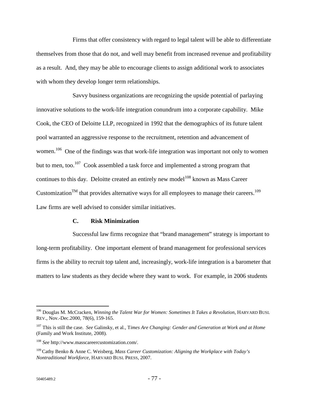Firms that offer consistency with regard to legal talent will be able to differentiate themselves from those that do not, and well may benefit from increased revenue and profitability as a result. And, they may be able to encourage clients to assign additional work to associates with whom they develop longer term relationships.

Savvy business organizations are recognizing the upside potential of parlaying innovative solutions to the work-life integration conundrum into a corporate capability. Mike Cook, the CEO of Deloitte LLP, recognized in 1992 that the demographics of its future talent pool warranted an aggressive response to the recruitment, retention and advancement of women.<sup>106</sup> One of the findings was that work-life integration was important not only to women but to men, too.<sup>107</sup> Cook assembled a task force and implemented a strong program that continues to this day. Deloitte created an entirely new model<sup>108</sup> known as Mass Career Customization<sup>TM</sup> that provides alternative ways for all employees to manage their careers.<sup>109</sup> Law firms are well advised to consider similar initiatives.

#### **C. Risk Minimization**

Successful law firms recognize that "brand management" strategy is important to long-term profitability. One important element of brand management for professional services firms is the ability to recruit top talent and, increasingly, work-life integration is a barometer that matters to law students as they decide where they want to work. For example, in 2006 students

<u>.</u>

<sup>106</sup> Douglas M. McCracken, *Winning the Talent War for Women: Sometimes It Takes a Revolution*, HARVARD BUSI. REV., Nov.-Dec.2000, 78(6), 159-165.

<sup>107</sup> This is still the case. *See* Galinsky, et al., T*imes Are Changing: Gender and Generation at Work and at Home* (Family and Work Institute, 2008).

<sup>108</sup> *See* http://www.masscareercustomization.com/.

<sup>109</sup> Cathy Benko & Anne C. Weisberg, *Mass Career Customization: Aligning the Workplace with Today's Nontraditional Workforce*, HARVARD BUSI. PRESS, 2007.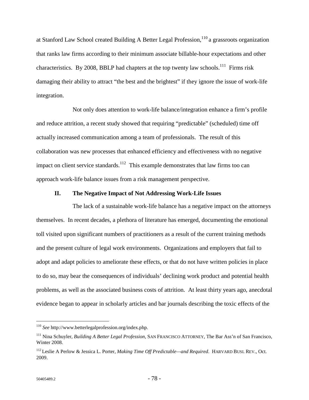at Stanford Law School created Building A Better Legal Profession,<sup>110</sup> a grassroots organization that ranks law firms according to their minimum associate billable-hour expectations and other characteristics. By 2008, BBLP had chapters at the top twenty law schools.<sup>111</sup> Firms risk damaging their ability to attract "the best and the brightest" if they ignore the issue of work-life integration.

Not only does attention to work-life balance/integration enhance a firm's profile and reduce attrition, a recent study showed that requiring "predictable" (scheduled) time off actually increased communication among a team of professionals. The result of this collaboration was new processes that enhanced efficiency and effectiveness with no negative impact on client service standards.<sup>112</sup> This example demonstrates that law firms too can approach work-life balance issues from a risk management perspective.

#### **II. The Negative Impact of Not Addressing Work-Life Issues**

The lack of a sustainable work-life balance has a negative impact on the attorneys themselves. In recent decades, a plethora of literature has emerged, documenting the emotional toll visited upon significant numbers of practitioners as a result of the current training methods and the present culture of legal work environments. Organizations and employers that fail to adopt and adapt policies to ameliorate these effects, or that do not have written policies in place to do so, may bear the consequences of individuals' declining work product and potential health problems, as well as the associated business costs of attrition. At least thirty years ago, anecdotal evidence began to appear in scholarly articles and bar journals describing the toxic effects of the

<sup>110</sup> *See* http://www.betterlegalprofession.org/index.php.

<sup>111</sup> Nina Schuyler, *Building A Better Legal Profession*, SAN FRANCISCO ATTORNEY, The Bar Ass'n of San Francisco, Winter 2008.

<sup>112</sup> Leslie A Perlow & Jessica L. Porter, *Making Time Off Predictable—and Required*. HARVARD BUSI. REV., Oct. 2009.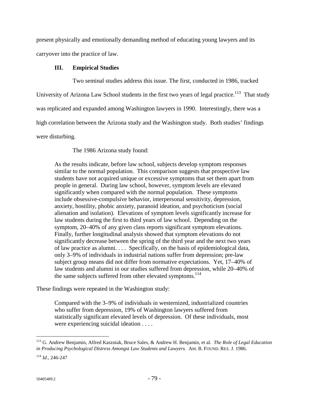present physically and emotionally demanding method of educating young lawyers and its carryover into the practice of law.

# **III. Empirical Studies**

Two seminal studies address this issue. The first, conducted in 1986, tracked University of Arizona Law School students in the first two years of legal practice.<sup>113</sup> That study was replicated and expanded among Washington lawyers in 1990. Interestingly, there was a high correlation between the Arizona study and the Washington study. Both studies' findings were disturbing.

The 1986 Arizona study found:

As the results indicate, before law school, subjects develop symptom responses similar to the normal population. This comparison suggests that prospective law students have not acquired unique or excessive symptoms that set them apart from people in general. During law school, however, symptom levels are elevated significantly when compared with the normal population. These symptoms include obsessive-compulsive behavior, interpersonal sensitivity, depression, anxiety, hostility, phobic anxiety, paranoid ideation, and psychoticism (social alienation and isolation). Elevations of symptom levels significantly increase for law students during the first to third years of law school. Depending on the symptom, 20–40% of any given class reports significant symptom elevations. Finally, further longitudinal analysis showed that symptom elevations do not significantly decrease between the spring of the third year and the next two years of law practice as alumni. . . . Specifically, on the basis of epidemiological data, only 3–9% of individuals in industrial nations suffer from depression; pre-law subject group means did not differ from normative expectations. Yet, 17–40% of law students and alumni in our studies suffered from depression, while 20–40% of the same subjects suffered from other elevated symptoms.<sup>114</sup>

These findings were repeated in the Washington study:

Compared with the 3–9% of individuals in westernized, industrialized countries who suffer from depression, 19% of Washington lawyers suffered from statistically significant elevated levels of depression. Of these individuals, most were experiencing suicidal ideation . . . .

<sup>113</sup> G. Andrew Benjamin, Alfred Kaszniak, Bruce Sales, & Andrew H. Benjamin, et al. *The Role of Legal Education in Producing Psychological Distress Amongst Law Students and Lawyers.* AM. B. FOUND. RES. J. 1986.

<sup>114</sup> *Id*., 246-247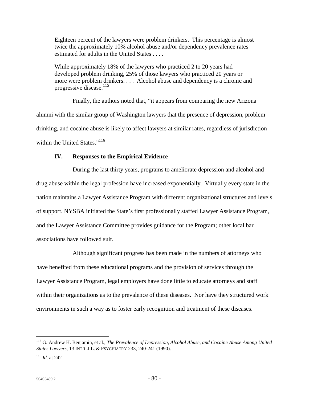Eighteen percent of the lawyers were problem drinkers. This percentage is almost twice the approximately 10% alcohol abuse and/or dependency prevalence rates estimated for adults in the United States . . . .

While approximately 18% of the lawyers who practiced 2 to 20 years had developed problem drinking, 25% of those lawyers who practiced 20 years or more were problem drinkers. . . . Alcohol abuse and dependency is a chronic and progressive disease.<sup>115</sup>

Finally, the authors noted that, "it appears from comparing the new Arizona alumni with the similar group of Washington lawyers that the presence of depression, problem drinking, and cocaine abuse is likely to affect lawyers at similar rates, regardless of jurisdiction within the United States."<sup>116</sup>

# **IV. Responses to the Empirical Evidence**

During the last thirty years, programs to ameliorate depression and alcohol and drug abuse within the legal profession have increased exponentially. Virtually every state in the nation maintains a Lawyer Assistance Program with different organizational structures and levels of support. NYSBA initiated the State's first professionally staffed Lawyer Assistance Program, and the Lawyer Assistance Committee provides guidance for the Program; other local bar associations have followed suit.

Although significant progress has been made in the numbers of attorneys who have benefited from these educational programs and the provision of services through the Lawyer Assistance Program, legal employers have done little to educate attorneys and staff within their organizations as to the prevalence of these diseases. Nor have they structured work environments in such a way as to foster early recognition and treatment of these diseases.

<sup>115</sup> G. Andrew H. Benjamin, et al., *The Prevalence of Depression, Alcohol Abuse, and Cocaine Abuse Among United States Lawyers*, 13 INT'L J.L. & PSYCHIATRY 233, 240-241 (1990).

<sup>116</sup> *Id*. at 242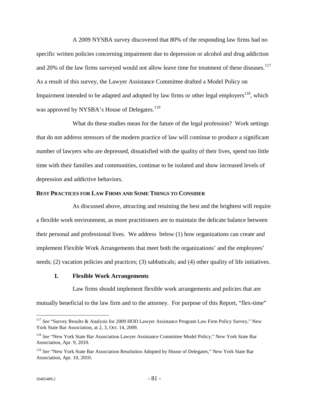A 2009 NYSBA survey discovered that 80% of the responding law firms had no specific written policies concerning impairment due to depression or alcohol and drug addiction and 20% of the law firms surveyed would not allow leave time for treatment of these diseases.<sup>117</sup> As a result of this survey, the Lawyer Assistance Committee drafted a Model Policy on Impairment intended to be adapted and adopted by law firms or other legal employers<sup>118</sup>, which was approved by NYSBA's House of Delegates.<sup>119</sup>

What do these studies mean for the future of the legal profession? Work settings that do not address stressors of the modern practice of law will continue to produce a significant number of lawyers who are depressed, dissatisfied with the quality of their lives, spend too little time with their families and communities, continue to be isolated and show increased levels of depression and addictive behaviors.

### **BEST PRACTICES FOR LAW FIRMS AND SOME THINGS TO CONSIDER**

As discussed above, attracting and retaining the best and the brightest will require a flexible work environment, as more practitioners are to maintain the delicate balance between their personal and professional lives. We address below (1) how organizations can create and implement Flexible Work Arrangements that meet both the organizations' and the employees' needs; (2) vacation policies and practices; (3) sabbaticals; and (4) other quality of life initiatives.

# **I. Flexible Work Arrangements**

Law firms should implement flexible work arrangements and policies that are mutually beneficial to the law firm and to the attorney. For purpose of this Report, "flex-time"

<sup>117</sup> *See* "Survey Results & Analysis for 2009 HOD Lawyer Assistance Program Law Firm Policy Survey," New York State Bar Association, at 2, 3, Oct. 14, 2009.

<sup>118</sup> *See* "New York State Bar Association Lawyer Assistance Committee Model Policy," New York State Bar Association, Apr. 9, 2010.

<sup>119</sup> *See* "New York State Bar Association Resolution Adopted by House of Delegates," New York State Bar Association, Apr. 10, 2010.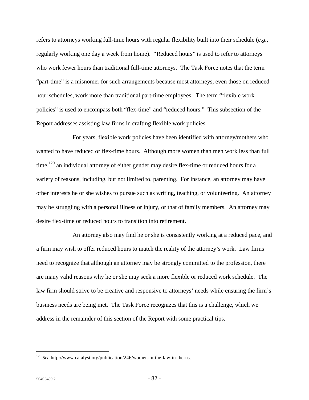refers to attorneys working full-time hours with regular flexibility built into their schedule (*e.g.*, regularly working one day a week from home). "Reduced hours" is used to refer to attorneys who work fewer hours than traditional full-time attorneys. The Task Force notes that the term "part-time" is a misnomer for such arrangements because most attorneys, even those on reduced hour schedules, work more than traditional part-time employees. The term "flexible work policies" is used to encompass both "flex-time" and "reduced hours." This subsection of the Report addresses assisting law firms in crafting flexible work policies.

For years, flexible work policies have been identified with attorney/mothers who wanted to have reduced or flex-time hours. Although more women than men work less than full time,<sup>120</sup> an individual attorney of either gender may desire flex-time or reduced hours for a variety of reasons, including, but not limited to, parenting. For instance, an attorney may have other interests he or she wishes to pursue such as writing, teaching, or volunteering. An attorney may be struggling with a personal illness or injury, or that of family members. An attorney may desire flex-time or reduced hours to transition into retirement.

An attorney also may find he or she is consistently working at a reduced pace, and a firm may wish to offer reduced hours to match the reality of the attorney's work. Law firms need to recognize that although an attorney may be strongly committed to the profession, there are many valid reasons why he or she may seek a more flexible or reduced work schedule. The law firm should strive to be creative and responsive to attorneys' needs while ensuring the firm's business needs are being met. The Task Force recognizes that this is a challenge, which we address in the remainder of this section of the Report with some practical tips.

<sup>120</sup> *See* http://www.catalyst.org/publication/246/women-in-the-law-in-the-us.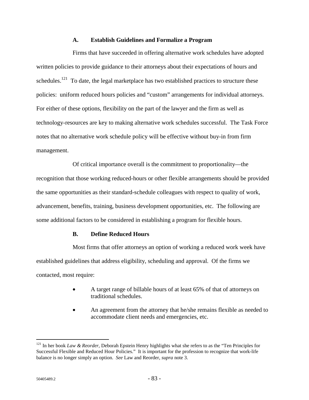### **A. Establish Guidelines and Formalize a Program**

Firms that have succeeded in offering alternative work schedules have adopted written policies to provide guidance to their attorneys about their expectations of hours and schedules.<sup>121</sup> To date, the legal marketplace has two established practices to structure these policies: uniform reduced hours policies and "custom" arrangements for individual attorneys. For either of these options, flexibility on the part of the lawyer and the firm as well as technology-resources are key to making alternative work schedules successful. The Task Force notes that no alternative work schedule policy will be effective without buy-in from firm management.

Of critical importance overall is the commitment to proportionality—the recognition that those working reduced-hours or other flexible arrangements should be provided the same opportunities as their standard-schedule colleagues with respect to quality of work, advancement, benefits, training, business development opportunities, etc. The following are some additional factors to be considered in establishing a program for flexible hours.

# **B. Define Reduced Hours**

Most firms that offer attorneys an option of working a reduced work week have established guidelines that address eligibility, scheduling and approval. Of the firms we contacted, most require:

- A target range of billable hours of at least 65% of that of attorneys on traditional schedules.
- An agreement from the attorney that he/she remains flexible as needed to accommodate client needs and emergencies, etc.

<u>.</u>

<sup>&</sup>lt;sup>121</sup> In her book *Law & Reorder*, Deborah Epstein Henry highlights what she refers to as the "Ten Principles for Successful Flexible and Reduced Hour Policies." It is important for the profession to recognize that work-life balance is no longer simply an option. *See* Law and Reorder, *supra* note 3.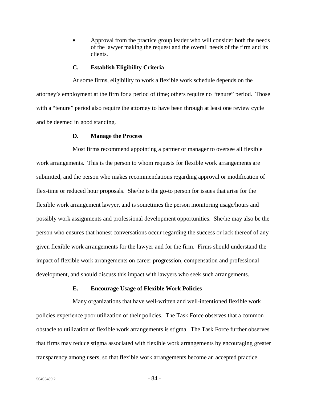• Approval from the practice group leader who will consider both the needs of the lawyer making the request and the overall needs of the firm and its clients.

#### **C. Establish Eligibility Criteria**

At some firms, eligibility to work a flexible work schedule depends on the attorney's employment at the firm for a period of time; others require no "tenure" period. Those with a "tenure" period also require the attorney to have been through at least one review cycle and be deemed in good standing.

#### **D. Manage the Process**

Most firms recommend appointing a partner or manager to oversee all flexible work arrangements. This is the person to whom requests for flexible work arrangements are submitted, and the person who makes recommendations regarding approval or modification of flex-time or reduced hour proposals. She/he is the go-to person for issues that arise for the flexible work arrangement lawyer, and is sometimes the person monitoring usage/hours and possibly work assignments and professional development opportunities. She/he may also be the person who ensures that honest conversations occur regarding the success or lack thereof of any given flexible work arrangements for the lawyer and for the firm. Firms should understand the impact of flexible work arrangements on career progression, compensation and professional development, and should discuss this impact with lawyers who seek such arrangements.

#### **E. Encourage Usage of Flexible Work Policies**

Many organizations that have well-written and well-intentioned flexible work policies experience poor utilization of their policies. The Task Force observes that a common obstacle to utilization of flexible work arrangements is stigma. The Task Force further observes that firms may reduce stigma associated with flexible work arrangements by encouraging greater transparency among users, so that flexible work arrangements become an accepted practice.

 $50405489.2$  - 84 -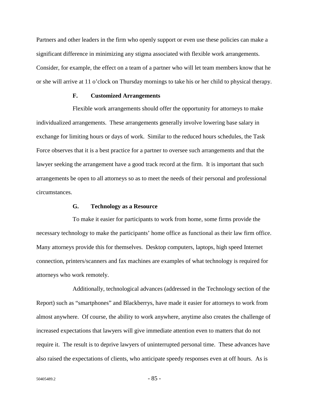Partners and other leaders in the firm who openly support or even use these policies can make a significant difference in minimizing any stigma associated with flexible work arrangements. Consider, for example, the effect on a team of a partner who will let team members know that he or she will arrive at 11 o'clock on Thursday mornings to take his or her child to physical therapy.

### **F. Customized Arrangements**

Flexible work arrangements should offer the opportunity for attorneys to make individualized arrangements. These arrangements generally involve lowering base salary in exchange for limiting hours or days of work. Similar to the reduced hours schedules, the Task Force observes that it is a best practice for a partner to oversee such arrangements and that the lawyer seeking the arrangement have a good track record at the firm. It is important that such arrangements be open to all attorneys so as to meet the needs of their personal and professional circumstances.

# **G. Technology as a Resource**

To make it easier for participants to work from home, some firms provide the necessary technology to make the participants' home office as functional as their law firm office. Many attorneys provide this for themselves. Desktop computers, laptops, high speed Internet connection, printers/scanners and fax machines are examples of what technology is required for attorneys who work remotely.

Additionally, technological advances (addressed in the Technology section of the Report) such as "smartphones" and Blackberrys, have made it easier for attorneys to work from almost anywhere. Of course, the ability to work anywhere, anytime also creates the challenge of increased expectations that lawyers will give immediate attention even to matters that do not require it. The result is to deprive lawyers of uninterrupted personal time. These advances have also raised the expectations of clients, who anticipate speedy responses even at off hours. As is

 $50405489.2$  -  $85$  -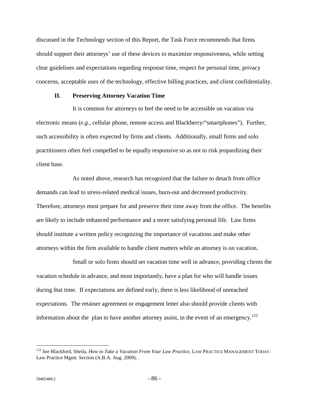discussed in the Technology section of this Report, the Task Force recommends that firms should support their attorneys' use of these devices to maximize responsiveness, while setting clear guidelines and expectations regarding response time, respect for personal time, privacy concerns, acceptable uses of the technology, effective billing practices, and client confidentiality.

# **II. Preserving Attorney Vacation Time**

It is common for attorneys to feel the need to be accessible on vacation via electronic means (*e.g.*, cellular phone, remote access and Blackberry/"smartphones"). Further, such accessibility is often expected by firms and clients. Additionally, small firms and solo practitioners often feel compelled to be equally responsive so as not to risk jeopardizing their client base.

As noted above, research has recognized that the failure to detach from office demands can lead to stress-related medical issues, burn-out and decreased productivity. Therefore, attorneys must prepare for and preserve their time away from the office. The benefits are likely to include enhanced performance and a more satisfying personal life. Law firms should institute a written policy recognizing the importance of vacations and make other attorneys within the firm available to handle client matters while an attorney is on vacation.

Small or solo firms should set vacation time well in advance, providing clients the vacation schedule in advance, and most importantly, have a plan for who will handle issues during that time. If expectations are defined early, there is less likelihood of unreached expectations. The retainer agreement or engagement letter also should provide clients with information about the plan to have another attorney assist, in the event of an emergency.<sup>122</sup>

<u>.</u>

<sup>122</sup> *See* Blackford, Sheila, *How to Take a Vacation From Your Law Practice*, LAW PRACTICE MANAGEMENT TODAY. Law Practice Mgmt. Section (A.B.A. Aug. 2009).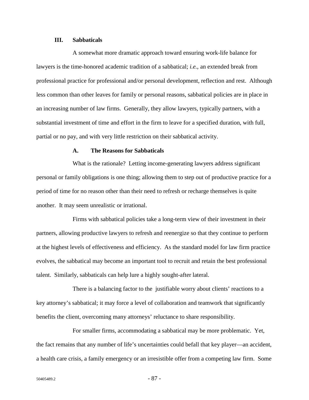### **III. Sabbaticals**

A somewhat more dramatic approach toward ensuring work-life balance for lawyers is the time-honored academic tradition of a sabbatical; *i.e.*, an extended break from professional practice for professional and/or personal development, reflection and rest. Although less common than other leaves for family or personal reasons, sabbatical policies are in place in an increasing number of law firms. Generally, they allow lawyers, typically partners, with a substantial investment of time and effort in the firm to leave for a specified duration, with full, partial or no pay, and with very little restriction on their sabbatical activity.

#### **A. The Reasons for Sabbaticals**

What is the rationale? Letting income-generating lawyers address significant personal or family obligations is one thing; allowing them to step out of productive practice for a period of time for no reason other than their need to refresh or recharge themselves is quite another. It may seem unrealistic or irrational.

Firms with sabbatical policies take a long-term view of their investment in their partners, allowing productive lawyers to refresh and reenergize so that they continue to perform at the highest levels of effectiveness and efficiency. As the standard model for law firm practice evolves, the sabbatical may become an important tool to recruit and retain the best professional talent. Similarly, sabbaticals can help lure a highly sought-after lateral.

There is a balancing factor to the justifiable worry about clients' reactions to a key attorney's sabbatical; it may force a level of collaboration and teamwork that significantly benefits the client, overcoming many attorneys' reluctance to share responsibility.

For smaller firms, accommodating a sabbatical may be more problematic. Yet, the fact remains that any number of life's uncertainties could befall that key player—an accident, a health care crisis, a family emergency or an irresistible offer from a competing law firm. Some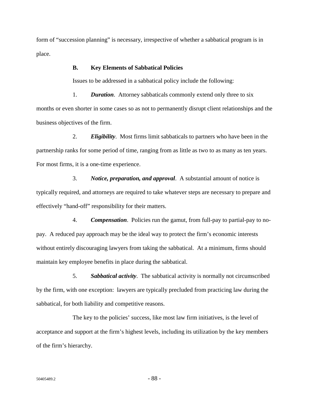form of "succession planning" is necessary, irrespective of whether a sabbatical program is in place.

# **B. Key Elements of Sabbatical Policies**

Issues to be addressed in a sabbatical policy include the following:

1. *Duration*. Attorney sabbaticals commonly extend only three to six months or even shorter in some cases so as not to permanently disrupt client relationships and the business objectives of the firm.

2. *Eligibility*. Most firms limit sabbaticals to partners who have been in the partnership ranks for some period of time, ranging from as little as two to as many as ten years. For most firms, it is a one-time experience.

3. *Notice, preparation, and approval*. A substantial amount of notice is typically required, and attorneys are required to take whatever steps are necessary to prepare and effectively "hand-off" responsibility for their matters.

4. *Compensation*. Policies run the gamut, from full-pay to partial-pay to nopay. A reduced pay approach may be the ideal way to protect the firm's economic interests without entirely discouraging lawyers from taking the sabbatical. At a minimum, firms should maintain key employee benefits in place during the sabbatical.

5. *Sabbatical activity*. The sabbatical activity is normally not circumscribed by the firm, with one exception: lawyers are typically precluded from practicing law during the sabbatical, for both liability and competitive reasons.

The key to the policies' success, like most law firm initiatives, is the level of acceptance and support at the firm's highest levels, including its utilization by the key members of the firm's hierarchy.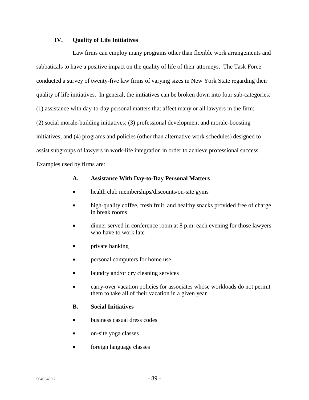# **IV. Quality of Life Initiatives**

Law firms can employ many programs other than flexible work arrangements and sabbaticals to have a positive impact on the quality of life of their attorneys. The Task Force conducted a survey of twenty-five law firms of varying sizes in New York State regarding their quality of life initiatives. In general, the initiatives can be broken down into four sub-categories: (1) assistance with day-to-day personal matters that affect many or all lawyers in the firm; (2) social morale-building initiatives; (3) professional development and morale-boosting initiatives; and (4) programs and policies (other than alternative work schedules) designed to assist subgroups of lawyers in work-life integration in order to achieve professional success. Examples used by firms are:

## **A. Assistance With Day-to-Day Personal Matters**

- health club memberships/discounts/on-site gyms
- high-quality coffee, fresh fruit, and healthy snacks provided free of charge in break rooms
- dinner served in conference room at 8 p.m. each evening for those lawyers who have to work late
- private banking
- personal computers for home use
- laundry and/or dry cleaning services
- carry-over vacation policies for associates whose workloads do not permit them to take all of their vacation in a given year

# **B. Social Initiatives**

- business casual dress codes
- on-site yoga classes
- foreign language classes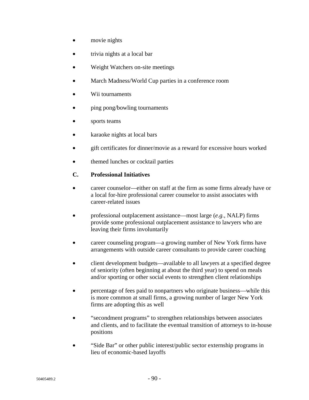- movie nights
- trivia nights at a local bar
- Weight Watchers on-site meetings
- March Madness/World Cup parties in a conference room
- Wii tournaments
- ping pong/bowling tournaments
- sports teams
- karaoke nights at local bars
- gift certificates for dinner/movie as a reward for excessive hours worked
- themed lunches or cocktail parties

# **C. Professional Initiatives**

- career counselor—either on staff at the firm as some firms already have or a local for-hire professional career counselor to assist associates with career-related issues
- professional outplacement assistance—most large (*e.g.*, NALP) firms provide some professional outplacement assistance to lawyers who are leaving their firms involuntarily
- career counseling program—a growing number of New York firms have arrangements with outside career consultants to provide career coaching
- client development budgets—available to all lawyers at a specified degree of seniority (often beginning at about the third year) to spend on meals and/or sporting or other social events to strengthen client relationships
- percentage of fees paid to nonpartners who originate business—while this is more common at small firms, a growing number of larger New York firms are adopting this as well
- "secondment programs" to strengthen relationships between associates and clients, and to facilitate the eventual transition of attorneys to in-house positions
- "Side Bar" or other public interest/public sector externship programs in lieu of economic-based layoffs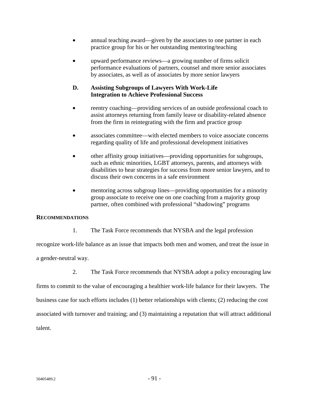- annual teaching award—given by the associates to one partner in each practice group for his or her outstanding mentoring/teaching
- upward performance reviews—a growing number of firms solicit performance evaluations of partners, counsel and more senior associates by associates, as well as of associates by more senior lawyers

# **D. Assisting Subgroups of Lawyers With Work-Life Integration to Achieve Professional Success**

- reentry coaching—providing services of an outside professional coach to assist attorneys returning from family leave or disability-related absence from the firm in reintegrating with the firm and practice group
- associates committee—with elected members to voice associate concerns regarding quality of life and professional development initiatives
- other affinity group initiatives—providing opportunities for subgroups, such as ethnic minorities, LGBT attorneys, parents, and attorneys with disabilities to hear strategies for success from more senior lawyers, and to discuss their own concerns in a safe environment
- mentoring across subgroup lines—providing opportunities for a minority group associate to receive one on one coaching from a majority group partner, often combined with professional "shadowing" programs

# **RECOMMENDATIONS**

1. The Task Force recommends that NYSBA and the legal profession

recognize work-life balance as an issue that impacts both men and women, and treat the issue in a gender-neutral way.

2. The Task Force recommends that NYSBA adopt a policy encouraging law

firms to commit to the value of encouraging a healthier work-life balance for their lawyers. The

business case for such efforts includes (1) better relationships with clients; (2) reducing the cost

associated with turnover and training; and (3) maintaining a reputation that will attract additional

talent.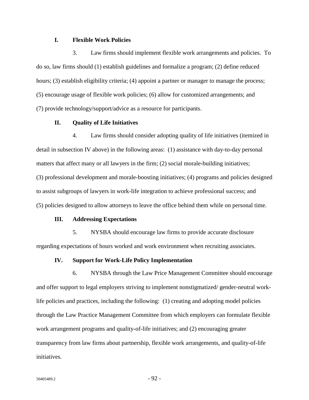# **I. Flexible Work Policies**

3. Law firms should implement flexible work arrangements and policies. To do so, law firms should (1) establish guidelines and formalize a program; (2) define reduced hours; (3) establish eligibility criteria; (4) appoint a partner or manager to manage the process; (5) encourage usage of flexible work policies; (6) allow for customized arrangements; and (7) provide technology/support/advice as a resource for participants.

### **II. Quality of Life Initiatives**

4. Law firms should consider adopting quality of life initiatives (itemized in detail in subsection IV above) in the following areas: (1) assistance with day-to-day personal matters that affect many or all lawyers in the firm; (2) social morale-building initiatives; (3) professional development and morale-boosting initiatives; (4) programs and policies designed to assist subgroups of lawyers in work-life integration to achieve professional success; and (5) policies designed to allow attorneys to leave the office behind them while on personal time.

#### **III. Addressing Expectations**

5. NYSBA should encourage law firms to provide accurate disclosure regarding expectations of hours worked and work environment when recruiting associates.

#### **IV. Support for Work-Life Policy Implementation**

6. NYSBA through the Law Price Management Committee should encourage and offer support to legal employers striving to implement nonstigmatized/ gender-neutral worklife policies and practices, including the following: (1) creating and adopting model policies through the Law Practice Management Committee from which employers can formulate flexible work arrangement programs and quality-of-life initiatives; and (2) encouraging greater transparency from law firms about partnership, flexible work arrangements, and quality-of-life initiatives.

 $50405489.2$  - 92 -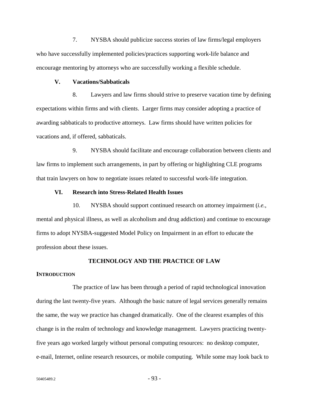7. NYSBA should publicize success stories of law firms/legal employers who have successfully implemented policies/practices supporting work-life balance and encourage mentoring by attorneys who are successfully working a flexible schedule.

#### **V. Vacations/Sabbaticals**

8. Lawyers and law firms should strive to preserve vacation time by defining expectations within firms and with clients. Larger firms may consider adopting a practice of awarding sabbaticals to productive attorneys. Law firms should have written policies for vacations and, if offered, sabbaticals.

9. NYSBA should facilitate and encourage collaboration between clients and law firms to implement such arrangements, in part by offering or highlighting CLE programs that train lawyers on how to negotiate issues related to successful work-life integration.

# **VI. Research into Stress-Related Health Issues**

10. NYSBA should support continued research on attorney impairment (*i.e.*, mental and physical illness, as well as alcoholism and drug addiction) and continue to encourage firms to adopt NYSBA-suggested Model Policy on Impairment in an effort to educate the profession about these issues.

# **TECHNOLOGY AND THE PRACTICE OF LAW**

### **INTRODUCTION**

The practice of law has been through a period of rapid technological innovation during the last twenty-five years. Although the basic nature of legal services generally remains the same, the way we practice has changed dramatically. One of the clearest examples of this change is in the realm of technology and knowledge management. Lawyers practicing twentyfive years ago worked largely without personal computing resources: no desktop computer, e-mail, Internet, online research resources, or mobile computing. While some may look back to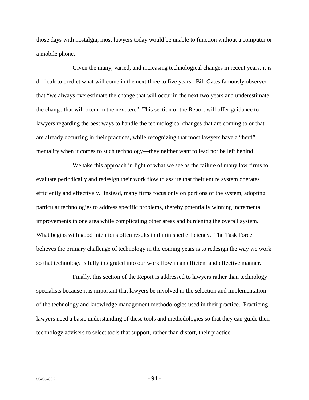those days with nostalgia, most lawyers today would be unable to function without a computer or a mobile phone.

Given the many, varied, and increasing technological changes in recent years, it is difficult to predict what will come in the next three to five years. Bill Gates famously observed that "we always overestimate the change that will occur in the next two years and underestimate the change that will occur in the next ten." This section of the Report will offer guidance to lawyers regarding the best ways to handle the technological changes that are coming to or that are already occurring in their practices, while recognizing that most lawyers have a "herd" mentality when it comes to such technology—they neither want to lead nor be left behind.

We take this approach in light of what we see as the failure of many law firms to evaluate periodically and redesign their work flow to assure that their entire system operates efficiently and effectively. Instead, many firms focus only on portions of the system, adopting particular technologies to address specific problems, thereby potentially winning incremental improvements in one area while complicating other areas and burdening the overall system. What begins with good intentions often results in diminished efficiency. The Task Force believes the primary challenge of technology in the coming years is to redesign the way we work so that technology is fully integrated into our work flow in an efficient and effective manner.

Finally, this section of the Report is addressed to lawyers rather than technology specialists because it is important that lawyers be involved in the selection and implementation of the technology and knowledge management methodologies used in their practice. Practicing lawyers need a basic understanding of these tools and methodologies so that they can guide their technology advisers to select tools that support, rather than distort, their practice.

 $50405489.2$  - 94 -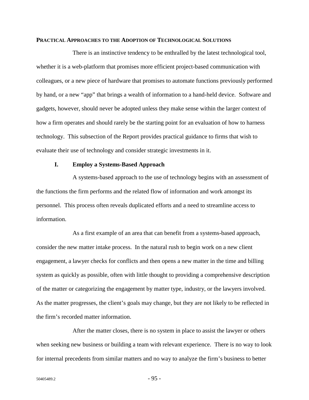#### **PRACTICAL APPROACHES TO THE ADOPTION OF TECHNOLOGICAL SOLUTIONS**

There is an instinctive tendency to be enthralled by the latest technological tool, whether it is a web-platform that promises more efficient project-based communication with colleagues, or a new piece of hardware that promises to automate functions previously performed by hand, or a new "app" that brings a wealth of information to a hand-held device. Software and gadgets, however, should never be adopted unless they make sense within the larger context of how a firm operates and should rarely be the starting point for an evaluation of how to harness technology. This subsection of the Report provides practical guidance to firms that wish to evaluate their use of technology and consider strategic investments in it.

### **I. Employ a Systems-Based Approach**

A systems-based approach to the use of technology begins with an assessment of the functions the firm performs and the related flow of information and work amongst its personnel. This process often reveals duplicated efforts and a need to streamline access to information.

As a first example of an area that can benefit from a systems-based approach, consider the new matter intake process. In the natural rush to begin work on a new client engagement, a lawyer checks for conflicts and then opens a new matter in the time and billing system as quickly as possible, often with little thought to providing a comprehensive description of the matter or categorizing the engagement by matter type, industry, or the lawyers involved. As the matter progresses, the client's goals may change, but they are not likely to be reflected in the firm's recorded matter information.

After the matter closes, there is no system in place to assist the lawyer or others when seeking new business or building a team with relevant experience. There is no way to look for internal precedents from similar matters and no way to analyze the firm's business to better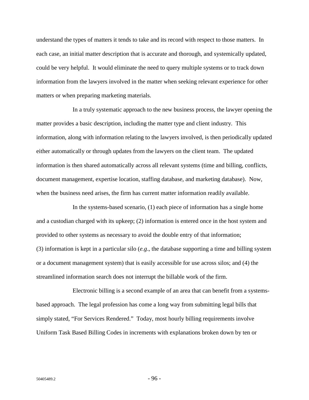understand the types of matters it tends to take and its record with respect to those matters. In each case, an initial matter description that is accurate and thorough, and systemically updated, could be very helpful. It would eliminate the need to query multiple systems or to track down information from the lawyers involved in the matter when seeking relevant experience for other matters or when preparing marketing materials.

In a truly systematic approach to the new business process, the lawyer opening the matter provides a basic description, including the matter type and client industry. This information, along with information relating to the lawyers involved, is then periodically updated either automatically or through updates from the lawyers on the client team. The updated information is then shared automatically across all relevant systems (time and billing, conflicts, document management, expertise location, staffing database, and marketing database). Now, when the business need arises, the firm has current matter information readily available.

In the systems-based scenario, (1) each piece of information has a single home and a custodian charged with its upkeep; (2) information is entered once in the host system and provided to other systems as necessary to avoid the double entry of that information; (3) information is kept in a particular silo (*e.g*., the database supporting a time and billing system or a document management system) that is easily accessible for use across silos; and (4) the streamlined information search does not interrupt the billable work of the firm.

Electronic billing is a second example of an area that can benefit from a systemsbased approach. The legal profession has come a long way from submitting legal bills that simply stated, "For Services Rendered." Today, most hourly billing requirements involve Uniform Task Based Billing Codes in increments with explanations broken down by ten or

 $50405489.2$  - 96 -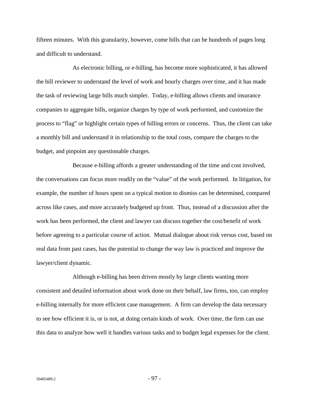fifteen minutes. With this granularity, however, come bills that can be hundreds of pages long and difficult to understand.

As electronic billing, or e-billing, has become more sophisticated, it has allowed the bill reviewer to understand the level of work and hourly charges over time, and it has made the task of reviewing large bills much simpler. Today, e-billing allows clients and insurance companies to aggregate bills, organize charges by type of work performed, and customize the process to "flag" or highlight certain types of billing errors or concerns. Thus, the client can take a monthly bill and understand it in relationship to the total costs, compare the charges to the budget, and pinpoint any questionable charges.

Because e-billing affords a greater understanding of the time and cost involved, the conversations can focus more readily on the "value" of the work performed. In litigation, for example, the number of hours spent on a typical motion to dismiss can be determined, compared across like cases, and more accurately budgeted up front. Thus, instead of a discussion after the work has been performed, the client and lawyer can discuss together the cost/benefit of work before agreeing to a particular course of action. Mutual dialogue about risk versus cost, based on real data from past cases, has the potential to change the way law is practiced and improve the lawyer/client dynamic.

Although e-billing has been driven mostly by large clients wanting more consistent and detailed information about work done on their behalf, law firms, too, can employ e-billing internally for more efficient case management. A firm can develop the data necessary to see how efficient it is, or is not, at doing certain kinds of work. Over time, the firm can use this data to analyze how well it handles various tasks and to budget legal expenses for the client.

 $50405489.2$  - 97 -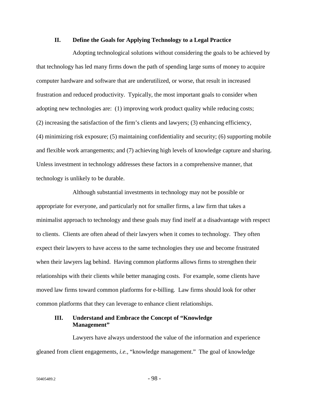## **II. Define the Goals for Applying Technology to a Legal Practice**

Adopting technological solutions without considering the goals to be achieved by that technology has led many firms down the path of spending large sums of money to acquire computer hardware and software that are underutilized, or worse, that result in increased frustration and reduced productivity. Typically, the most important goals to consider when adopting new technologies are: (1) improving work product quality while reducing costs; (2) increasing the satisfaction of the firm's clients and lawyers; (3) enhancing efficiency, (4) minimizing risk exposure; (5) maintaining confidentiality and security; (6) supporting mobile and flexible work arrangements; and (7) achieving high levels of knowledge capture and sharing. Unless investment in technology addresses these factors in a comprehensive manner, that technology is unlikely to be durable.

Although substantial investments in technology may not be possible or appropriate for everyone, and particularly not for smaller firms, a law firm that takes a minimalist approach to technology and these goals may find itself at a disadvantage with respect to clients. Clients are often ahead of their lawyers when it comes to technology. They often expect their lawyers to have access to the same technologies they use and become frustrated when their lawyers lag behind. Having common platforms allows firms to strengthen their relationships with their clients while better managing costs. For example, some clients have moved law firms toward common platforms for e-billing. Law firms should look for other common platforms that they can leverage to enhance client relationships.

# **III. Understand and Embrace the Concept of "Knowledge Management"**

Lawyers have always understood the value of the information and experience gleaned from client engagements, *i.e.,* "knowledge management." The goal of knowledge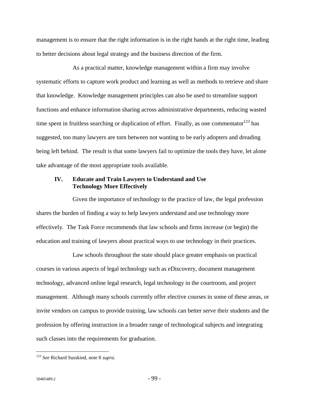management is to ensure that the right information is in the right hands at the right time, leading to better decisions about legal strategy and the business direction of the firm.

As a practical matter, knowledge management within a firm may involve systematic efforts to capture work product and learning as well as methods to retrieve and share that knowledge. Knowledge management principles can also be used to streamline support functions and enhance information sharing across administrative departments, reducing wasted time spent in fruitless searching or duplication of effort. Finally, as one commentator  $^{123}$  has suggested, too many lawyers are torn between not wanting to be early adopters and dreading being left behind. The result is that some lawyers fail to optimize the tools they have, let alone take advantage of the most appropriate tools available.

# **IV. Educate and Train Lawyers to Understand and Use Technology More Effectively**

Given the importance of technology to the practice of law, the legal profession shares the burden of finding a way to help lawyers understand and use technology more effectively. The Task Force recommends that law schools and firms increase (or begin) the education and training of lawyers about practical ways to use technology in their practices.

Law schools throughout the state should place greater emphasis on practical courses in various aspects of legal technology such as eDiscovery, document management technology, advanced online legal research, legal technology in the courtroom, and project management. Although many schools currently offer elective courses in some of these areas, or invite vendors on campus to provide training, law schools can better serve their students and the profession by offering instruction in a broader range of technological subjects and integrating such classes into the requirements for graduation.

<u>.</u>

<sup>123</sup> *See* Richard Susskind, note 8 *supra*.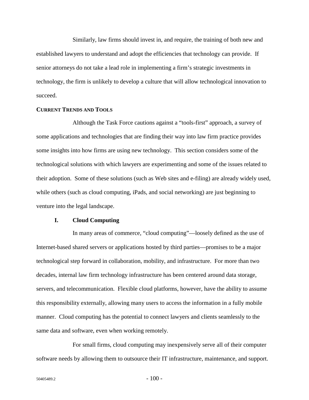Similarly, law firms should invest in, and require, the training of both new and established lawyers to understand and adopt the efficiencies that technology can provide. If senior attorneys do not take a lead role in implementing a firm's strategic investments in technology, the firm is unlikely to develop a culture that will allow technological innovation to succeed.

#### **CURRENT TRENDS AND TOOLS**

Although the Task Force cautions against a "tools-first" approach, a survey of some applications and technologies that are finding their way into law firm practice provides some insights into how firms are using new technology. This section considers some of the technological solutions with which lawyers are experimenting and some of the issues related to their adoption. Some of these solutions (such as Web sites and e-filing) are already widely used, while others (such as cloud computing, iPads, and social networking) are just beginning to venture into the legal landscape.

#### **I. Cloud Computing**

In many areas of commerce, "cloud computing"—loosely defined as the use of Internet-based shared servers or applications hosted by third parties—promises to be a major technological step forward in collaboration, mobility, and infrastructure. For more than two decades, internal law firm technology infrastructure has been centered around data storage, servers, and telecommunication. Flexible cloud platforms, however, have the ability to assume this responsibility externally, allowing many users to access the information in a fully mobile manner. Cloud computing has the potential to connect lawyers and clients seamlessly to the same data and software, even when working remotely.

For small firms, cloud computing may inexpensively serve all of their computer software needs by allowing them to outsource their IT infrastructure, maintenance, and support.

 $50405489.2$  - 100 -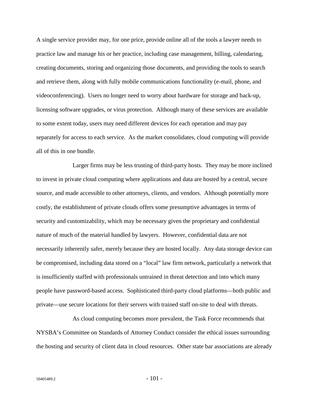A single service provider may, for one price, provide online all of the tools a lawyer needs to practice law and manage his or her practice, including case management, billing, calendaring, creating documents, storing and organizing those documents, and providing the tools to search and retrieve them, along with fully mobile communications functionality (e-mail, phone, and videoconferencing). Users no longer need to worry about hardware for storage and back-up, licensing software upgrades, or virus protection. Although many of these services are available to some extent today, users may need different devices for each operation and may pay separately for access to each service. As the market consolidates, cloud computing will provide all of this in one bundle.

Larger firms may be less trusting of third-party hosts. They may be more inclined to invest in private cloud computing where applications and data are hosted by a central, secure source, and made accessible to other attorneys, clients, and vendors. Although potentially more costly, the establishment of private clouds offers some presumptive advantages in terms of security and customizability, which may be necessary given the proprietary and confidential nature of much of the material handled by lawyers. However, confidential data are not necessarily inherently safer, merely because they are hosted locally. Any data storage device can be compromised, including data stored on a "local" law firm network, particularly a network that is insufficiently staffed with professionals untrained in threat detection and into which many people have password-based access. Sophisticated third-party cloud platforms—both public and private—use secure locations for their servers with trained staff on-site to deal with threats.

As cloud computing becomes more prevalent, the Task Force recommends that NYSBA's Committee on Standards of Attorney Conduct consider the ethical issues surrounding the hosting and security of client data in cloud resources. Other state bar associations are already

 $50405489.2$  - 101 -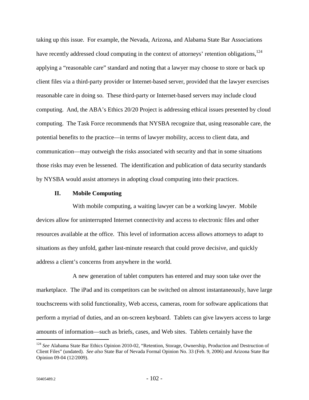taking up this issue. For example, the Nevada, Arizona, and Alabama State Bar Associations have recently addressed cloud computing in the context of attorneys' retention obligations,<sup>124</sup> applying a "reasonable care" standard and noting that a lawyer may choose to store or back up client files via a third-party provider or Internet-based server, provided that the lawyer exercises reasonable care in doing so. These third-party or Internet-based servers may include cloud computing. And, the ABA's Ethics 20/20 Project is addressing ethical issues presented by cloud computing. The Task Force recommends that NYSBA recognize that, using reasonable care, the potential benefits to the practice—in terms of lawyer mobility, access to client data, and communication—may outweigh the risks associated with security and that in some situations those risks may even be lessened. The identification and publication of data security standards by NYSBA would assist attorneys in adopting cloud computing into their practices.

## **II. Mobile Computing**

With mobile computing, a waiting lawyer can be a working lawyer. Mobile devices allow for uninterrupted Internet connectivity and access to electronic files and other resources available at the office. This level of information access allows attorneys to adapt to situations as they unfold, gather last-minute research that could prove decisive, and quickly address a client's concerns from anywhere in the world.

A new generation of tablet computers has entered and may soon take over the marketplace. The iPad and its competitors can be switched on almost instantaneously, have large touchscreens with solid functionality, Web access, cameras, room for software applications that perform a myriad of duties, and an on-screen keyboard. Tablets can give lawyers access to large amounts of information—such as briefs, cases, and Web sites. Tablets certainly have the

<u>.</u>

<sup>&</sup>lt;sup>124</sup> See Alabama State Bar Ethics Opinion 2010-02, "Retention, Storage, Ownership, Production and Destruction of Client Files" (undated). *See also* State Bar of Nevada Formal Opinion No. 33 (Feb. 9, 2006) and Arizona State Bar Opinion 09-04 (12/2009).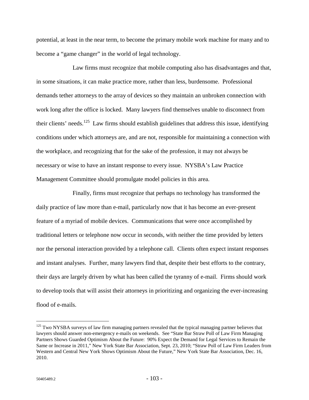potential, at least in the near term, to become the primary mobile work machine for many and to become a "game changer" in the world of legal technology.

Law firms must recognize that mobile computing also has disadvantages and that, in some situations, it can make practice more, rather than less, burdensome. Professional demands tether attorneys to the array of devices so they maintain an unbroken connection with work long after the office is locked. Many lawyers find themselves unable to disconnect from their clients' needs.<sup>125</sup> Law firms should establish guidelines that address this issue, identifying conditions under which attorneys are, and are not, responsible for maintaining a connection with the workplace, and recognizing that for the sake of the profession, it may not always be necessary or wise to have an instant response to every issue. NYSBA's Law Practice Management Committee should promulgate model policies in this area.

Finally, firms must recognize that perhaps no technology has transformed the daily practice of law more than e-mail, particularly now that it has become an ever-present feature of a myriad of mobile devices. Communications that were once accomplished by traditional letters or telephone now occur in seconds, with neither the time provided by letters nor the personal interaction provided by a telephone call. Clients often expect instant responses and instant analyses. Further, many lawyers find that, despite their best efforts to the contrary, their days are largely driven by what has been called the tyranny of e-mail. Firms should work to develop tools that will assist their attorneys in prioritizing and organizing the ever-increasing flood of e-mails.

<u>.</u>

<sup>&</sup>lt;sup>125</sup> Two NYSBA surveys of law firm managing partners revealed that the typical managing partner believes that lawyers should answer non-emergency e-mails on weekends. See "State Bar Straw Poll of Law Firm Managing Partners Shows Guarded Optimism About the Future: 90% Expect the Demand for Legal Services to Remain the Same or Increase in 2011," New York State Bar Association, Sept. 23, 2010; "Straw Poll of Law Firm Leaders from Western and Central New York Shows Optimism About the Future," New York State Bar Association, Dec. 16, 2010.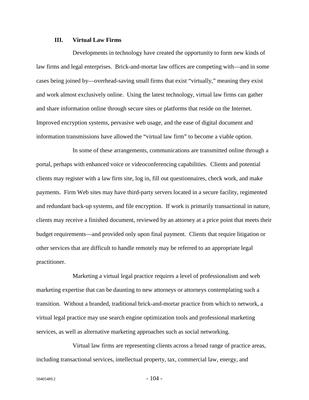# **III. Virtual Law Firms**

Developments in technology have created the opportunity to form new kinds of law firms and legal enterprises. Brick-and-mortar law offices are competing with—and in some cases being joined by—overhead-saving small firms that exist "virtually," meaning they exist and work almost exclusively online. Using the latest technology, virtual law firms can gather and share information online through secure sites or platforms that reside on the Internet. Improved encryption systems, pervasive web usage, and the ease of digital document and information transmissions have allowed the "virtual law firm" to become a viable option.

In some of these arrangements, communications are transmitted online through a portal, perhaps with enhanced voice or videoconferencing capabilities. Clients and potential clients may register with a law firm site, log in, fill out questionnaires, check work, and make payments. Firm Web sites may have third-party servers located in a secure facility, regimented and redundant back-up systems, and file encryption. If work is primarily transactional in nature, clients may receive a finished document, reviewed by an attorney at a price point that meets their budget requirements—and provided only upon final payment. Clients that require litigation or other services that are difficult to handle remotely may be referred to an appropriate legal practitioner.

Marketing a virtual legal practice requires a level of professionalism and web marketing expertise that can be daunting to new attorneys or attorneys contemplating such a transition. Without a branded, traditional brick-and-mortar practice from which to network, a virtual legal practice may use search engine optimization tools and professional marketing services, as well as alternative marketing approaches such as social networking.

Virtual law firms are representing clients across a broad range of practice areas, including transactional services, intellectual property, tax, commercial law, energy, and

 $50405489.2$  - 104 -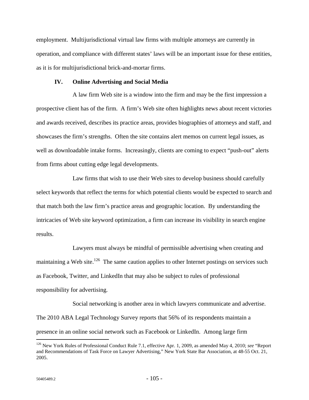employment. Multijurisdictional virtual law firms with multiple attorneys are currently in operation, and compliance with different states' laws will be an important issue for these entities, as it is for multijurisdictional brick-and-mortar firms.

## **IV. Online Advertising and Social Media**

A law firm Web site is a window into the firm and may be the first impression a prospective client has of the firm. A firm's Web site often highlights news about recent victories and awards received, describes its practice areas, provides biographies of attorneys and staff, and showcases the firm's strengths. Often the site contains alert memos on current legal issues, as well as downloadable intake forms. Increasingly, clients are coming to expect "push-out" alerts from firms about cutting edge legal developments.

Law firms that wish to use their Web sites to develop business should carefully select keywords that reflect the terms for which potential clients would be expected to search and that match both the law firm's practice areas and geographic location. By understanding the intricacies of Web site keyword optimization, a firm can increase its visibility in search engine results.

Lawyers must always be mindful of permissible advertising when creating and maintaining a Web site.<sup>126</sup> The same caution applies to other Internet postings on services such as Facebook, Twitter, and LinkedIn that may also be subject to rules of professional responsibility for advertising.

Social networking is another area in which lawyers communicate and advertise. The 2010 ABA Legal Technology Survey reports that 56% of its respondents maintain a presence in an online social network such as Facebook or LinkedIn. Among large firm

 $\overline{a}$ 

<sup>126</sup> New York Rules of Professional Conduct Rule 7.1, effective Apr. 1, 2009, as amended May 4, 2010; *see* "Report and Recommendations of Task Force on Lawyer Advertising," New York State Bar Association, at 48-55 Oct. 21, 2005.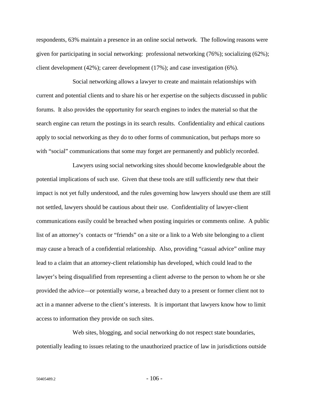respondents, 63% maintain a presence in an online social network. The following reasons were given for participating in social networking: professional networking (76%); socializing (62%); client development (42%); career development (17%); and case investigation (6%).

Social networking allows a lawyer to create and maintain relationships with current and potential clients and to share his or her expertise on the subjects discussed in public forums. It also provides the opportunity for search engines to index the material so that the search engine can return the postings in its search results. Confidentiality and ethical cautions apply to social networking as they do to other forms of communication, but perhaps more so with "social" communications that some may forget are permanently and publicly recorded.

Lawyers using social networking sites should become knowledgeable about the potential implications of such use. Given that these tools are still sufficiently new that their impact is not yet fully understood, and the rules governing how lawyers should use them are still not settled, lawyers should be cautious about their use. Confidentiality of lawyer-client communications easily could be breached when posting inquiries or comments online. A public list of an attorney's contacts or "friends" on a site or a link to a Web site belonging to a client may cause a breach of a confidential relationship. Also, providing "casual advice" online may lead to a claim that an attorney-client relationship has developed, which could lead to the lawyer's being disqualified from representing a client adverse to the person to whom he or she provided the advice—or potentially worse, a breached duty to a present or former client not to act in a manner adverse to the client's interests. It is important that lawyers know how to limit access to information they provide on such sites.

Web sites, blogging, and social networking do not respect state boundaries, potentially leading to issues relating to the unauthorized practice of law in jurisdictions outside

 $50405489.2$  - 106 -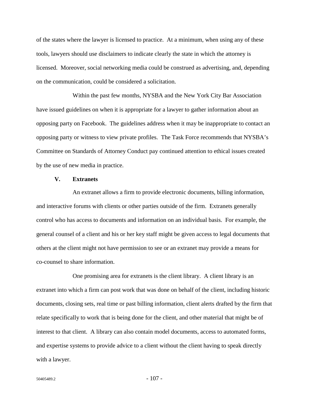of the states where the lawyer is licensed to practice. At a minimum, when using any of these tools, lawyers should use disclaimers to indicate clearly the state in which the attorney is licensed. Moreover, social networking media could be construed as advertising, and, depending on the communication, could be considered a solicitation.

Within the past few months, NYSBA and the New York City Bar Association have issued guidelines on when it is appropriate for a lawyer to gather information about an opposing party on Facebook. The guidelines address when it may be inappropriate to contact an opposing party or witness to view private profiles. The Task Force recommends that NYSBA's Committee on Standards of Attorney Conduct pay continued attention to ethical issues created by the use of new media in practice.

#### **V. Extranets**

An extranet allows a firm to provide electronic documents, billing information, and interactive forums with clients or other parties outside of the firm. Extranets generally control who has access to documents and information on an individual basis. For example, the general counsel of a client and his or her key staff might be given access to legal documents that others at the client might not have permission to see or an extranet may provide a means for co-counsel to share information.

One promising area for extranets is the client library. A client library is an extranet into which a firm can post work that was done on behalf of the client, including historic documents, closing sets, real time or past billing information, client alerts drafted by the firm that relate specifically to work that is being done for the client, and other material that might be of interest to that client. A library can also contain model documents, access to automated forms, and expertise systems to provide advice to a client without the client having to speak directly with a lawyer.

 $50405489.2$  - 107 -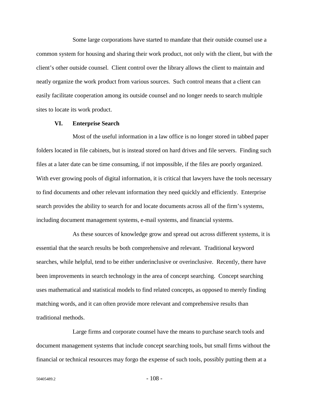Some large corporations have started to mandate that their outside counsel use a common system for housing and sharing their work product, not only with the client, but with the client's other outside counsel. Client control over the library allows the client to maintain and neatly organize the work product from various sources. Such control means that a client can easily facilitate cooperation among its outside counsel and no longer needs to search multiple sites to locate its work product.

#### **VI. Enterprise Search**

Most of the useful information in a law office is no longer stored in tabbed paper folders located in file cabinets, but is instead stored on hard drives and file servers. Finding such files at a later date can be time consuming, if not impossible, if the files are poorly organized. With ever growing pools of digital information, it is critical that lawyers have the tools necessary to find documents and other relevant information they need quickly and efficiently. Enterprise search provides the ability to search for and locate documents across all of the firm's systems, including document management systems, e-mail systems, and financial systems.

As these sources of knowledge grow and spread out across different systems, it is essential that the search results be both comprehensive and relevant. Traditional keyword searches, while helpful, tend to be either underinclusive or overinclusive. Recently, there have been improvements in search technology in the area of concept searching. Concept searching uses mathematical and statistical models to find related concepts, as opposed to merely finding matching words, and it can often provide more relevant and comprehensive results than traditional methods.

Large firms and corporate counsel have the means to purchase search tools and document management systems that include concept searching tools, but small firms without the financial or technical resources may forgo the expense of such tools, possibly putting them at a

 $50405489.2$  - 108 -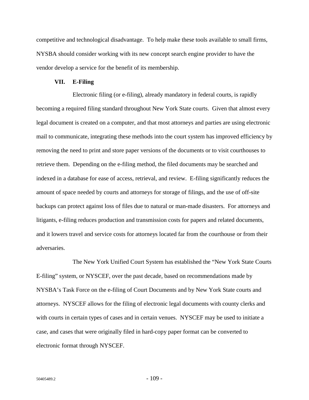competitive and technological disadvantage. To help make these tools available to small firms, NYSBA should consider working with its new concept search engine provider to have the vendor develop a service for the benefit of its membership.

### **VII. E-Filing**

Electronic filing (or e-filing), already mandatory in federal courts, is rapidly becoming a required filing standard throughout New York State courts. Given that almost every legal document is created on a computer, and that most attorneys and parties are using electronic mail to communicate, integrating these methods into the court system has improved efficiency by removing the need to print and store paper versions of the documents or to visit courthouses to retrieve them. Depending on the e-filing method, the filed documents may be searched and indexed in a database for ease of access, retrieval, and review. E-filing significantly reduces the amount of space needed by courts and attorneys for storage of filings, and the use of off-site backups can protect against loss of files due to natural or man-made disasters. For attorneys and litigants, e-filing reduces production and transmission costs for papers and related documents, and it lowers travel and service costs for attorneys located far from the courthouse or from their adversaries.

The New York Unified Court System has established the "New York State Courts E-filing" system, or NYSCEF, over the past decade, based on recommendations made by NYSBA's Task Force on the e-filing of Court Documents and by New York State courts and attorneys. NYSCEF allows for the filing of electronic legal documents with county clerks and with courts in certain types of cases and in certain venues. NYSCEF may be used to initiate a case, and cases that were originally filed in hard-copy paper format can be converted to electronic format through NYSCEF.

 $50405489.2$  - 109 -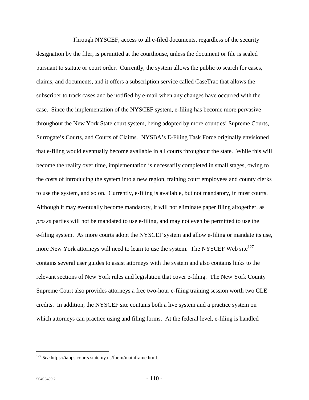Through NYSCEF, access to all e-filed documents, regardless of the security designation by the filer, is permitted at the courthouse, unless the document or file is sealed pursuant to statute or court order. Currently, the system allows the public to search for cases, claims, and documents, and it offers a subscription service called CaseTrac that allows the subscriber to track cases and be notified by e-mail when any changes have occurred with the case. Since the implementation of the NYSCEF system, e-filing has become more pervasive throughout the New York State court system, being adopted by more counties' Supreme Courts, Surrogate's Courts, and Courts of Claims. NYSBA's E-Filing Task Force originally envisioned that e-filing would eventually become available in all courts throughout the state. While this will become the reality over time, implementation is necessarily completed in small stages, owing to the costs of introducing the system into a new region, training court employees and county clerks to use the system, and so on. Currently, e-filing is available, but not mandatory, in most courts. Although it may eventually become mandatory, it will not eliminate paper filing altogether, as *pro se* parties will not be mandated to use e-filing, and may not even be permitted to use the e-filing system. As more courts adopt the NYSCEF system and allow e-filing or mandate its use, more New York attorneys will need to learn to use the system. The NYSCEF Web site<sup>127</sup> contains several user guides to assist attorneys with the system and also contains links to the relevant sections of New York rules and legislation that cover e-filing. The New York County Supreme Court also provides attorneys a free two-hour e-filing training session worth two CLE credits. In addition, the NYSCEF site contains both a live system and a practice system on which attorneys can practice using and filing forms. At the federal level, e-filing is handled

<u>.</u>

<sup>127</sup> *See* https://iapps.courts.state.ny.us/fbem/mainframe.html.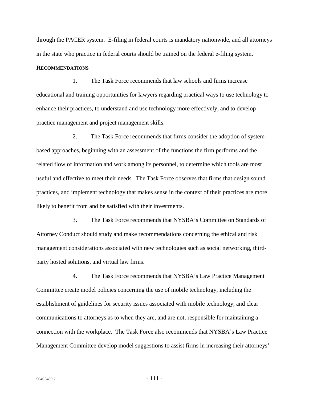through the PACER system. E-filing in federal courts is mandatory nationwide, and all attorneys in the state who practice in federal courts should be trained on the federal e-filing system.

## **RECOMMENDATIONS**

1. The Task Force recommends that law schools and firms increase educational and training opportunities for lawyers regarding practical ways to use technology to enhance their practices, to understand and use technology more effectively, and to develop practice management and project management skills.

2. The Task Force recommends that firms consider the adoption of systembased approaches, beginning with an assessment of the functions the firm performs and the related flow of information and work among its personnel, to determine which tools are most useful and effective to meet their needs. The Task Force observes that firms that design sound practices, and implement technology that makes sense in the context of their practices are more likely to benefit from and be satisfied with their investments.

3. The Task Force recommends that NYSBA's Committee on Standards of Attorney Conduct should study and make recommendations concerning the ethical and risk management considerations associated with new technologies such as social networking, thirdparty hosted solutions, and virtual law firms.

4. The Task Force recommends that NYSBA's Law Practice Management Committee create model policies concerning the use of mobile technology, including the establishment of guidelines for security issues associated with mobile technology, and clear communications to attorneys as to when they are, and are not, responsible for maintaining a connection with the workplace. The Task Force also recommends that NYSBA's Law Practice Management Committee develop model suggestions to assist firms in increasing their attorneys'

 $50405489.2$  - 111 -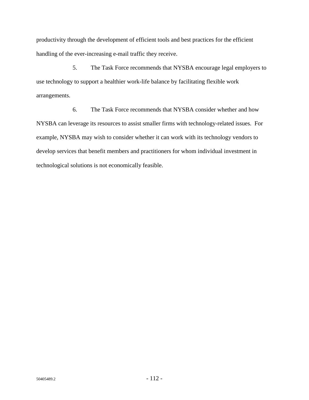productivity through the development of efficient tools and best practices for the efficient handling of the ever-increasing e-mail traffic they receive.

5. The Task Force recommends that NYSBA encourage legal employers to use technology to support a healthier work-life balance by facilitating flexible work arrangements.

6. The Task Force recommends that NYSBA consider whether and how NYSBA can leverage its resources to assist smaller firms with technology-related issues. For example, NYSBA may wish to consider whether it can work with its technology vendors to develop services that benefit members and practitioners for whom individual investment in technological solutions is not economically feasible.